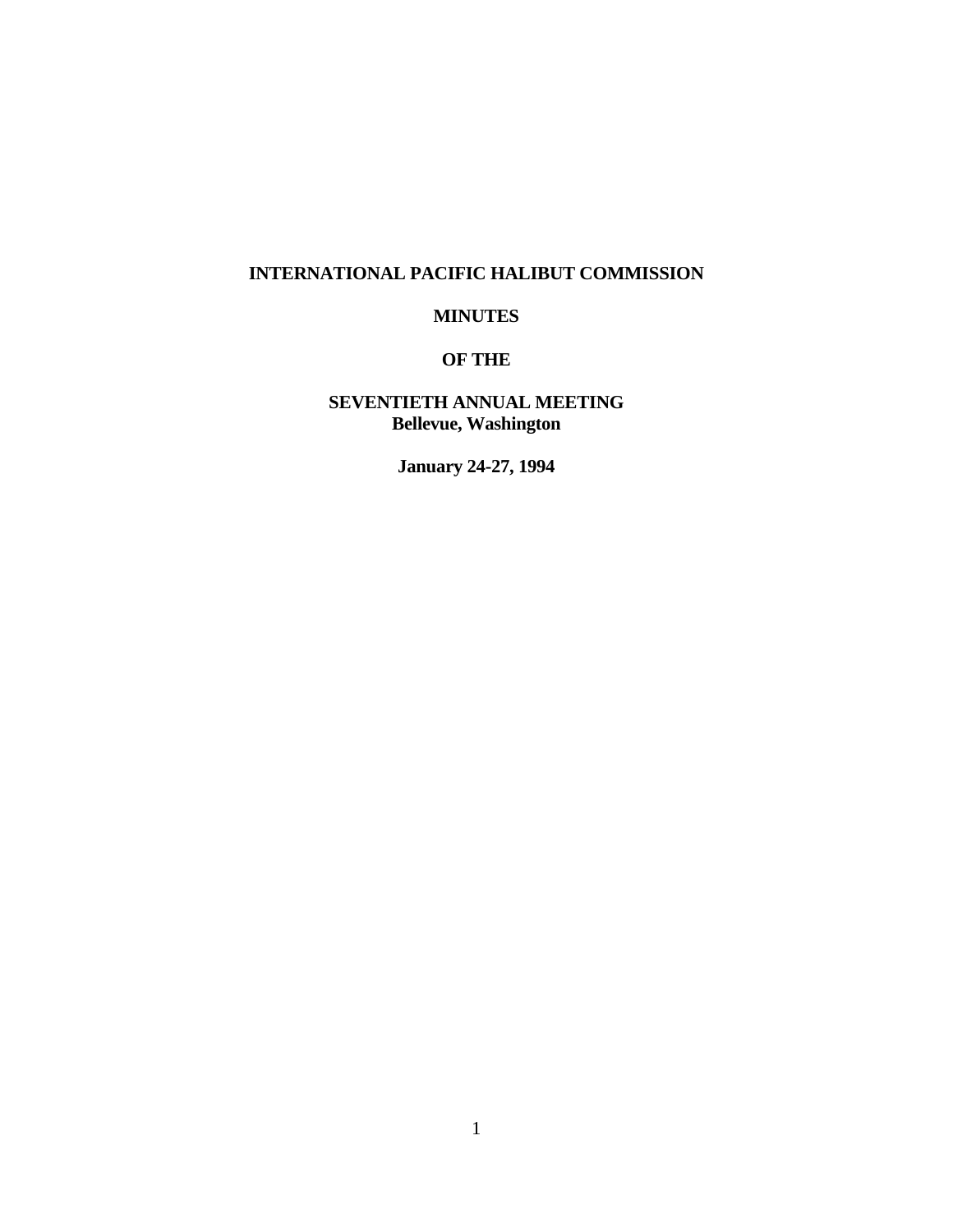# **INTERNATIONAL PACIFIC HALIBUT COMMISSION**

# **MINUTES**

# **OF THE**

# **SEVENTIETH ANNUAL MEETING Bellevue, Washington**

**January 24-27, 1994**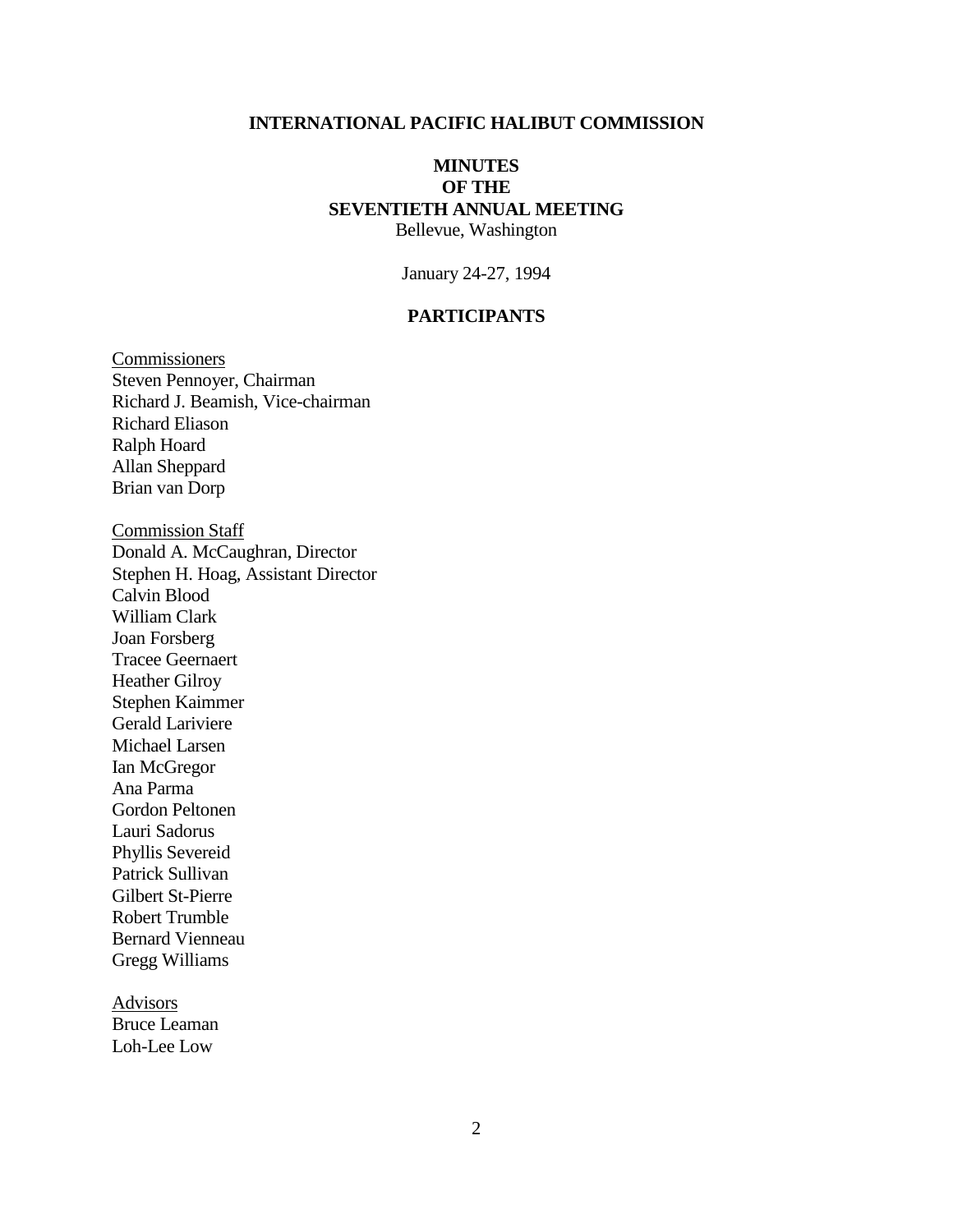### **INTERNATIONAL PACIFIC HALIBUT COMMISSION**

## **MINUTES OF THE SEVENTIETH ANNUAL MEETING** Bellevue, Washington

January 24-27, 1994

## **PARTICIPANTS**

**Commissioners** Steven Pennoyer, Chairman Richard J. Beamish, Vice-chairman Richard Eliason Ralph Hoard Allan Sheppard Brian van Dorp

Commission Staff Donald A. McCaughran, Director Stephen H. Hoag, Assistant Director Calvin Blood William Clark Joan Forsberg Tracee Geernaert Heather Gilroy Stephen Kaimmer Gerald Lariviere Michael Larsen Ian McGregor Ana Parma Gordon Peltonen Lauri Sadorus Phyllis Severeid Patrick Sullivan Gilbert St-Pierre Robert Trumble Bernard Vienneau Gregg Williams

Advisors Bruce Leaman Loh-Lee Low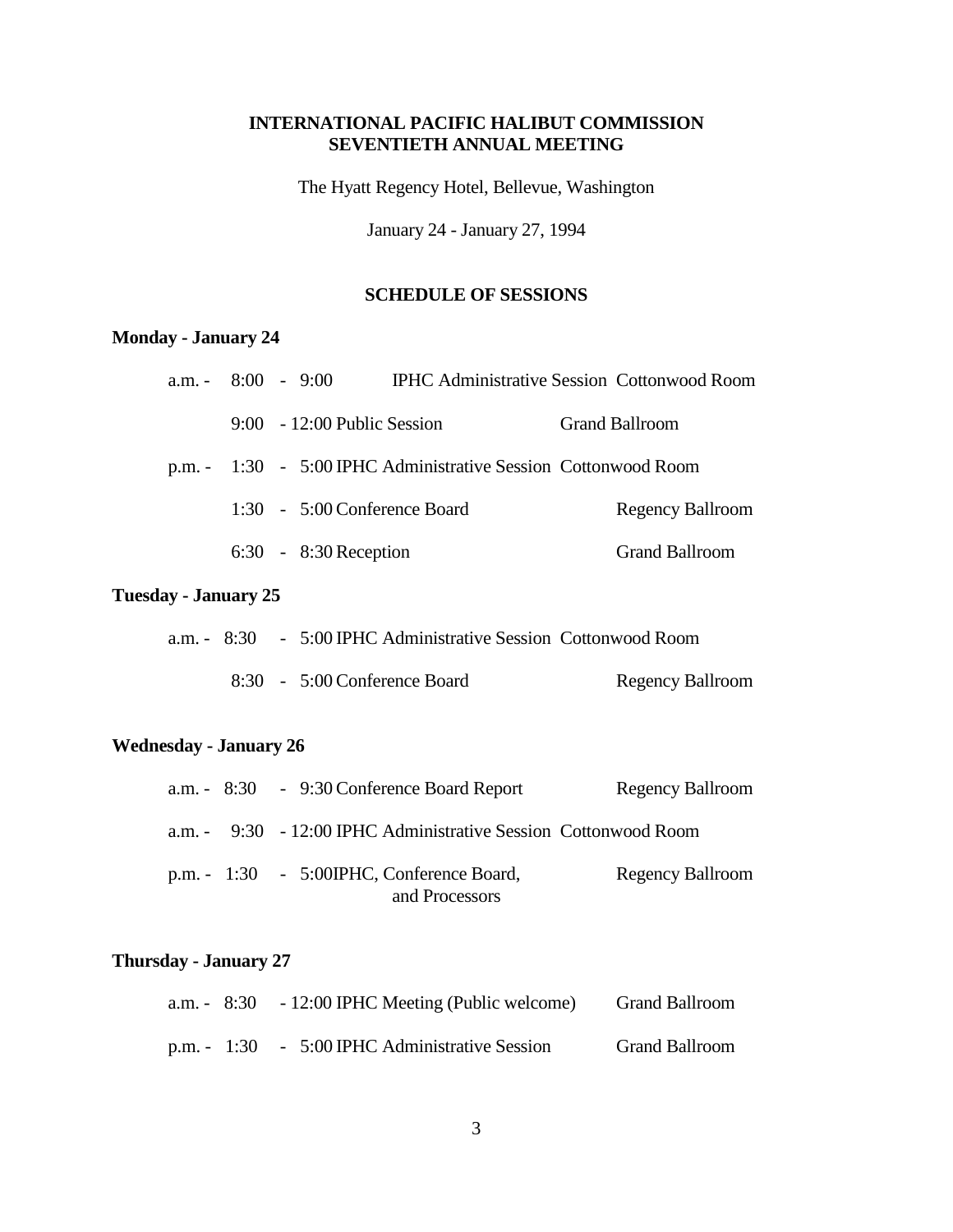## **INTERNATIONAL PACIFIC HALIBUT COMMISSION SEVENTIETH ANNUAL MEETING**

The Hyatt Regency Hotel, Bellevue, Washington

January 24 - January 27, 1994

# **SCHEDULE OF SESSIONS**

# **Monday - January 24**

|  | a.m. $-8:00 - 9:00$            | <b>IPHC Administrative Session Cottonwood Room</b>             |                       |
|--|--------------------------------|----------------------------------------------------------------|-----------------------|
|  | $9:00 - 12:00$ Public Session  |                                                                | <b>Grand Ballroom</b> |
|  |                                | p.m. - 1:30 - 5:00 IPHC Administrative Session Cottonwood Room |                       |
|  | $1:30 - 5:00$ Conference Board |                                                                | Regency Ballroom      |
|  | $6:30 - 8:30$ Reception        |                                                                | <b>Grand Ballroom</b> |
|  |                                |                                                                |                       |

## **Tuesday - January 25**

|  | a.m. - 8:30 - 5:00 IPHC Administrative Session Cottonwood Room |                  |
|--|----------------------------------------------------------------|------------------|
|  | 8:30 - 5:00 Conference Board                                   | Regency Ballroom |

# **Wednesday - January 26**

|  | a.m. $-8:30 - 9:30$ Conference Board Report                     | <b>Regency Ballroom</b> |
|--|-----------------------------------------------------------------|-------------------------|
|  | a.m. - 9:30 - 12:00 IPHC Administrative Session Cottonwood Room |                         |
|  | p.m. $-1:30 - 5:00IPHC$ , Conference Board,<br>and Processors   | <b>Regency Ballroom</b> |

# **Thursday - January 27**

|  | a.m. $-8:30 -12:00$ IPHC Meeting (Public welcome) | <b>Grand Ballroom</b> |
|--|---------------------------------------------------|-----------------------|
|  | p.m. - 1:30 - 5:00 IPHC Administrative Session    | <b>Grand Ballroom</b> |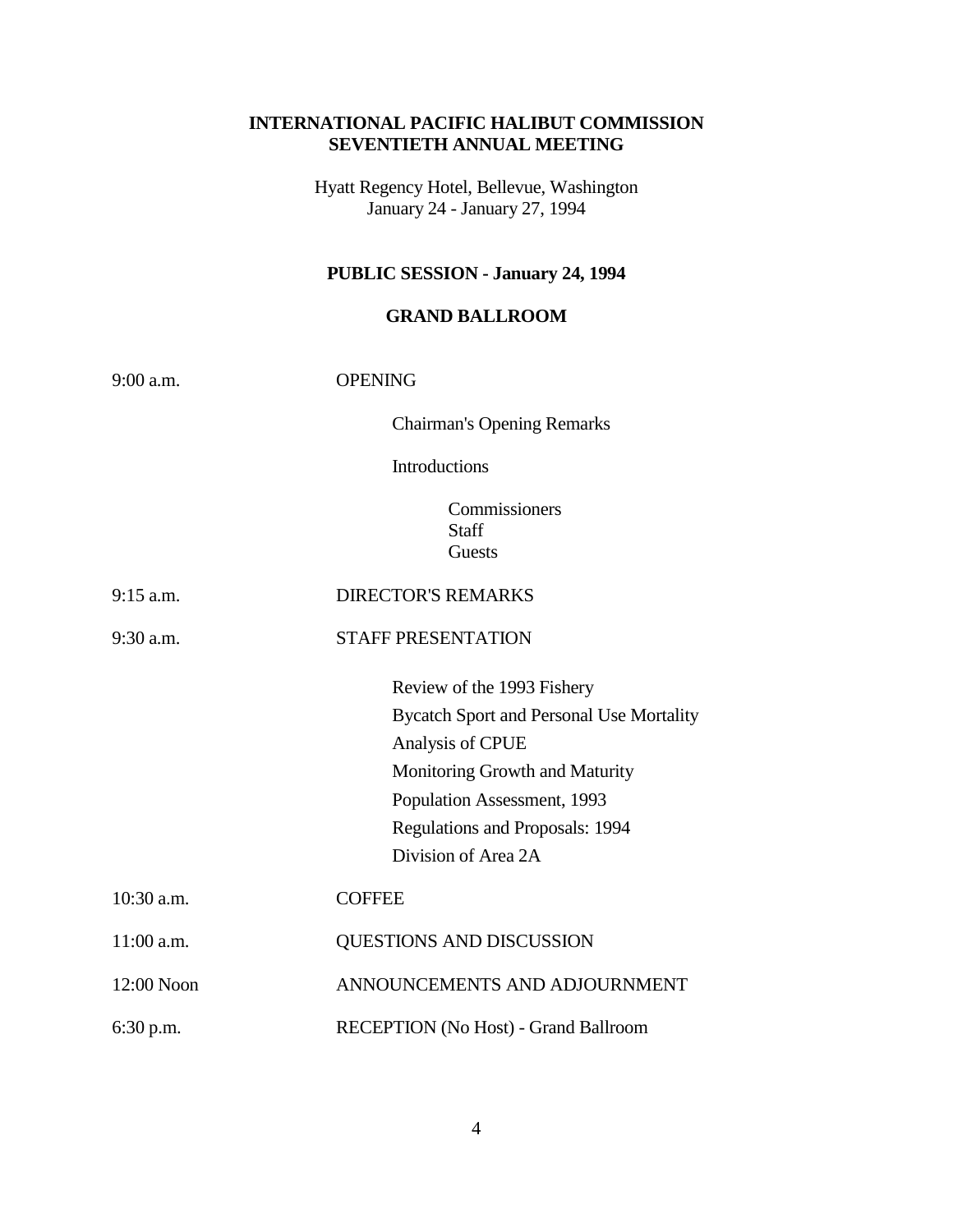## **INTERNATIONAL PACIFIC HALIBUT COMMISSION SEVENTIETH ANNUAL MEETING**

Hyatt Regency Hotel, Bellevue, Washington January 24 - January 27, 1994

# **PUBLIC SESSION - January 24, 1994**

## **GRAND BALLROOM**

| $9:00$ a.m.  | <b>OPENING</b>                                                                                                                                                                                                               |  |  |
|--------------|------------------------------------------------------------------------------------------------------------------------------------------------------------------------------------------------------------------------------|--|--|
|              | <b>Chairman's Opening Remarks</b>                                                                                                                                                                                            |  |  |
|              | Introductions                                                                                                                                                                                                                |  |  |
|              | Commissioners<br><b>Staff</b><br>Guests                                                                                                                                                                                      |  |  |
| $9:15$ a.m.  | <b>DIRECTOR'S REMARKS</b>                                                                                                                                                                                                    |  |  |
| $9:30$ a.m.  | <b>STAFF PRESENTATION</b>                                                                                                                                                                                                    |  |  |
|              | Review of the 1993 Fishery<br><b>Bycatch Sport and Personal Use Mortality</b><br>Analysis of CPUE<br>Monitoring Growth and Maturity<br>Population Assessment, 1993<br>Regulations and Proposals: 1994<br>Division of Area 2A |  |  |
| $10:30$ a.m. | <b>COFFEE</b>                                                                                                                                                                                                                |  |  |
| 11:00 a.m.   | QUESTIONS AND DISCUSSION                                                                                                                                                                                                     |  |  |
| 12:00 Noon   | ANNOUNCEMENTS AND ADJOURNMENT                                                                                                                                                                                                |  |  |
| 6:30 p.m.    | RECEPTION (No Host) - Grand Ballroom                                                                                                                                                                                         |  |  |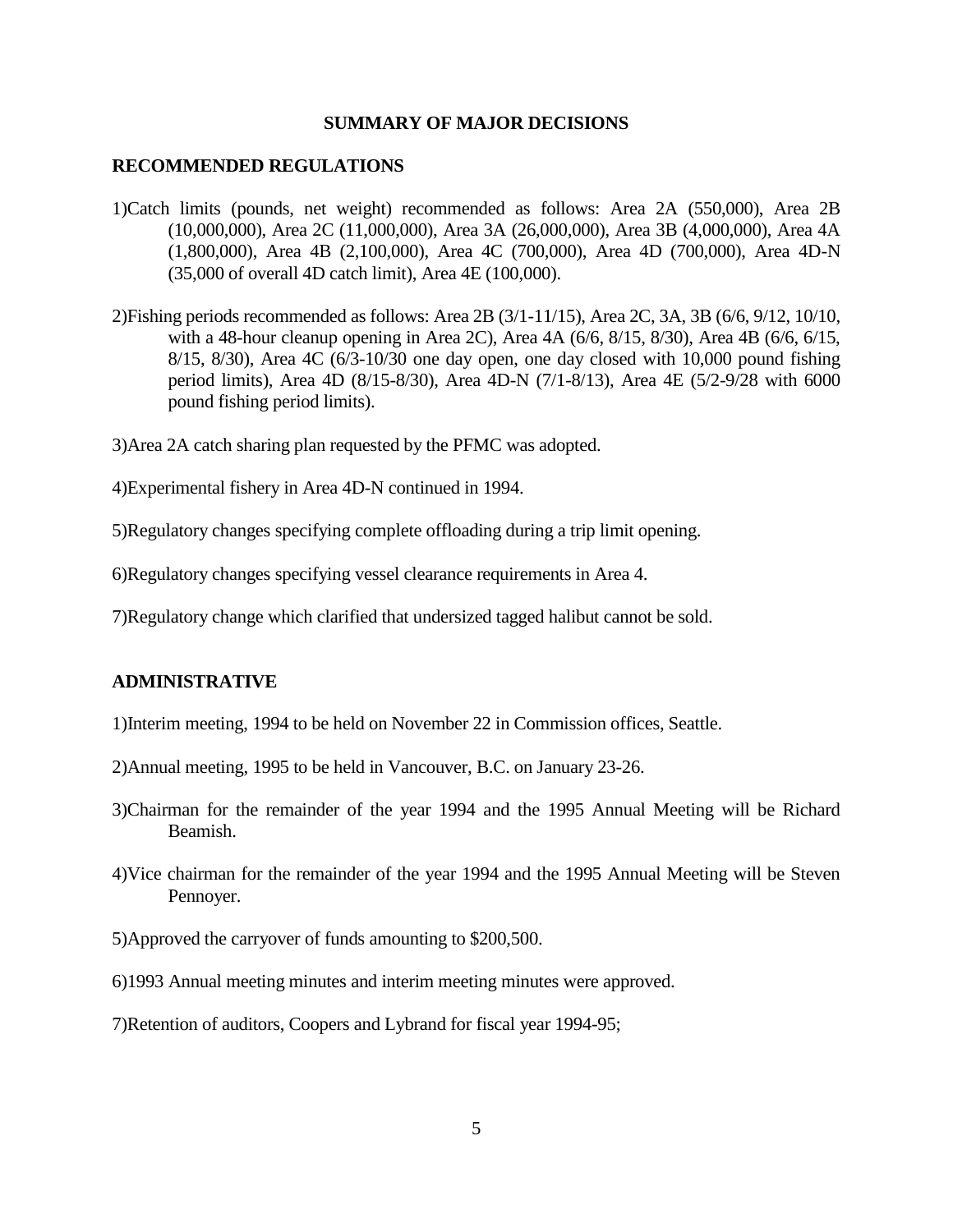#### **SUMMARY OF MAJOR DECISIONS**

#### **RECOMMENDED REGULATIONS**

- 1)Catch limits (pounds, net weight) recommended as follows: Area 2A (550,000), Area 2B (10,000,000), Area 2C (11,000,000), Area 3A (26,000,000), Area 3B (4,000,000), Area 4A (1,800,000), Area 4B (2,100,000), Area 4C (700,000), Area 4D (700,000), Area 4D-N (35,000 of overall 4D catch limit), Area 4E (100,000).
- 2)Fishing periods recommended as follows: Area 2B (3/1-11/15), Area 2C, 3A, 3B (6/6, 9/12, 10/10, with a 48-hour cleanup opening in Area 2C), Area 4A (6/6, 8/15, 8/30), Area 4B (6/6, 6/15, 8/15, 8/30), Area 4C (6/3-10/30 one day open, one day closed with 10,000 pound fishing period limits), Area 4D (8/15-8/30), Area 4D-N (7/1-8/13), Area 4E (5/2-9/28 with 6000 pound fishing period limits).
- 3)Area 2A catch sharing plan requested by the PFMC was adopted.
- 4)Experimental fishery in Area 4D-N continued in 1994.
- 5)Regulatory changes specifying complete offloading during a trip limit opening.
- 6)Regulatory changes specifying vessel clearance requirements in Area 4.
- 7)Regulatory change which clarified that undersized tagged halibut cannot be sold.

#### **ADMINISTRATIVE**

- 1)Interim meeting, 1994 to be held on November 22 in Commission offices, Seattle.
- 2)Annual meeting, 1995 to be held in Vancouver, B.C. on January 23-26.
- 3)Chairman for the remainder of the year 1994 and the 1995 Annual Meeting will be Richard Beamish.
- 4)Vice chairman for the remainder of the year 1994 and the 1995 Annual Meeting will be Steven Pennoyer.
- 5)Approved the carryover of funds amounting to \$200,500.
- 6)1993 Annual meeting minutes and interim meeting minutes were approved.
- 7)Retention of auditors, Coopers and Lybrand for fiscal year 1994-95;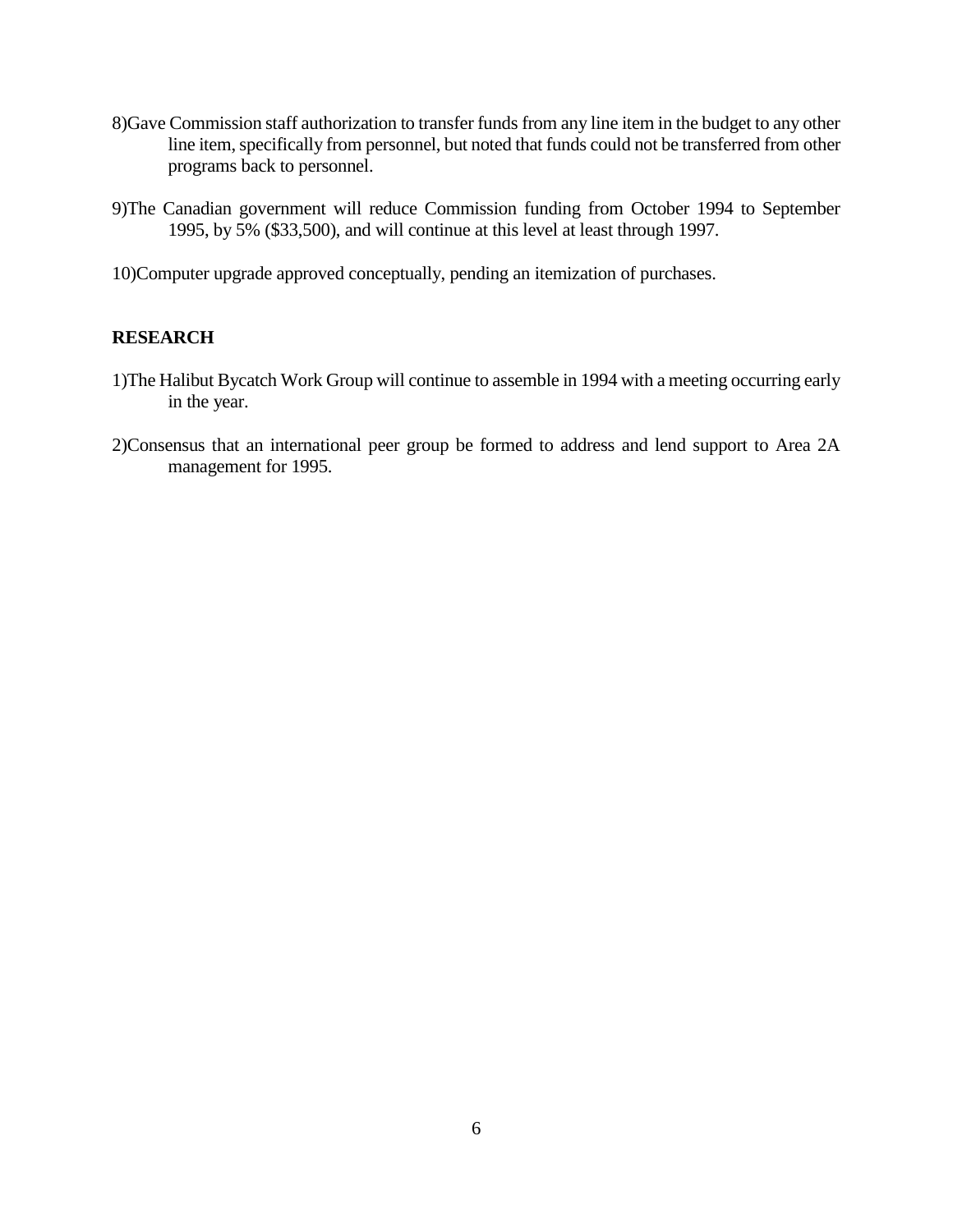- 8)Gave Commission staff authorization to transfer funds from any line item in the budget to any other line item, specifically from personnel, but noted that funds could not be transferred from other programs back to personnel.
- 9)The Canadian government will reduce Commission funding from October 1994 to September 1995, by 5% (\$33,500), and will continue at this level at least through 1997.
- 10)Computer upgrade approved conceptually, pending an itemization of purchases.

### **RESEARCH**

- 1)The Halibut Bycatch Work Group will continue to assemble in 1994 with a meeting occurring early in the year.
- 2)Consensus that an international peer group be formed to address and lend support to Area 2A management for 1995.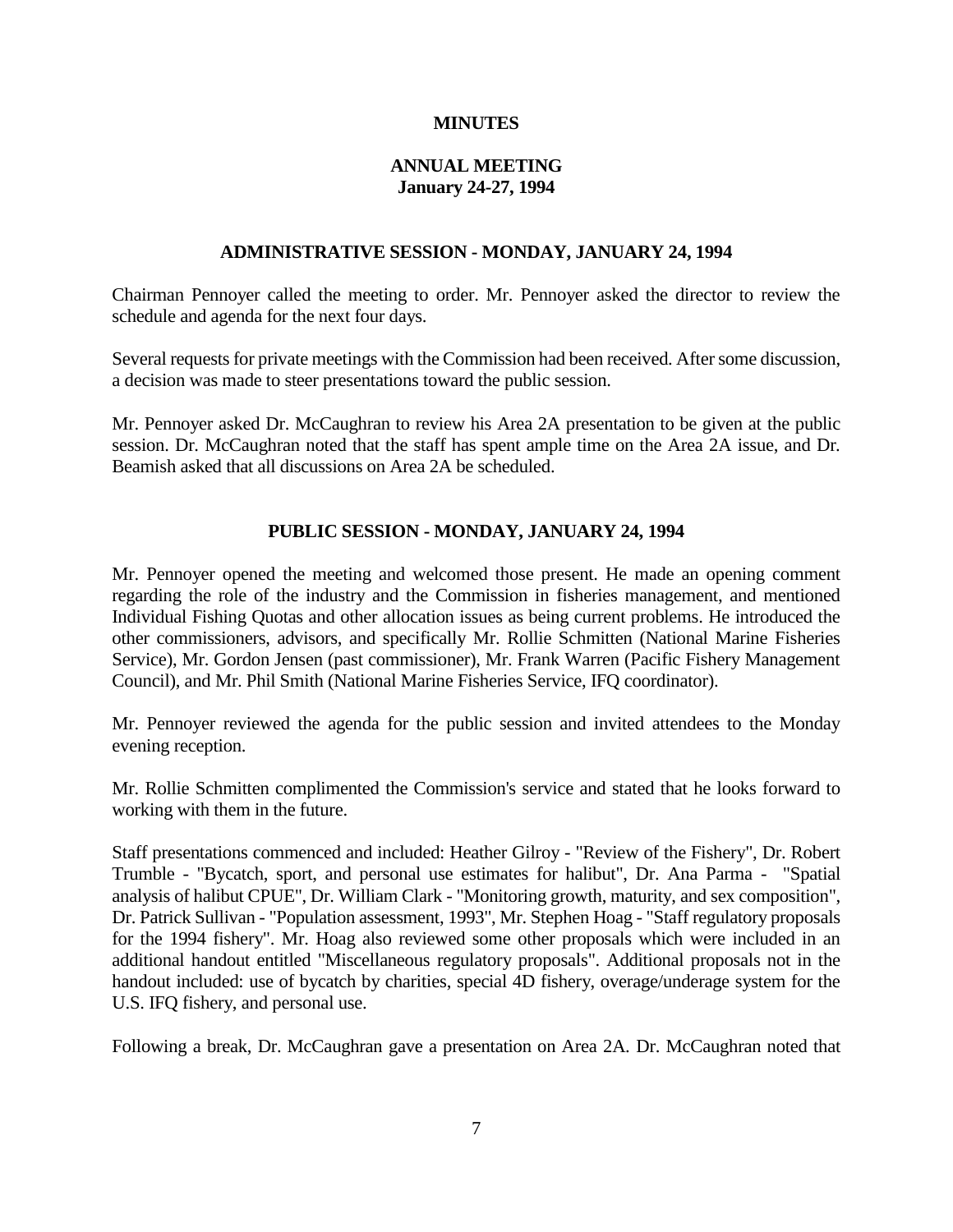### **MINUTES**

## **ANNUAL MEETING January 24-27, 1994**

### **ADMINISTRATIVE SESSION - MONDAY, JANUARY 24, 1994**

Chairman Pennoyer called the meeting to order. Mr. Pennoyer asked the director to review the schedule and agenda for the next four days.

Several requests for private meetings with the Commission had been received. After some discussion, a decision was made to steer presentations toward the public session.

Mr. Pennoyer asked Dr. McCaughran to review his Area 2A presentation to be given at the public session. Dr. McCaughran noted that the staff has spent ample time on the Area 2A issue, and Dr. Beamish asked that all discussions on Area 2A be scheduled.

## **PUBLIC SESSION - MONDAY, JANUARY 24, 1994**

Mr. Pennoyer opened the meeting and welcomed those present. He made an opening comment regarding the role of the industry and the Commission in fisheries management, and mentioned Individual Fishing Quotas and other allocation issues as being current problems. He introduced the other commissioners, advisors, and specifically Mr. Rollie Schmitten (National Marine Fisheries Service), Mr. Gordon Jensen (past commissioner), Mr. Frank Warren (Pacific Fishery Management Council), and Mr. Phil Smith (National Marine Fisheries Service, IFQ coordinator).

Mr. Pennoyer reviewed the agenda for the public session and invited attendees to the Monday evening reception.

Mr. Rollie Schmitten complimented the Commission's service and stated that he looks forward to working with them in the future.

Staff presentations commenced and included: Heather Gilroy - "Review of the Fishery", Dr. Robert Trumble - "Bycatch, sport, and personal use estimates for halibut", Dr. Ana Parma - "Spatial analysis of halibut CPUE", Dr. William Clark - "Monitoring growth, maturity, and sex composition", Dr. Patrick Sullivan - "Population assessment, 1993", Mr. Stephen Hoag - "Staff regulatory proposals for the 1994 fishery". Mr. Hoag also reviewed some other proposals which were included in an additional handout entitled "Miscellaneous regulatory proposals". Additional proposals not in the handout included: use of bycatch by charities, special 4D fishery, overage/underage system for the U.S. IFQ fishery, and personal use.

Following a break, Dr. McCaughran gave a presentation on Area 2A. Dr. McCaughran noted that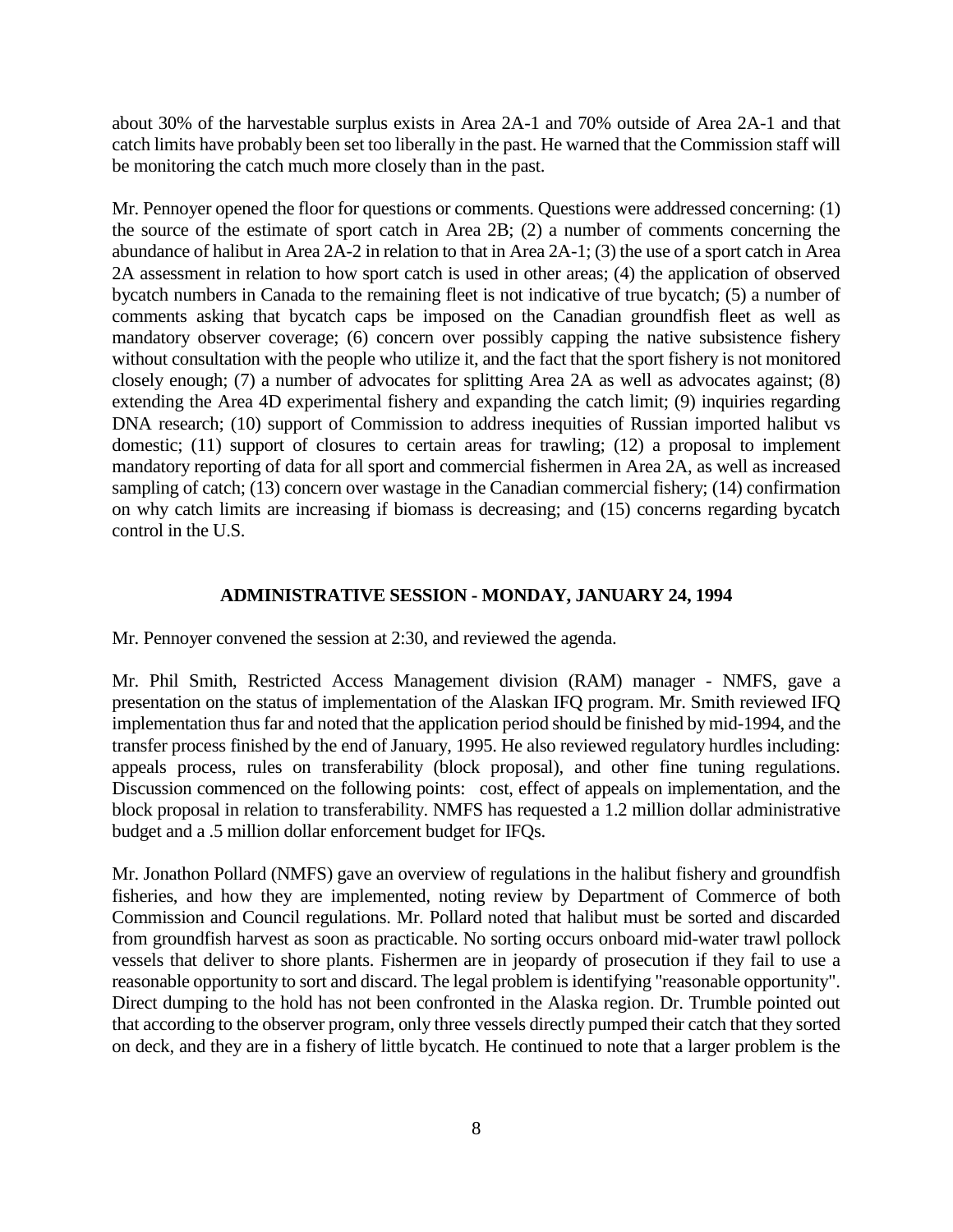about 30% of the harvestable surplus exists in Area 2A-1 and 70% outside of Area 2A-1 and that catch limits have probably been set too liberally in the past. He warned that the Commission staff will be monitoring the catch much more closely than in the past.

Mr. Pennoyer opened the floor for questions or comments. Questions were addressed concerning: (1) the source of the estimate of sport catch in Area 2B; (2) a number of comments concerning the abundance of halibut in Area 2A-2 in relation to that in Area 2A-1; (3) the use of a sport catch in Area 2A assessment in relation to how sport catch is used in other areas; (4) the application of observed bycatch numbers in Canada to the remaining fleet is not indicative of true bycatch; (5) a number of comments asking that bycatch caps be imposed on the Canadian groundfish fleet as well as mandatory observer coverage; (6) concern over possibly capping the native subsistence fishery without consultation with the people who utilize it, and the fact that the sport fishery is not monitored closely enough; (7) a number of advocates for splitting Area 2A as well as advocates against; (8) extending the Area 4D experimental fishery and expanding the catch limit; (9) inquiries regarding DNA research; (10) support of Commission to address inequities of Russian imported halibut vs domestic; (11) support of closures to certain areas for trawling; (12) a proposal to implement mandatory reporting of data for all sport and commercial fishermen in Area 2A, as well as increased sampling of catch; (13) concern over wastage in the Canadian commercial fishery; (14) confirmation on why catch limits are increasing if biomass is decreasing; and (15) concerns regarding bycatch control in the U.S.

### **ADMINISTRATIVE SESSION - MONDAY, JANUARY 24, 1994**

Mr. Pennoyer convened the session at 2:30, and reviewed the agenda.

Mr. Phil Smith, Restricted Access Management division (RAM) manager - NMFS, gave a presentation on the status of implementation of the Alaskan IFQ program. Mr. Smith reviewed IFQ implementation thus far and noted that the application period should be finished by mid-1994, and the transfer process finished by the end of January, 1995. He also reviewed regulatory hurdles including: appeals process, rules on transferability (block proposal), and other fine tuning regulations. Discussion commenced on the following points: cost, effect of appeals on implementation, and the block proposal in relation to transferability. NMFS has requested a 1.2 million dollar administrative budget and a .5 million dollar enforcement budget for IFQs.

Mr. Jonathon Pollard (NMFS) gave an overview of regulations in the halibut fishery and groundfish fisheries, and how they are implemented, noting review by Department of Commerce of both Commission and Council regulations. Mr. Pollard noted that halibut must be sorted and discarded from groundfish harvest as soon as practicable. No sorting occurs onboard mid-water trawl pollock vessels that deliver to shore plants. Fishermen are in jeopardy of prosecution if they fail to use a reasonable opportunity to sort and discard. The legal problem is identifying "reasonable opportunity". Direct dumping to the hold has not been confronted in the Alaska region. Dr. Trumble pointed out that according to the observer program, only three vessels directly pumped their catch that they sorted on deck, and they are in a fishery of little bycatch. He continued to note that a larger problem is the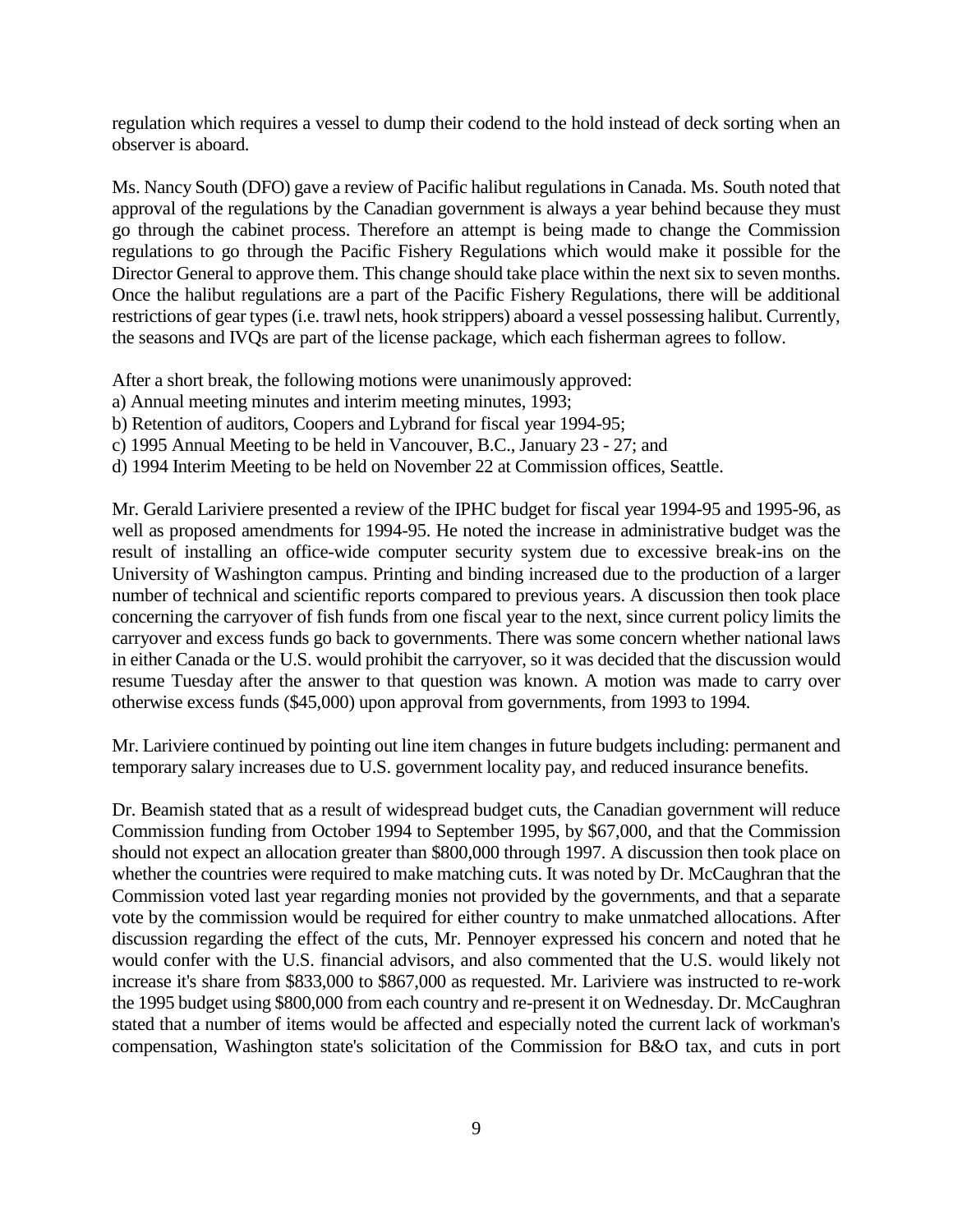regulation which requires a vessel to dump their codend to the hold instead of deck sorting when an observer is aboard.

Ms. Nancy South (DFO) gave a review of Pacific halibut regulations in Canada. Ms. South noted that approval of the regulations by the Canadian government is always a year behind because they must go through the cabinet process. Therefore an attempt is being made to change the Commission regulations to go through the Pacific Fishery Regulations which would make it possible for the Director General to approve them. This change should take place within the next six to seven months. Once the halibut regulations are a part of the Pacific Fishery Regulations, there will be additional restrictions of gear types (i.e. trawl nets, hook strippers) aboard a vessel possessing halibut. Currently, the seasons and IVQs are part of the license package, which each fisherman agrees to follow.

After a short break, the following motions were unanimously approved:

- a) Annual meeting minutes and interim meeting minutes, 1993;
- b) Retention of auditors, Coopers and Lybrand for fiscal year 1994-95;
- c) 1995 Annual Meeting to be held in Vancouver, B.C., January 23 27; and
- d) 1994 Interim Meeting to be held on November 22 at Commission offices, Seattle.

Mr. Gerald Lariviere presented a review of the IPHC budget for fiscal year 1994-95 and 1995-96, as well as proposed amendments for 1994-95. He noted the increase in administrative budget was the result of installing an office-wide computer security system due to excessive break-ins on the University of Washington campus. Printing and binding increased due to the production of a larger number of technical and scientific reports compared to previous years. A discussion then took place concerning the carryover of fish funds from one fiscal year to the next, since current policy limits the carryover and excess funds go back to governments. There was some concern whether national laws in either Canada or the U.S. would prohibit the carryover, so it was decided that the discussion would resume Tuesday after the answer to that question was known. A motion was made to carry over otherwise excess funds (\$45,000) upon approval from governments, from 1993 to 1994.

Mr. Lariviere continued by pointing out line item changes in future budgets including: permanent and temporary salary increases due to U.S. government locality pay, and reduced insurance benefits.

Dr. Beamish stated that as a result of widespread budget cuts, the Canadian government will reduce Commission funding from October 1994 to September 1995, by \$67,000, and that the Commission should not expect an allocation greater than \$800,000 through 1997. A discussion then took place on whether the countries were required to make matching cuts. It was noted by Dr. McCaughran that the Commission voted last year regarding monies not provided by the governments, and that a separate vote by the commission would be required for either country to make unmatched allocations. After discussion regarding the effect of the cuts, Mr. Pennoyer expressed his concern and noted that he would confer with the U.S. financial advisors, and also commented that the U.S. would likely not increase it's share from \$833,000 to \$867,000 as requested. Mr. Lariviere was instructed to re-work the 1995 budget using \$800,000 from each country and re-present it on Wednesday. Dr. McCaughran stated that a number of items would be affected and especially noted the current lack of workman's compensation, Washington state's solicitation of the Commission for B&O tax, and cuts in port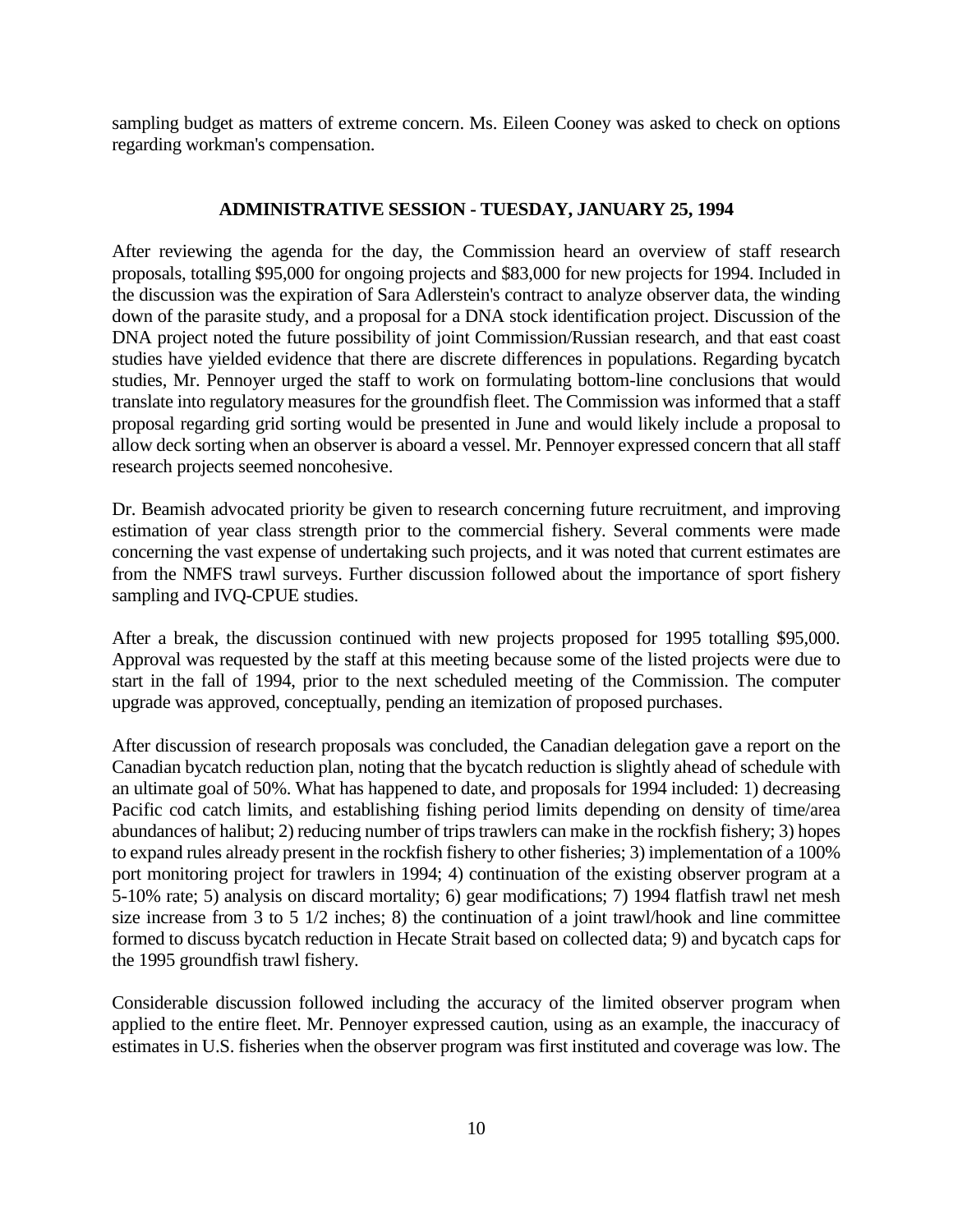sampling budget as matters of extreme concern. Ms. Eileen Cooney was asked to check on options regarding workman's compensation.

### **ADMINISTRATIVE SESSION - TUESDAY, JANUARY 25, 1994**

After reviewing the agenda for the day, the Commission heard an overview of staff research proposals, totalling \$95,000 for ongoing projects and \$83,000 for new projects for 1994. Included in the discussion was the expiration of Sara Adlerstein's contract to analyze observer data, the winding down of the parasite study, and a proposal for a DNA stock identification project. Discussion of the DNA project noted the future possibility of joint Commission/Russian research, and that east coast studies have yielded evidence that there are discrete differences in populations. Regarding bycatch studies, Mr. Pennoyer urged the staff to work on formulating bottom-line conclusions that would translate into regulatory measures for the groundfish fleet. The Commission was informed that a staff proposal regarding grid sorting would be presented in June and would likely include a proposal to allow deck sorting when an observer is aboard a vessel. Mr. Pennoyer expressed concern that all staff research projects seemed noncohesive.

Dr. Beamish advocated priority be given to research concerning future recruitment, and improving estimation of year class strength prior to the commercial fishery. Several comments were made concerning the vast expense of undertaking such projects, and it was noted that current estimates are from the NMFS trawl surveys. Further discussion followed about the importance of sport fishery sampling and IVQ-CPUE studies.

After a break, the discussion continued with new projects proposed for 1995 totalling \$95,000. Approval was requested by the staff at this meeting because some of the listed projects were due to start in the fall of 1994, prior to the next scheduled meeting of the Commission. The computer upgrade was approved, conceptually, pending an itemization of proposed purchases.

After discussion of research proposals was concluded, the Canadian delegation gave a report on the Canadian bycatch reduction plan, noting that the bycatch reduction is slightly ahead of schedule with an ultimate goal of 50%. What has happened to date, and proposals for 1994 included: 1) decreasing Pacific cod catch limits, and establishing fishing period limits depending on density of time/area abundances of halibut; 2) reducing number of trips trawlers can make in the rockfish fishery; 3) hopes to expand rules already present in the rockfish fishery to other fisheries; 3) implementation of a 100% port monitoring project for trawlers in 1994; 4) continuation of the existing observer program at a 5-10% rate; 5) analysis on discard mortality; 6) gear modifications; 7) 1994 flatfish trawl net mesh size increase from 3 to 5  $1/2$  inches; 8) the continuation of a joint trawl/hook and line committee formed to discuss bycatch reduction in Hecate Strait based on collected data; 9) and bycatch caps for the 1995 groundfish trawl fishery.

Considerable discussion followed including the accuracy of the limited observer program when applied to the entire fleet. Mr. Pennoyer expressed caution, using as an example, the inaccuracy of estimates in U.S. fisheries when the observer program was first instituted and coverage was low. The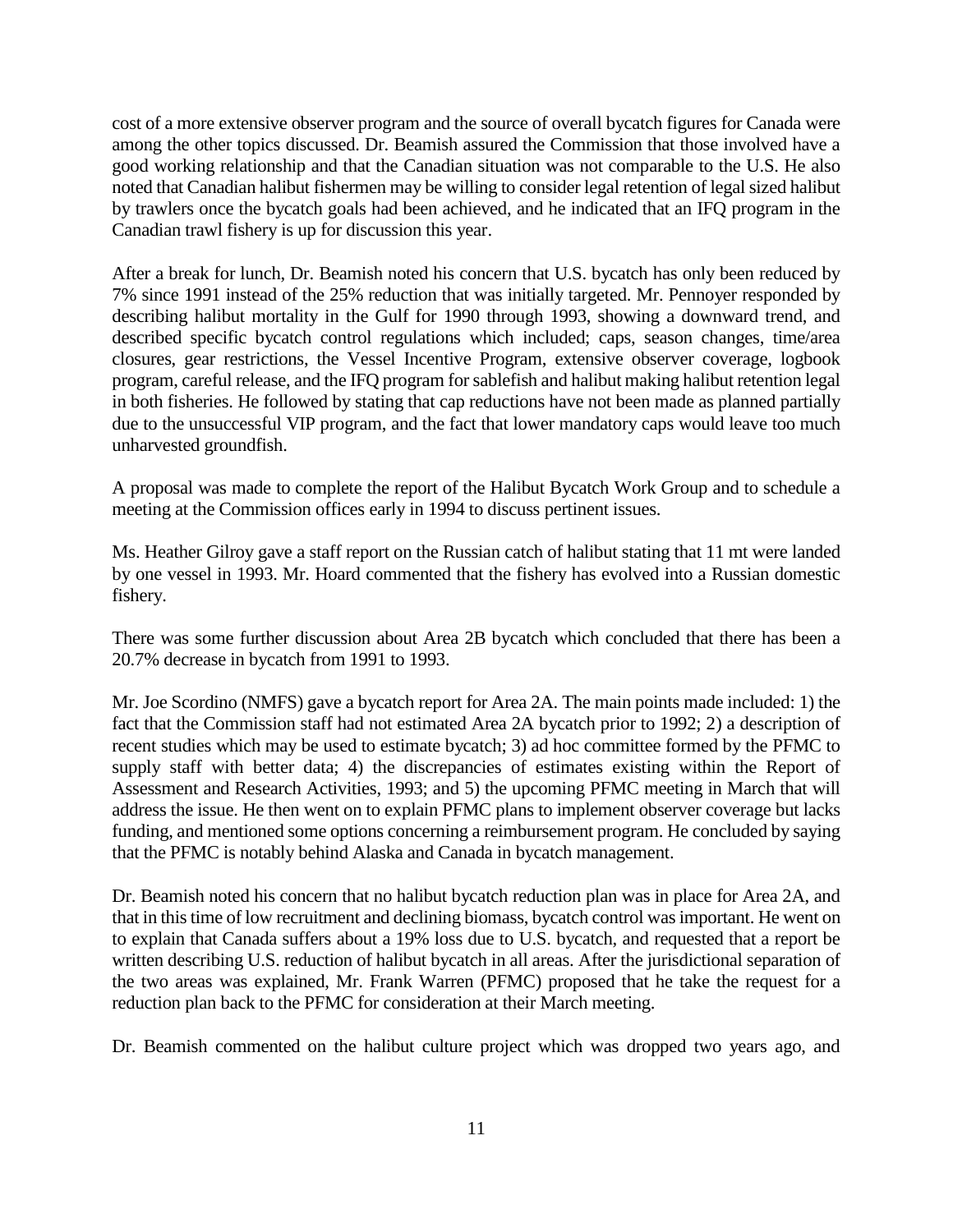cost of a more extensive observer program and the source of overall bycatch figures for Canada were among the other topics discussed. Dr. Beamish assured the Commission that those involved have a good working relationship and that the Canadian situation was not comparable to the U.S. He also noted that Canadian halibut fishermen may be willing to consider legal retention of legal sized halibut by trawlers once the bycatch goals had been achieved, and he indicated that an IFQ program in the Canadian trawl fishery is up for discussion this year.

After a break for lunch, Dr. Beamish noted his concern that U.S. bycatch has only been reduced by 7% since 1991 instead of the 25% reduction that was initially targeted. Mr. Pennoyer responded by describing halibut mortality in the Gulf for 1990 through 1993, showing a downward trend, and described specific bycatch control regulations which included; caps, season changes, time/area closures, gear restrictions, the Vessel Incentive Program, extensive observer coverage, logbook program, careful release, and the IFQ program for sablefish and halibut making halibut retention legal in both fisheries. He followed by stating that cap reductions have not been made as planned partially due to the unsuccessful VIP program, and the fact that lower mandatory caps would leave too much unharvested groundfish.

A proposal was made to complete the report of the Halibut Bycatch Work Group and to schedule a meeting at the Commission offices early in 1994 to discuss pertinent issues.

Ms. Heather Gilroy gave a staff report on the Russian catch of halibut stating that 11 mt were landed by one vessel in 1993. Mr. Hoard commented that the fishery has evolved into a Russian domestic fishery.

There was some further discussion about Area 2B bycatch which concluded that there has been a 20.7% decrease in bycatch from 1991 to 1993.

Mr. Joe Scordino (NMFS) gave a bycatch report for Area 2A. The main points made included: 1) the fact that the Commission staff had not estimated Area 2A bycatch prior to 1992; 2) a description of recent studies which may be used to estimate bycatch; 3) ad hoc committee formed by the PFMC to supply staff with better data; 4) the discrepancies of estimates existing within the Report of Assessment and Research Activities, 1993; and 5) the upcoming PFMC meeting in March that will address the issue. He then went on to explain PFMC plans to implement observer coverage but lacks funding, and mentioned some options concerning a reimbursement program. He concluded by saying that the PFMC is notably behind Alaska and Canada in bycatch management.

Dr. Beamish noted his concern that no halibut bycatch reduction plan was in place for Area 2A, and that in this time of low recruitment and declining biomass, bycatch control was important. He went on to explain that Canada suffers about a 19% loss due to U.S. bycatch, and requested that a report be written describing U.S. reduction of halibut bycatch in all areas. After the jurisdictional separation of the two areas was explained, Mr. Frank Warren (PFMC) proposed that he take the request for a reduction plan back to the PFMC for consideration at their March meeting.

Dr. Beamish commented on the halibut culture project which was dropped two years ago, and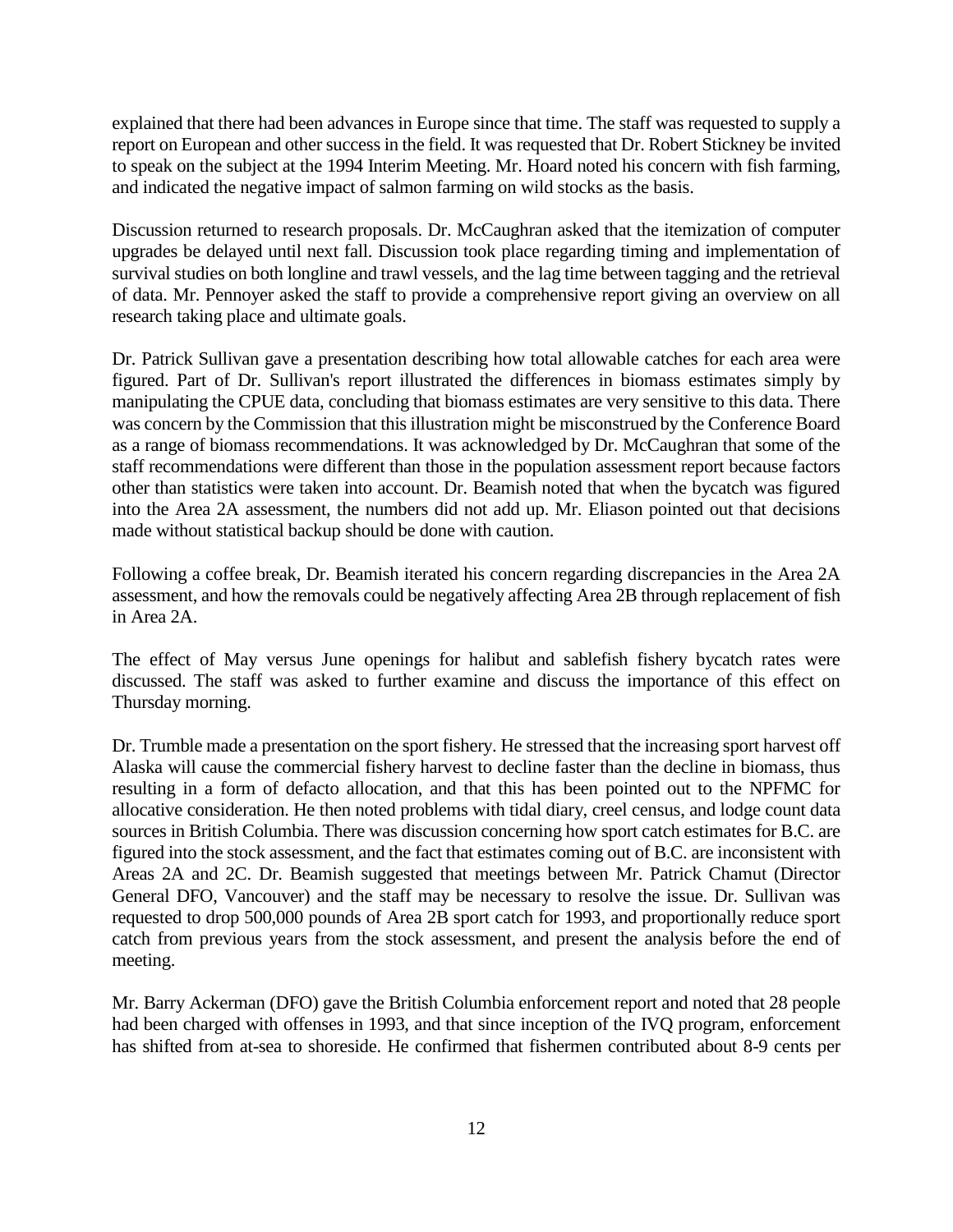explained that there had been advances in Europe since that time. The staff was requested to supply a report on European and other success in the field. It was requested that Dr. Robert Stickney be invited to speak on the subject at the 1994 Interim Meeting. Mr. Hoard noted his concern with fish farming, and indicated the negative impact of salmon farming on wild stocks as the basis.

Discussion returned to research proposals. Dr. McCaughran asked that the itemization of computer upgrades be delayed until next fall. Discussion took place regarding timing and implementation of survival studies on both longline and trawl vessels, and the lag time between tagging and the retrieval of data. Mr. Pennoyer asked the staff to provide a comprehensive report giving an overview on all research taking place and ultimate goals.

Dr. Patrick Sullivan gave a presentation describing how total allowable catches for each area were figured. Part of Dr. Sullivan's report illustrated the differences in biomass estimates simply by manipulating the CPUE data, concluding that biomass estimates are very sensitive to this data. There was concern by the Commission that this illustration might be misconstrued by the Conference Board as a range of biomass recommendations. It was acknowledged by Dr. McCaughran that some of the staff recommendations were different than those in the population assessment report because factors other than statistics were taken into account. Dr. Beamish noted that when the bycatch was figured into the Area 2A assessment, the numbers did not add up. Mr. Eliason pointed out that decisions made without statistical backup should be done with caution.

Following a coffee break, Dr. Beamish iterated his concern regarding discrepancies in the Area 2A assessment, and how the removals could be negatively affecting Area 2B through replacement of fish in Area 2A.

The effect of May versus June openings for halibut and sablefish fishery bycatch rates were discussed. The staff was asked to further examine and discuss the importance of this effect on Thursday morning.

Dr. Trumble made a presentation on the sport fishery. He stressed that the increasing sport harvest off Alaska will cause the commercial fishery harvest to decline faster than the decline in biomass, thus resulting in a form of defacto allocation, and that this has been pointed out to the NPFMC for allocative consideration. He then noted problems with tidal diary, creel census, and lodge count data sources in British Columbia. There was discussion concerning how sport catch estimates for B.C. are figured into the stock assessment, and the fact that estimates coming out of B.C. are inconsistent with Areas 2A and 2C. Dr. Beamish suggested that meetings between Mr. Patrick Chamut (Director General DFO, Vancouver) and the staff may be necessary to resolve the issue. Dr. Sullivan was requested to drop 500,000 pounds of Area 2B sport catch for 1993, and proportionally reduce sport catch from previous years from the stock assessment, and present the analysis before the end of meeting.

Mr. Barry Ackerman (DFO) gave the British Columbia enforcement report and noted that 28 people had been charged with offenses in 1993, and that since inception of the IVQ program, enforcement has shifted from at-sea to shoreside. He confirmed that fishermen contributed about 8-9 cents per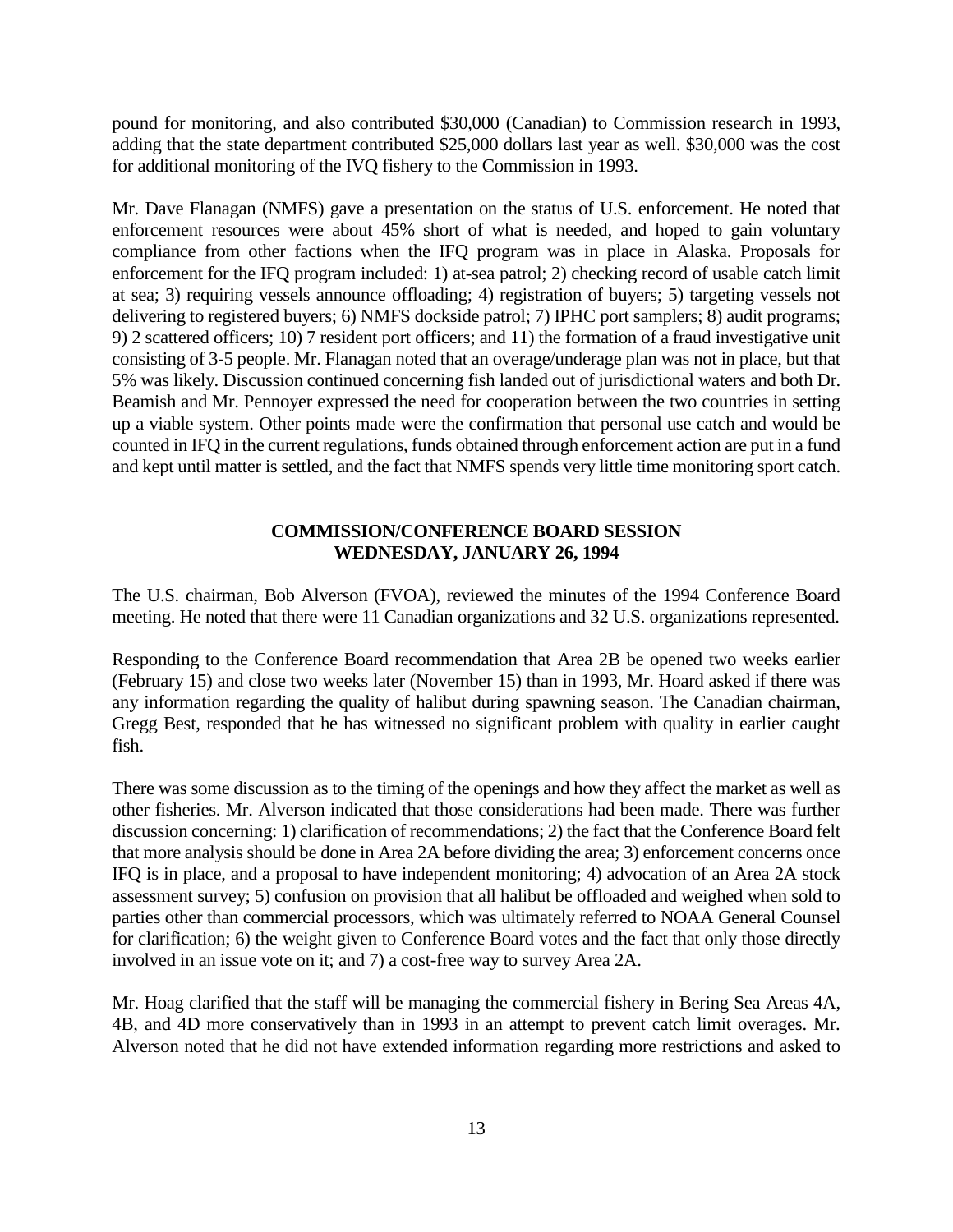pound for monitoring, and also contributed \$30,000 (Canadian) to Commission research in 1993, adding that the state department contributed \$25,000 dollars last year as well. \$30,000 was the cost for additional monitoring of the IVQ fishery to the Commission in 1993.

Mr. Dave Flanagan (NMFS) gave a presentation on the status of U.S. enforcement. He noted that enforcement resources were about 45% short of what is needed, and hoped to gain voluntary compliance from other factions when the IFQ program was in place in Alaska. Proposals for enforcement for the IFQ program included: 1) at-sea patrol; 2) checking record of usable catch limit at sea; 3) requiring vessels announce offloading; 4) registration of buyers; 5) targeting vessels not delivering to registered buyers; 6) NMFS dockside patrol; 7) IPHC port samplers; 8) audit programs; 9) 2 scattered officers; 10) 7 resident port officers; and 11) the formation of a fraud investigative unit consisting of 3-5 people. Mr. Flanagan noted that an overage/underage plan was not in place, but that 5% was likely. Discussion continued concerning fish landed out of jurisdictional waters and both Dr. Beamish and Mr. Pennoyer expressed the need for cooperation between the two countries in setting up a viable system. Other points made were the confirmation that personal use catch and would be counted in IFQ in the current regulations, funds obtained through enforcement action are put in a fund and kept until matter is settled, and the fact that NMFS spends very little time monitoring sport catch.

### **COMMISSION/CONFERENCE BOARD SESSION WEDNESDAY, JANUARY 26, 1994**

The U.S. chairman, Bob Alverson (FVOA), reviewed the minutes of the 1994 Conference Board meeting. He noted that there were 11 Canadian organizations and 32 U.S. organizations represented.

Responding to the Conference Board recommendation that Area 2B be opened two weeks earlier (February 15) and close two weeks later (November 15) than in 1993, Mr. Hoard asked if there was any information regarding the quality of halibut during spawning season. The Canadian chairman, Gregg Best, responded that he has witnessed no significant problem with quality in earlier caught fish.

There was some discussion as to the timing of the openings and how they affect the market as well as other fisheries. Mr. Alverson indicated that those considerations had been made. There was further discussion concerning: 1) clarification of recommendations; 2) the fact that the Conference Board felt that more analysis should be done in Area 2A before dividing the area; 3) enforcement concerns once IFQ is in place, and a proposal to have independent monitoring; 4) advocation of an Area 2A stock assessment survey; 5) confusion on provision that all halibut be offloaded and weighed when sold to parties other than commercial processors, which was ultimately referred to NOAA General Counsel for clarification; 6) the weight given to Conference Board votes and the fact that only those directly involved in an issue vote on it; and 7) a cost-free way to survey Area 2A.

Mr. Hoag clarified that the staff will be managing the commercial fishery in Bering Sea Areas 4A, 4B, and 4D more conservatively than in 1993 in an attempt to prevent catch limit overages. Mr. Alverson noted that he did not have extended information regarding more restrictions and asked to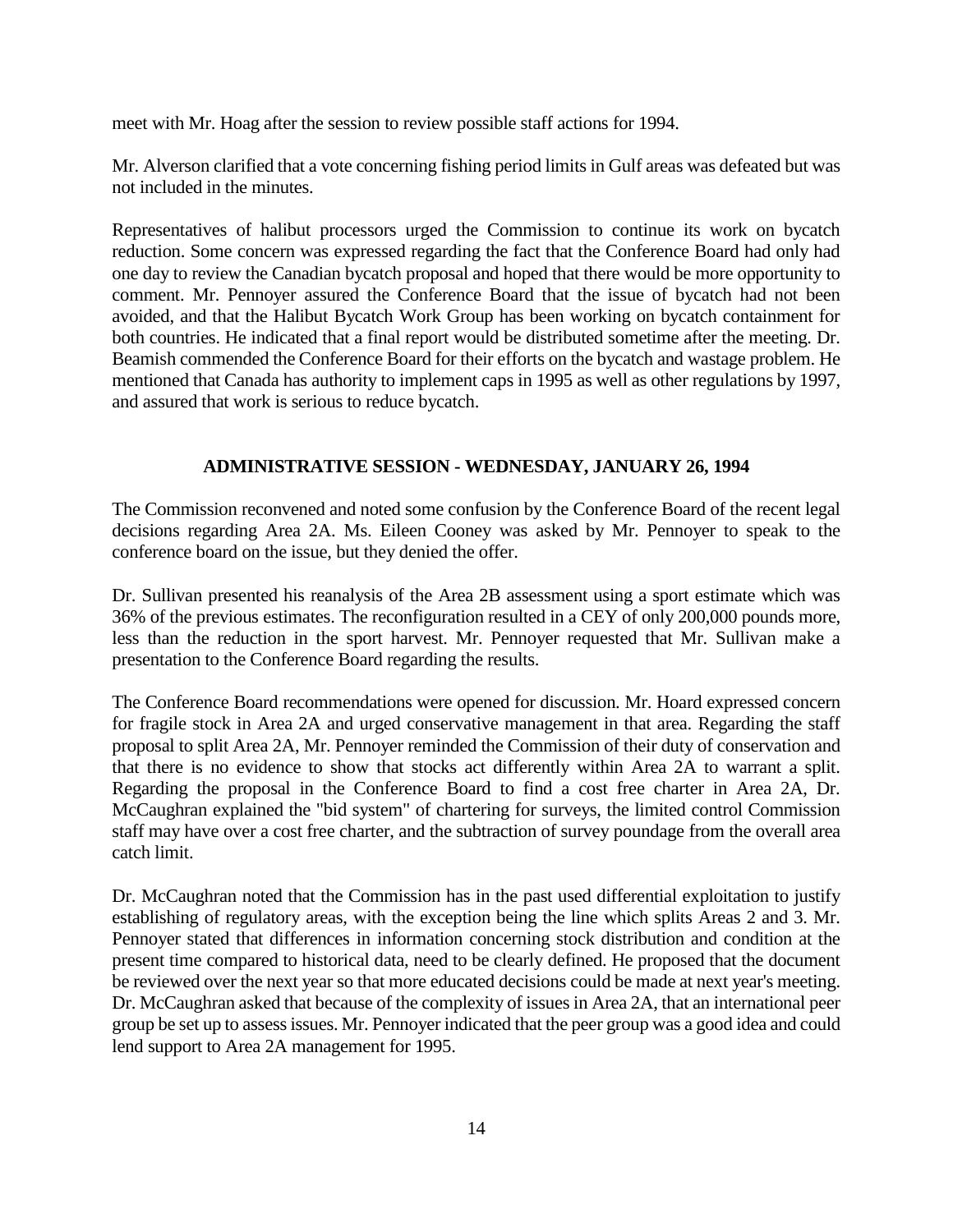meet with Mr. Hoag after the session to review possible staff actions for 1994.

Mr. Alverson clarified that a vote concerning fishing period limits in Gulf areas was defeated but was not included in the minutes.

Representatives of halibut processors urged the Commission to continue its work on bycatch reduction. Some concern was expressed regarding the fact that the Conference Board had only had one day to review the Canadian bycatch proposal and hoped that there would be more opportunity to comment. Mr. Pennoyer assured the Conference Board that the issue of bycatch had not been avoided, and that the Halibut Bycatch Work Group has been working on bycatch containment for both countries. He indicated that a final report would be distributed sometime after the meeting. Dr. Beamish commended the Conference Board for their efforts on the bycatch and wastage problem. He mentioned that Canada has authority to implement caps in 1995 as well as other regulations by 1997, and assured that work is serious to reduce bycatch.

## **ADMINISTRATIVE SESSION - WEDNESDAY, JANUARY 26, 1994**

The Commission reconvened and noted some confusion by the Conference Board of the recent legal decisions regarding Area 2A. Ms. Eileen Cooney was asked by Mr. Pennoyer to speak to the conference board on the issue, but they denied the offer.

Dr. Sullivan presented his reanalysis of the Area 2B assessment using a sport estimate which was 36% of the previous estimates. The reconfiguration resulted in a CEY of only 200,000 pounds more, less than the reduction in the sport harvest. Mr. Pennoyer requested that Mr. Sullivan make a presentation to the Conference Board regarding the results.

The Conference Board recommendations were opened for discussion. Mr. Hoard expressed concern for fragile stock in Area 2A and urged conservative management in that area. Regarding the staff proposal to split Area 2A, Mr. Pennoyer reminded the Commission of their duty of conservation and that there is no evidence to show that stocks act differently within Area 2A to warrant a split. Regarding the proposal in the Conference Board to find a cost free charter in Area 2A, Dr. McCaughran explained the "bid system" of chartering for surveys, the limited control Commission staff may have over a cost free charter, and the subtraction of survey poundage from the overall area catch limit.

Dr. McCaughran noted that the Commission has in the past used differential exploitation to justify establishing of regulatory areas, with the exception being the line which splits Areas 2 and 3. Mr. Pennoyer stated that differences in information concerning stock distribution and condition at the present time compared to historical data, need to be clearly defined. He proposed that the document be reviewed over the next year so that more educated decisions could be made at next year's meeting. Dr. McCaughran asked that because of the complexity of issues in Area 2A, that an international peer group be set up to assess issues. Mr. Pennoyer indicated that the peer group was a good idea and could lend support to Area 2A management for 1995.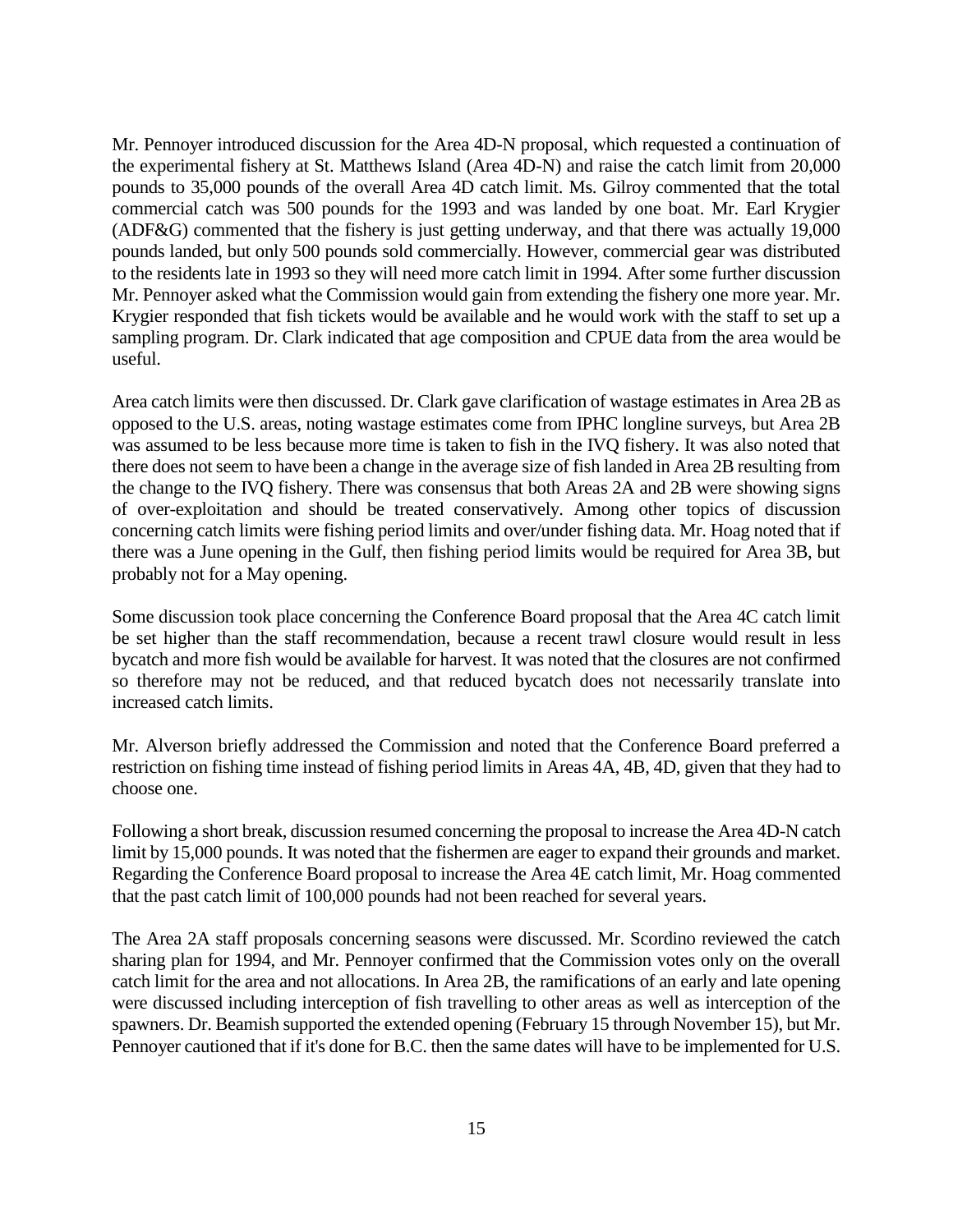Mr. Pennoyer introduced discussion for the Area 4D-N proposal, which requested a continuation of the experimental fishery at St. Matthews Island (Area 4D-N) and raise the catch limit from 20,000 pounds to 35,000 pounds of the overall Area 4D catch limit. Ms. Gilroy commented that the total commercial catch was 500 pounds for the 1993 and was landed by one boat. Mr. Earl Krygier (ADF&G) commented that the fishery is just getting underway, and that there was actually 19,000 pounds landed, but only 500 pounds sold commercially. However, commercial gear was distributed to the residents late in 1993 so they will need more catch limit in 1994. After some further discussion Mr. Pennoyer asked what the Commission would gain from extending the fishery one more year. Mr. Krygier responded that fish tickets would be available and he would work with the staff to set up a sampling program. Dr. Clark indicated that age composition and CPUE data from the area would be useful.

Area catch limits were then discussed. Dr. Clark gave clarification of wastage estimates in Area 2B as opposed to the U.S. areas, noting wastage estimates come from IPHC longline surveys, but Area 2B was assumed to be less because more time is taken to fish in the IVQ fishery. It was also noted that there does not seem to have been a change in the average size of fish landed in Area 2B resulting from the change to the IVQ fishery. There was consensus that both Areas 2A and 2B were showing signs of over-exploitation and should be treated conservatively. Among other topics of discussion concerning catch limits were fishing period limits and over/under fishing data. Mr. Hoag noted that if there was a June opening in the Gulf, then fishing period limits would be required for Area 3B, but probably not for a May opening.

Some discussion took place concerning the Conference Board proposal that the Area 4C catch limit be set higher than the staff recommendation, because a recent trawl closure would result in less bycatch and more fish would be available for harvest. It was noted that the closures are not confirmed so therefore may not be reduced, and that reduced bycatch does not necessarily translate into increased catch limits.

Mr. Alverson briefly addressed the Commission and noted that the Conference Board preferred a restriction on fishing time instead of fishing period limits in Areas 4A, 4B, 4D, given that they had to choose one.

Following a short break, discussion resumed concerning the proposal to increase the Area 4D-N catch limit by 15,000 pounds. It was noted that the fishermen are eager to expand their grounds and market. Regarding the Conference Board proposal to increase the Area 4E catch limit, Mr. Hoag commented that the past catch limit of 100,000 pounds had not been reached for several years.

The Area 2A staff proposals concerning seasons were discussed. Mr. Scordino reviewed the catch sharing plan for 1994, and Mr. Pennoyer confirmed that the Commission votes only on the overall catch limit for the area and not allocations. In Area 2B, the ramifications of an early and late opening were discussed including interception of fish travelling to other areas as well as interception of the spawners. Dr. Beamish supported the extended opening (February 15 through November 15), but Mr. Pennoyer cautioned that if it's done for B.C. then the same dates will have to be implemented for U.S.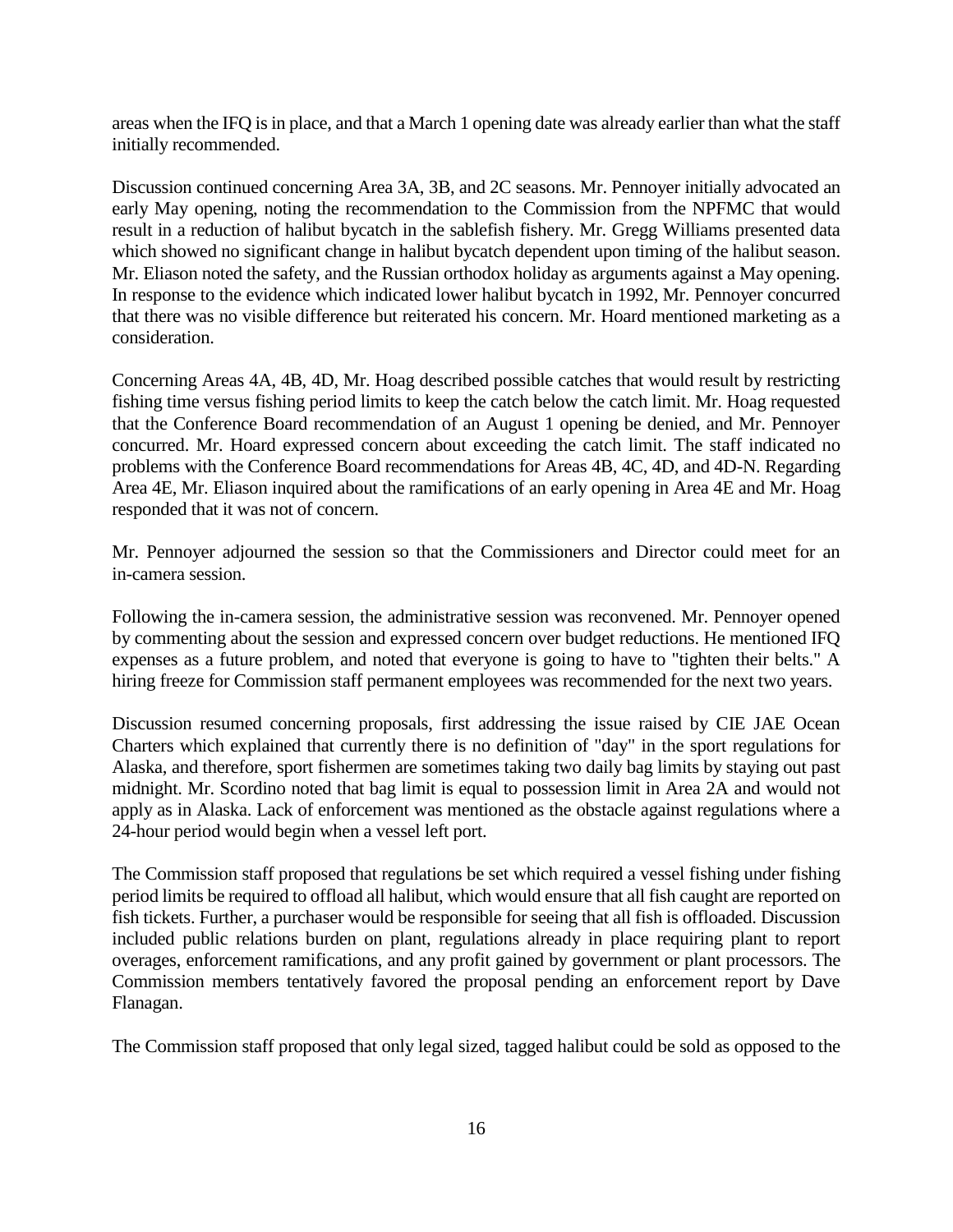areas when the IFQ is in place, and that a March 1 opening date was already earlier than what the staff initially recommended.

Discussion continued concerning Area 3A, 3B, and 2C seasons. Mr. Pennoyer initially advocated an early May opening, noting the recommendation to the Commission from the NPFMC that would result in a reduction of halibut bycatch in the sablefish fishery. Mr. Gregg Williams presented data which showed no significant change in halibut bycatch dependent upon timing of the halibut season. Mr. Eliason noted the safety, and the Russian orthodox holiday as arguments against a May opening. In response to the evidence which indicated lower halibut bycatch in 1992, Mr. Pennoyer concurred that there was no visible difference but reiterated his concern. Mr. Hoard mentioned marketing as a consideration.

Concerning Areas 4A, 4B, 4D, Mr. Hoag described possible catches that would result by restricting fishing time versus fishing period limits to keep the catch below the catch limit. Mr. Hoag requested that the Conference Board recommendation of an August 1 opening be denied, and Mr. Pennoyer concurred. Mr. Hoard expressed concern about exceeding the catch limit. The staff indicated no problems with the Conference Board recommendations for Areas 4B, 4C, 4D, and 4D-N. Regarding Area 4E, Mr. Eliason inquired about the ramifications of an early opening in Area 4E and Mr. Hoag responded that it was not of concern.

Mr. Pennoyer adjourned the session so that the Commissioners and Director could meet for an in-camera session.

Following the in-camera session, the administrative session was reconvened. Mr. Pennoyer opened by commenting about the session and expressed concern over budget reductions. He mentioned IFQ expenses as a future problem, and noted that everyone is going to have to "tighten their belts." A hiring freeze for Commission staff permanent employees was recommended for the next two years.

Discussion resumed concerning proposals, first addressing the issue raised by CIE JAE Ocean Charters which explained that currently there is no definition of "day" in the sport regulations for Alaska, and therefore, sport fishermen are sometimes taking two daily bag limits by staying out past midnight. Mr. Scordino noted that bag limit is equal to possession limit in Area 2A and would not apply as in Alaska. Lack of enforcement was mentioned as the obstacle against regulations where a 24-hour period would begin when a vessel left port.

The Commission staff proposed that regulations be set which required a vessel fishing under fishing period limits be required to offload all halibut, which would ensure that all fish caught are reported on fish tickets. Further, a purchaser would be responsible for seeing that all fish is offloaded. Discussion included public relations burden on plant, regulations already in place requiring plant to report overages, enforcement ramifications, and any profit gained by government or plant processors. The Commission members tentatively favored the proposal pending an enforcement report by Dave Flanagan.

The Commission staff proposed that only legal sized, tagged halibut could be sold as opposed to the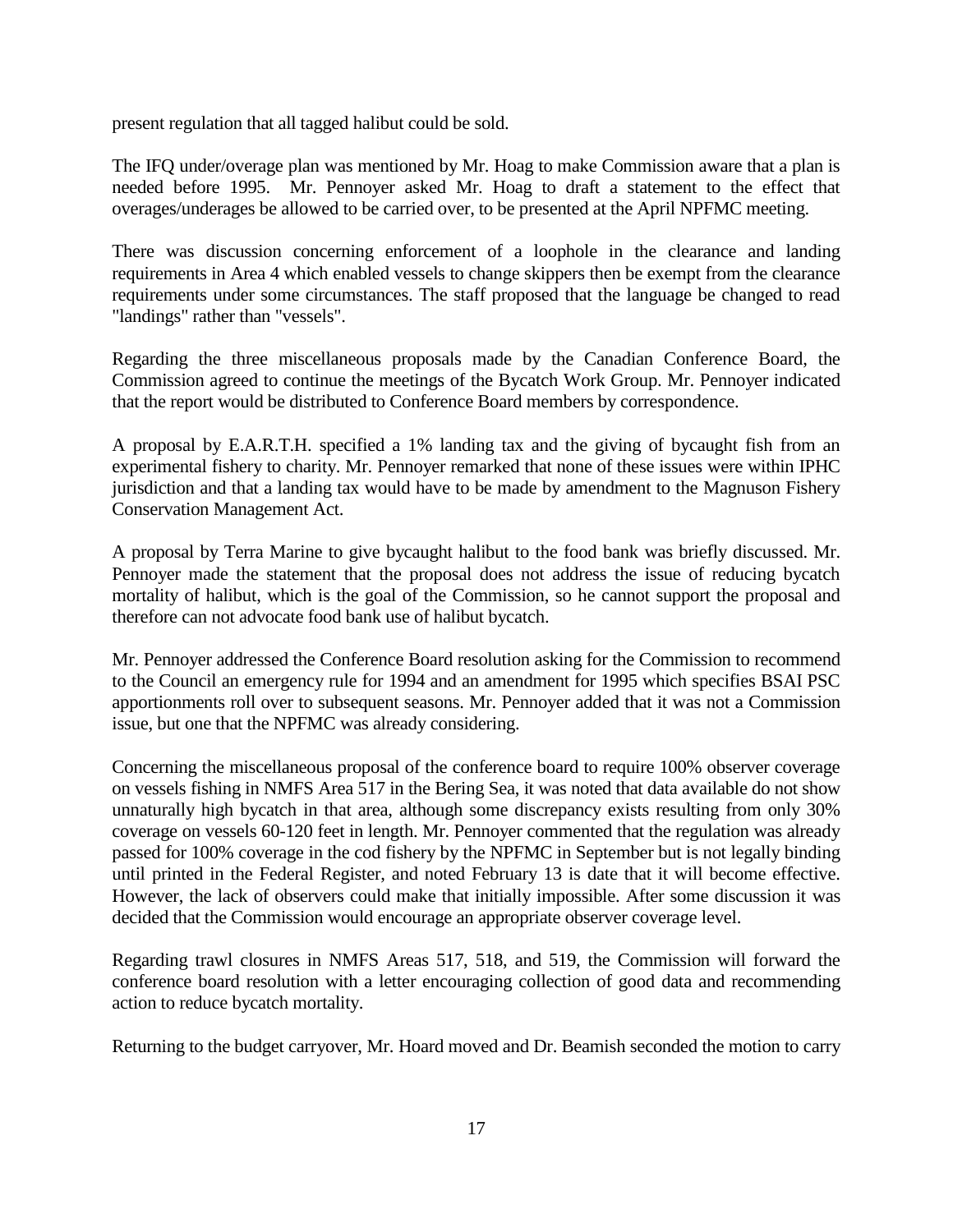present regulation that all tagged halibut could be sold.

The IFQ under/overage plan was mentioned by Mr. Hoag to make Commission aware that a plan is needed before 1995. Mr. Pennoyer asked Mr. Hoag to draft a statement to the effect that overages/underages be allowed to be carried over, to be presented at the April NPFMC meeting.

There was discussion concerning enforcement of a loophole in the clearance and landing requirements in Area 4 which enabled vessels to change skippers then be exempt from the clearance requirements under some circumstances. The staff proposed that the language be changed to read "landings" rather than "vessels".

Regarding the three miscellaneous proposals made by the Canadian Conference Board, the Commission agreed to continue the meetings of the Bycatch Work Group. Mr. Pennoyer indicated that the report would be distributed to Conference Board members by correspondence.

A proposal by E.A.R.T.H. specified a 1% landing tax and the giving of bycaught fish from an experimental fishery to charity. Mr. Pennoyer remarked that none of these issues were within IPHC jurisdiction and that a landing tax would have to be made by amendment to the Magnuson Fishery Conservation Management Act.

A proposal by Terra Marine to give bycaught halibut to the food bank was briefly discussed. Mr. Pennoyer made the statement that the proposal does not address the issue of reducing bycatch mortality of halibut, which is the goal of the Commission, so he cannot support the proposal and therefore can not advocate food bank use of halibut bycatch.

Mr. Pennoyer addressed the Conference Board resolution asking for the Commission to recommend to the Council an emergency rule for 1994 and an amendment for 1995 which specifies BSAI PSC apportionments roll over to subsequent seasons. Mr. Pennoyer added that it was not a Commission issue, but one that the NPFMC was already considering.

Concerning the miscellaneous proposal of the conference board to require 100% observer coverage on vessels fishing in NMFS Area 517 in the Bering Sea, it was noted that data available do not show unnaturally high bycatch in that area, although some discrepancy exists resulting from only 30% coverage on vessels 60-120 feet in length. Mr. Pennoyer commented that the regulation was already passed for 100% coverage in the cod fishery by the NPFMC in September but is not legally binding until printed in the Federal Register, and noted February 13 is date that it will become effective. However, the lack of observers could make that initially impossible. After some discussion it was decided that the Commission would encourage an appropriate observer coverage level.

Regarding trawl closures in NMFS Areas 517, 518, and 519, the Commission will forward the conference board resolution with a letter encouraging collection of good data and recommending action to reduce bycatch mortality.

Returning to the budget carryover, Mr. Hoard moved and Dr. Beamish seconded the motion to carry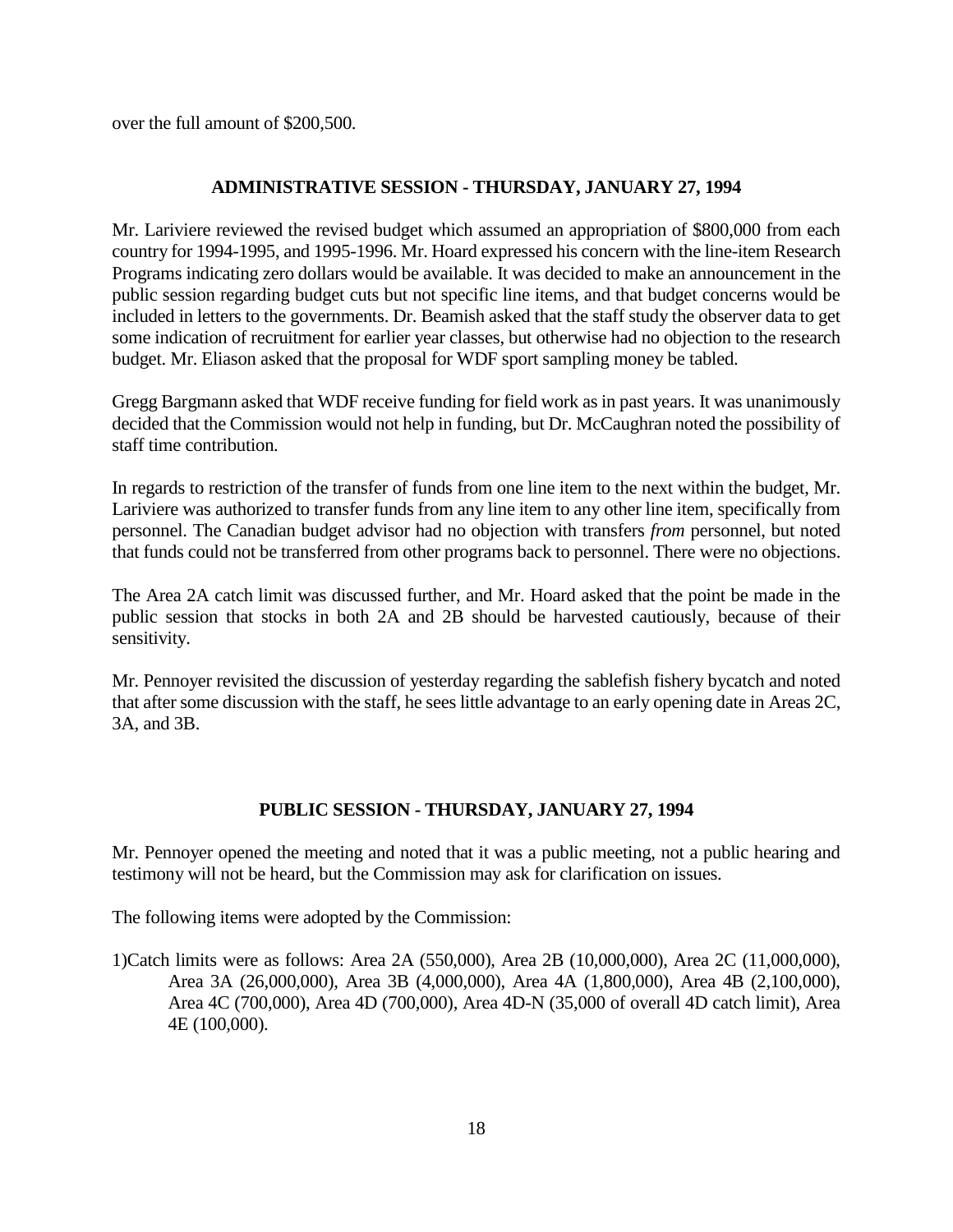over the full amount of \$200,500.

## **ADMINISTRATIVE SESSION - THURSDAY, JANUARY 27, 1994**

Mr. Lariviere reviewed the revised budget which assumed an appropriation of \$800,000 from each country for 1994-1995, and 1995-1996. Mr. Hoard expressed his concern with the line-item Research Programs indicating zero dollars would be available. It was decided to make an announcement in the public session regarding budget cuts but not specific line items, and that budget concerns would be included in letters to the governments. Dr. Beamish asked that the staff study the observer data to get some indication of recruitment for earlier year classes, but otherwise had no objection to the research budget. Mr. Eliason asked that the proposal for WDF sport sampling money be tabled.

Gregg Bargmann asked that WDF receive funding for field work as in past years. It was unanimously decided that the Commission would not help in funding, but Dr. McCaughran noted the possibility of staff time contribution.

In regards to restriction of the transfer of funds from one line item to the next within the budget, Mr. Lariviere was authorized to transfer funds from any line item to any other line item, specifically from personnel. The Canadian budget advisor had no objection with transfers *from* personnel, but noted that funds could not be transferred from other programs back to personnel. There were no objections.

The Area 2A catch limit was discussed further, and Mr. Hoard asked that the point be made in the public session that stocks in both 2A and 2B should be harvested cautiously, because of their sensitivity.

Mr. Pennoyer revisited the discussion of yesterday regarding the sablefish fishery bycatch and noted that after some discussion with the staff, he sees little advantage to an early opening date in Areas 2C, 3A, and 3B.

## **PUBLIC SESSION - THURSDAY, JANUARY 27, 1994**

Mr. Pennoyer opened the meeting and noted that it was a public meeting, not a public hearing and testimony will not be heard, but the Commission may ask for clarification on issues.

The following items were adopted by the Commission:

1)Catch limits were as follows: Area 2A (550,000), Area 2B (10,000,000), Area 2C (11,000,000), Area 3A (26,000,000), Area 3B (4,000,000), Area 4A (1,800,000), Area 4B (2,100,000), Area 4C (700,000), Area 4D (700,000), Area 4D-N (35,000 of overall 4D catch limit), Area 4E (100,000).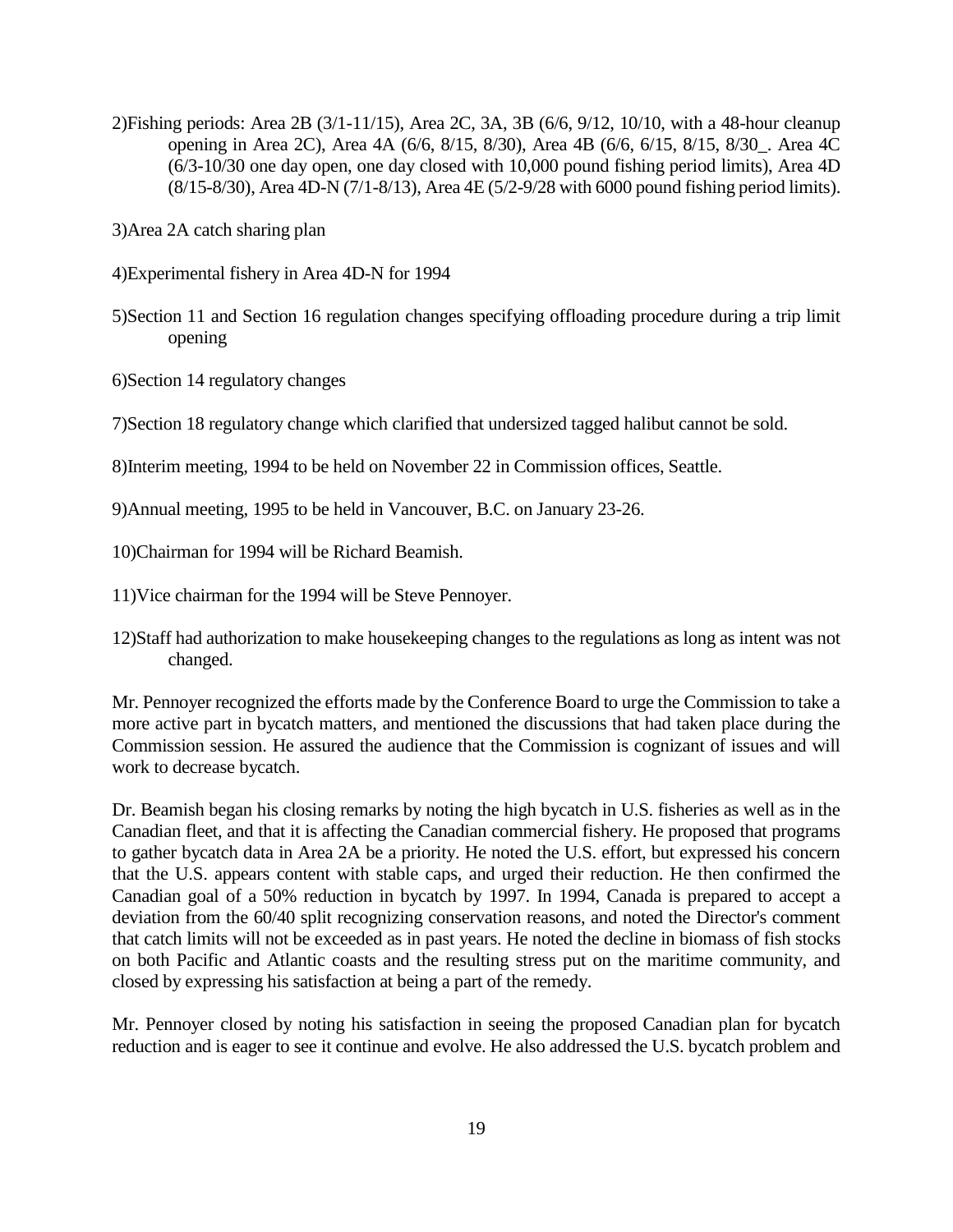2)Fishing periods: Area 2B (3/1-11/15), Area 2C, 3A, 3B (6/6, 9/12, 10/10, with a 48-hour cleanup opening in Area 2C), Area 4A (6/6, 8/15, 8/30), Area 4B (6/6, 6/15, 8/15, 8/30\_. Area 4C (6/3-10/30 one day open, one day closed with 10,000 pound fishing period limits), Area 4D (8/15-8/30), Area 4D-N (7/1-8/13), Area 4E (5/2-9/28 with 6000 pound fishing period limits).

3)Area 2A catch sharing plan

4)Experimental fishery in Area 4D-N for 1994

- 5)Section 11 and Section 16 regulation changes specifying offloading procedure during a trip limit opening
- 6)Section 14 regulatory changes

7)Section 18 regulatory change which clarified that undersized tagged halibut cannot be sold.

8)Interim meeting, 1994 to be held on November 22 in Commission offices, Seattle.

9)Annual meeting, 1995 to be held in Vancouver, B.C. on January 23-26.

10)Chairman for 1994 will be Richard Beamish.

11)Vice chairman for the 1994 will be Steve Pennoyer.

12)Staff had authorization to make housekeeping changes to the regulations as long as intent was not changed.

Mr. Pennoyer recognized the efforts made by the Conference Board to urge the Commission to take a more active part in bycatch matters, and mentioned the discussions that had taken place during the Commission session. He assured the audience that the Commission is cognizant of issues and will work to decrease bycatch.

Dr. Beamish began his closing remarks by noting the high bycatch in U.S. fisheries as well as in the Canadian fleet, and that it is affecting the Canadian commercial fishery. He proposed that programs to gather bycatch data in Area 2A be a priority. He noted the U.S. effort, but expressed his concern that the U.S. appears content with stable caps, and urged their reduction. He then confirmed the Canadian goal of a 50% reduction in bycatch by 1997. In 1994, Canada is prepared to accept a deviation from the 60/40 split recognizing conservation reasons, and noted the Director's comment that catch limits will not be exceeded as in past years. He noted the decline in biomass of fish stocks on both Pacific and Atlantic coasts and the resulting stress put on the maritime community, and closed by expressing his satisfaction at being a part of the remedy.

Mr. Pennoyer closed by noting his satisfaction in seeing the proposed Canadian plan for bycatch reduction and is eager to see it continue and evolve. He also addressed the U.S. bycatch problem and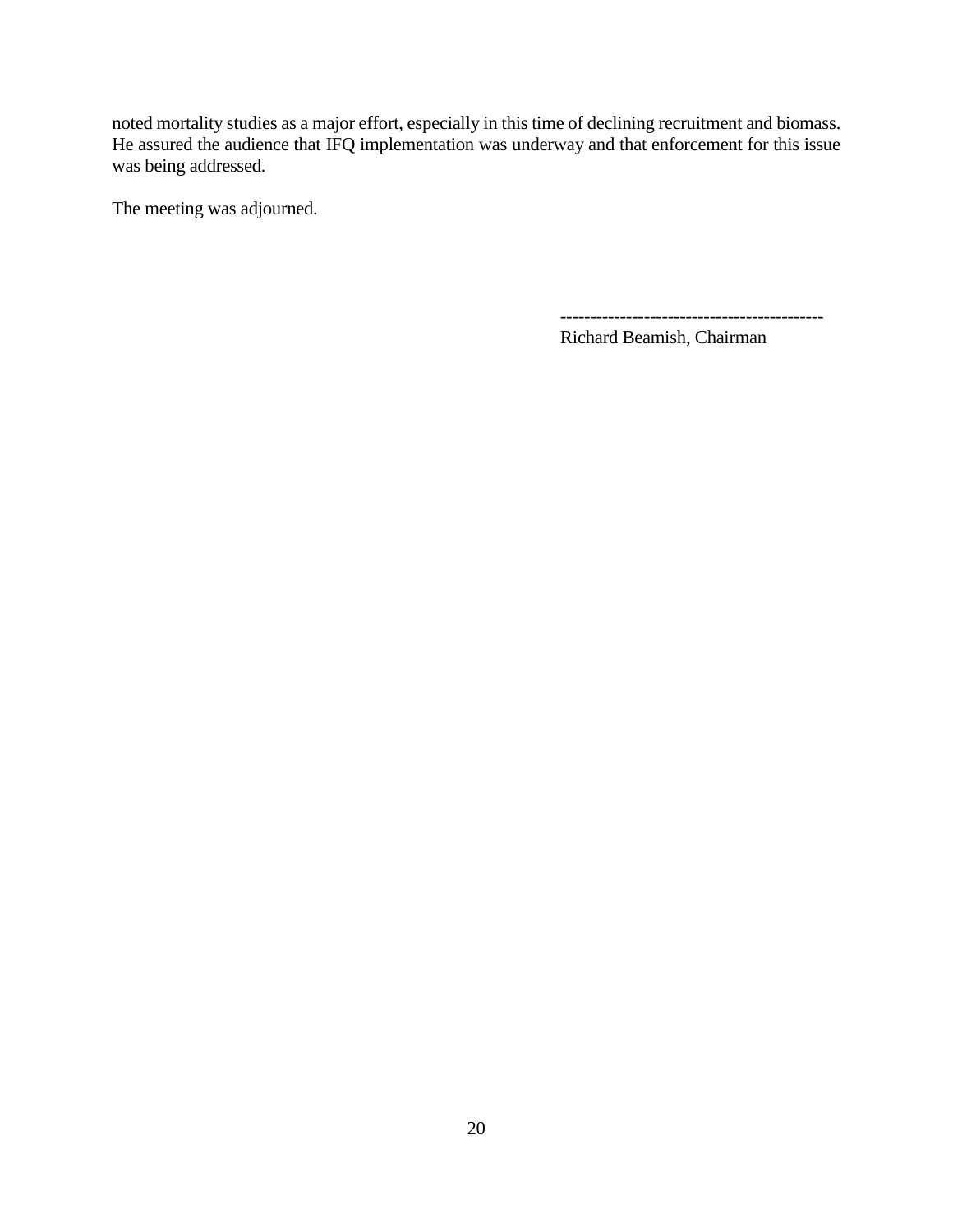noted mortality studies as a major effort, especially in this time of declining recruitment and biomass. He assured the audience that IFQ implementation was underway and that enforcement for this issue was being addressed.

The meeting was adjourned.

--------------------------------------------

Richard Beamish, Chairman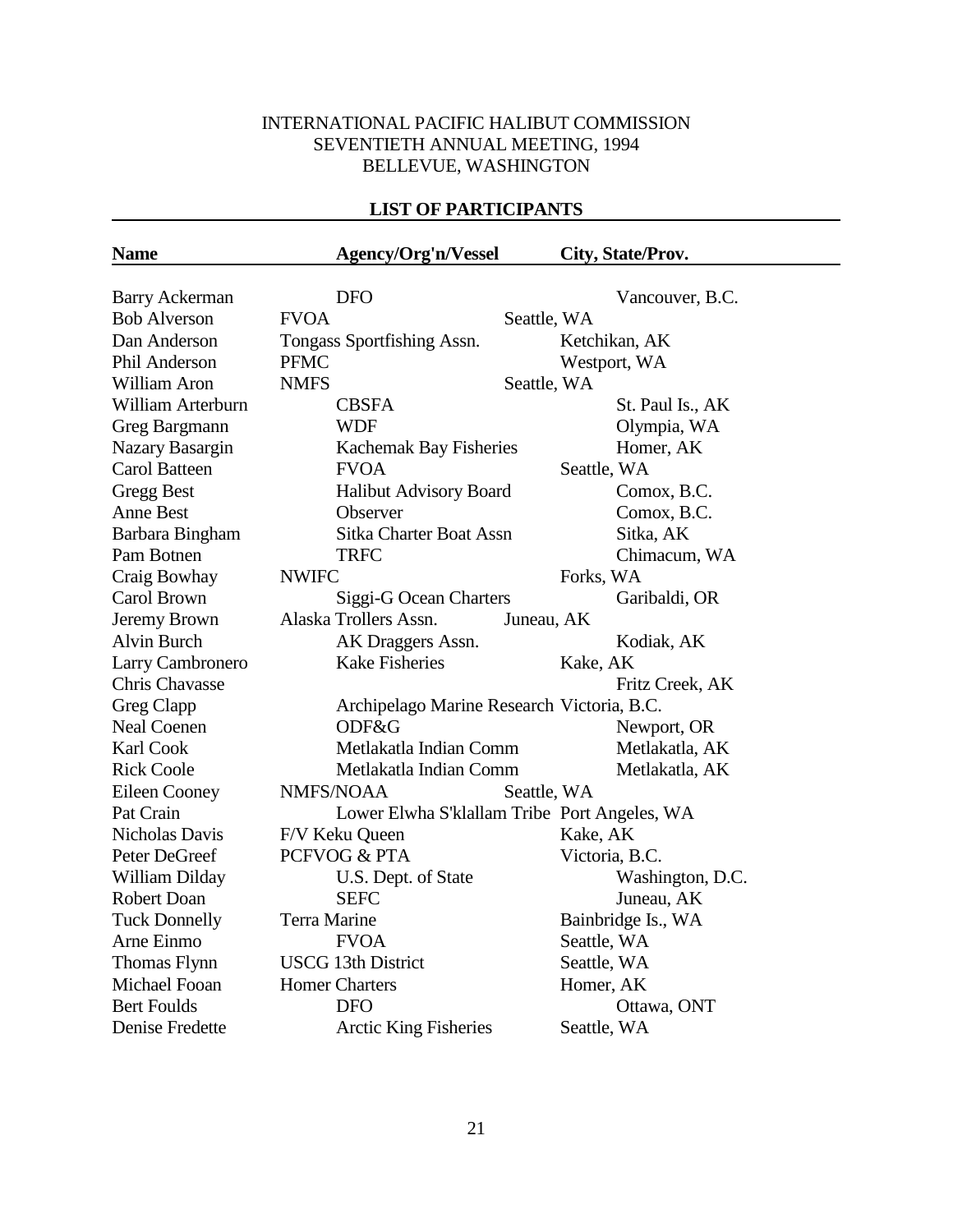# INTERNATIONAL PACIFIC HALIBUT COMMISSION SEVENTIETH ANNUAL MEETING, 1994 BELLEVUE, WASHINGTON

# **LIST OF PARTICIPANTS**

| <b>Name</b>           |              | Agency/Org'n/Vessel                          |             |                | City, State/Prov.  |
|-----------------------|--------------|----------------------------------------------|-------------|----------------|--------------------|
|                       |              |                                              |             |                |                    |
| <b>Barry Ackerman</b> |              | <b>DFO</b>                                   |             |                | Vancouver, B.C.    |
| <b>Bob Alverson</b>   | <b>FVOA</b>  |                                              | Seattle, WA |                |                    |
| Dan Anderson          |              | Tongass Sportfishing Assn.                   |             |                | Ketchikan, AK      |
| Phil Anderson         | <b>PFMC</b>  |                                              |             |                | Westport, WA       |
| William Aron          | <b>NMFS</b>  |                                              | Seattle, WA |                |                    |
| William Arterburn     |              | <b>CBSFA</b>                                 |             |                | St. Paul Is., AK   |
| Greg Bargmann         |              | <b>WDF</b>                                   |             |                | Olympia, WA        |
| Nazary Basargin       |              | Kachemak Bay Fisheries                       |             |                | Homer, AK          |
| <b>Carol Batteen</b>  |              | <b>FVOA</b>                                  |             | Seattle, WA    |                    |
| <b>Gregg Best</b>     |              | Halibut Advisory Board                       |             |                | Comox, B.C.        |
| <b>Anne Best</b>      |              | Observer                                     |             |                | Comox, B.C.        |
| Barbara Bingham       |              | <b>Sitka Charter Boat Assn</b>               |             |                | Sitka, AK          |
| Pam Botnen            |              | <b>TRFC</b>                                  |             |                | Chimacum, WA       |
| Craig Bowhay          | <b>NWIFC</b> |                                              |             | Forks, WA      |                    |
| Carol Brown           |              | Siggi-G Ocean Charters                       |             |                | Garibaldi, OR      |
| Jeremy Brown          |              | Alaska Trollers Assn.                        | Juneau, AK  |                |                    |
| <b>Alvin Burch</b>    |              | AK Draggers Assn.                            |             |                | Kodiak, AK         |
| Larry Cambronero      |              | <b>Kake Fisheries</b>                        |             | Kake, AK       |                    |
| Chris Chavasse        |              |                                              |             |                | Fritz Creek, AK    |
| Greg Clapp            |              | Archipelago Marine Research Victoria, B.C.   |             |                |                    |
| <b>Neal Coenen</b>    |              | ODF&G                                        |             |                | Newport, OR        |
| Karl Cook             |              | Metlakatla Indian Comm                       |             |                | Metlakatla, AK     |
| <b>Rick Coole</b>     |              | Metlakatla Indian Comm                       |             |                | Metlakatla, AK     |
| Eileen Cooney         |              | NMFS/NOAA                                    | Seattle, WA |                |                    |
| Pat Crain             |              | Lower Elwha S'klallam Tribe Port Angeles, WA |             |                |                    |
| <b>Nicholas Davis</b> |              | F/V Keku Queen                               |             | Kake, AK       |                    |
| Peter DeGreef         |              | PCFVOG & PTA                                 |             | Victoria, B.C. |                    |
| William Dilday        |              | U.S. Dept. of State                          |             |                | Washington, D.C.   |
| <b>Robert Doan</b>    |              | <b>SEFC</b>                                  |             |                | Juneau, AK         |
| <b>Tuck Donnelly</b>  | Terra Marine |                                              |             |                | Bainbridge Is., WA |
| Arne Einmo            |              | <b>FVOA</b>                                  |             | Seattle, WA    |                    |
| Thomas Flynn          |              | <b>USCG 13th District</b>                    |             | Seattle, WA    |                    |
| Michael Fooan         |              | <b>Homer Charters</b>                        |             | Homer, AK      |                    |
| <b>Bert Foulds</b>    |              | <b>DFO</b>                                   |             |                | Ottawa, ONT        |
| Denise Fredette       |              | <b>Arctic King Fisheries</b>                 |             | Seattle, WA    |                    |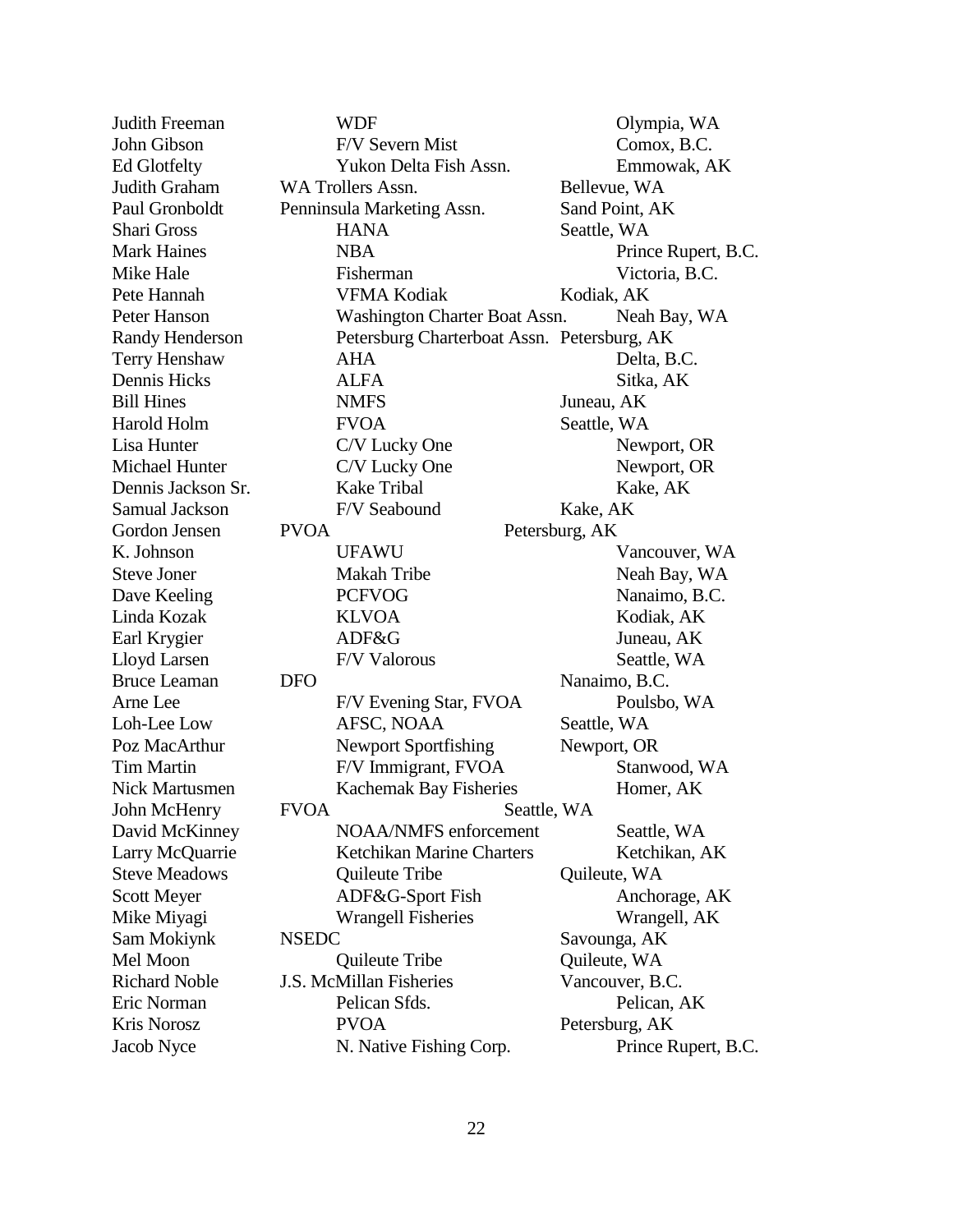| Judith Freeman         | <b>WDF</b>                                  | Olympia, WA         |
|------------------------|---------------------------------------------|---------------------|
| John Gibson            | F/V Severn Mist                             | Comox, B.C.         |
| <b>Ed Glotfelty</b>    | Yukon Delta Fish Assn.                      | Emmowak, AK         |
| Judith Graham          | WA Trollers Assn.                           | Bellevue, WA        |
| Paul Gronboldt         | Penninsula Marketing Assn.                  | Sand Point, AK      |
| <b>Shari Gross</b>     | <b>HANA</b>                                 | Seattle, WA         |
| <b>Mark Haines</b>     | <b>NBA</b>                                  | Prince Rupert, B.C. |
| Mike Hale              | Fisherman                                   | Victoria, B.C.      |
| Pete Hannah            | <b>VFMA Kodiak</b>                          | Kodiak, AK          |
| Peter Hanson           | Washington Charter Boat Assn.               | Neah Bay, WA        |
| <b>Randy Henderson</b> | Petersburg Charterboat Assn. Petersburg, AK |                     |
| <b>Terry Henshaw</b>   | <b>AHA</b>                                  | Delta, B.C.         |
| Dennis Hicks           | <b>ALFA</b>                                 | Sitka, AK           |
| <b>Bill Hines</b>      | <b>NMFS</b>                                 | Juneau, AK          |
| Harold Holm            | <b>FVOA</b>                                 | Seattle, WA         |
| Lisa Hunter            | C/V Lucky One                               | Newport, OR         |
| Michael Hunter         | C/V Lucky One                               | Newport, OR         |
| Dennis Jackson Sr.     | <b>Kake Tribal</b>                          | Kake, AK            |
| Samual Jackson         | F/V Seabound                                | Kake, AK            |
| Gordon Jensen          | <b>PVOA</b>                                 | Petersburg, AK      |
| K. Johnson             | <b>UFAWU</b>                                | Vancouver, WA       |
| <b>Steve Joner</b>     | Makah Tribe                                 | Neah Bay, WA        |
| Dave Keeling           | <b>PCFVOG</b>                               | Nanaimo, B.C.       |
| Linda Kozak            | <b>KLVOA</b>                                | Kodiak, AK          |
| Earl Krygier           | ADF&G                                       | Juneau, AK          |
| Lloyd Larsen           | F/V Valorous                                | Seattle, WA         |
| <b>Bruce Leaman</b>    | <b>DFO</b>                                  | Nanaimo, B.C.       |
| Arne Lee               | F/V Evening Star, FVOA                      | Poulsbo, WA         |
| Loh-Lee Low            | AFSC, NOAA                                  | Seattle, WA         |
| Poz MacArthur          | <b>Newport Sportfishing</b>                 | Newport, OR         |
| <b>Tim Martin</b>      | F/V Immigrant, FVOA                         | Stanwood, WA        |
| Nick Martusmen         | Kachemak Bay Fisheries                      | Homer, AK           |
| John McHenry           | <b>FVOA</b>                                 | Seattle, WA         |
| David McKinney         | NOAA/NMFS enforcement                       | Seattle, WA         |
| Larry McQuarrie        | Ketchikan Marine Charters                   | Ketchikan, AK       |
| <b>Steve Meadows</b>   | Quileute Tribe                              | Quileute, WA        |
| <b>Scott Meyer</b>     | ADF&G-Sport Fish                            | Anchorage, AK       |
| Mike Miyagi            | <b>Wrangell Fisheries</b>                   | Wrangell, AK        |
| Sam Mokiynk            | <b>NSEDC</b>                                | Savounga, AK        |
| Mel Moon               | Quileute Tribe                              | Quileute, WA        |
| <b>Richard Noble</b>   | J.S. McMillan Fisheries                     | Vancouver, B.C.     |
| Eric Norman            | Pelican Sfds.                               | Pelican, AK         |
| Kris Norosz            | <b>PVOA</b>                                 | Petersburg, AK      |
| Jacob Nyce             | N. Native Fishing Corp.                     | Prince Rupert, B.C. |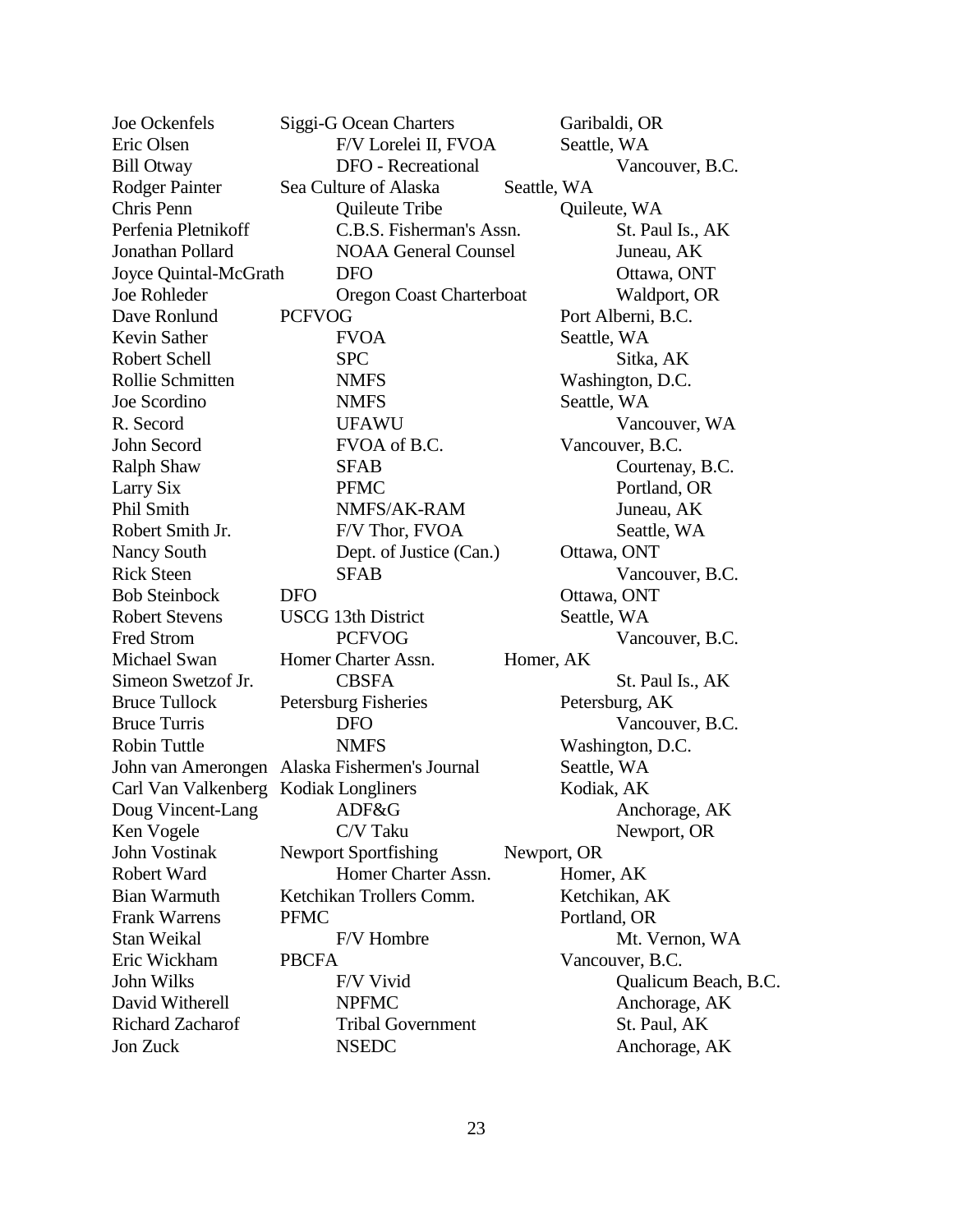| Joe Ockenfels                                 |               | Siggi-G Ocean Charters      |             | Garibaldi, OR        |
|-----------------------------------------------|---------------|-----------------------------|-------------|----------------------|
| Eric Olsen                                    |               | F/V Lorelei II, FVOA        |             | Seattle, WA          |
| <b>Bill Otway</b>                             |               | <b>DFO</b> - Recreational   |             | Vancouver, B.C.      |
| <b>Rodger Painter</b>                         |               | Sea Culture of Alaska       | Seattle, WA |                      |
| Chris Penn                                    |               | Quileute Tribe              |             | Quileute, WA         |
| Perfenia Pletnikoff                           |               | C.B.S. Fisherman's Assn.    |             | St. Paul Is., AK     |
| Jonathan Pollard                              |               | <b>NOAA General Counsel</b> |             | Juneau, AK           |
| Joyce Quintal-McGrath                         |               | <b>DFO</b>                  |             | Ottawa, ONT          |
| <b>Joe Rohleder</b>                           |               | Oregon Coast Charterboat    |             | Waldport, OR         |
| Dave Ronlund                                  | <b>PCFVOG</b> |                             |             | Port Alberni, B.C.   |
| Kevin Sather                                  |               | <b>FVOA</b>                 |             | Seattle, WA          |
| <b>Robert Schell</b>                          |               | <b>SPC</b>                  |             | Sitka, AK            |
| Rollie Schmitten                              |               | <b>NMFS</b>                 |             | Washington, D.C.     |
| Joe Scordino                                  |               | <b>NMFS</b>                 |             | Seattle, WA          |
| R. Secord                                     |               | <b>UFAWU</b>                |             | Vancouver, WA        |
| John Secord                                   |               | FVOA of B.C.                |             | Vancouver, B.C.      |
| <b>Ralph Shaw</b>                             |               | <b>SFAB</b>                 |             | Courtenay, B.C.      |
| Larry Six                                     |               | <b>PFMC</b>                 |             | Portland, OR         |
| Phil Smith                                    |               | NMFS/AK-RAM                 |             | Juneau, AK           |
| Robert Smith Jr.                              |               | F/V Thor, FVOA              |             | Seattle, WA          |
| Nancy South                                   |               | Dept. of Justice (Can.)     |             | Ottawa, ONT          |
| <b>Rick Steen</b>                             |               | <b>SFAB</b>                 |             | Vancouver, B.C.      |
| <b>Bob Steinbock</b>                          | <b>DFO</b>    |                             |             | Ottawa, ONT          |
| <b>Robert Stevens</b>                         |               | <b>USCG 13th District</b>   |             | Seattle, WA          |
| Fred Strom                                    |               | <b>PCFVOG</b>               |             | Vancouver, B.C.      |
| Michael Swan                                  |               | Homer Charter Assn.         | Homer, AK   |                      |
| Simeon Swetzof Jr.                            |               | <b>CBSFA</b>                |             | St. Paul Is., AK     |
| <b>Bruce Tullock</b>                          |               | Petersburg Fisheries        |             | Petersburg, AK       |
| <b>Bruce Turris</b>                           |               | <b>DFO</b>                  |             | Vancouver, B.C.      |
| <b>Robin Tuttle</b>                           |               | <b>NMFS</b>                 |             | Washington, D.C.     |
| John van Amerongen Alaska Fishermen's Journal |               |                             |             | Seattle, WA          |
| Carl Van Valkenberg Kodiak Longliners         |               |                             |             | Kodiak, AK           |
| Doug Vincent-Lang ADF&G                       |               |                             |             | Anchorage, AK        |
| Ken Vogele                                    |               | C/V Taku                    |             | Newport, OR          |
| John Vostinak                                 |               | <b>Newport Sportfishing</b> | Newport, OR |                      |
| Robert Ward                                   |               | Homer Charter Assn.         |             | Homer, AK            |
| <b>Bian Warmuth</b>                           |               | Ketchikan Trollers Comm.    |             | Ketchikan, AK        |
| <b>Frank Warrens</b>                          | <b>PFMC</b>   |                             |             | Portland, OR         |
| Stan Weikal                                   |               | F/V Hombre                  |             | Mt. Vernon, WA       |
| Eric Wickham                                  | <b>PBCFA</b>  |                             |             | Vancouver, B.C.      |
| John Wilks                                    |               | F/V Vivid                   |             | Qualicum Beach, B.C. |
| David Witherell                               |               | <b>NPFMC</b>                |             | Anchorage, AK        |
| <b>Richard Zacharof</b>                       |               | <b>Tribal Government</b>    |             | St. Paul, AK         |
| Jon Zuck                                      |               | <b>NSEDC</b>                |             | Anchorage, AK        |
|                                               |               |                             |             |                      |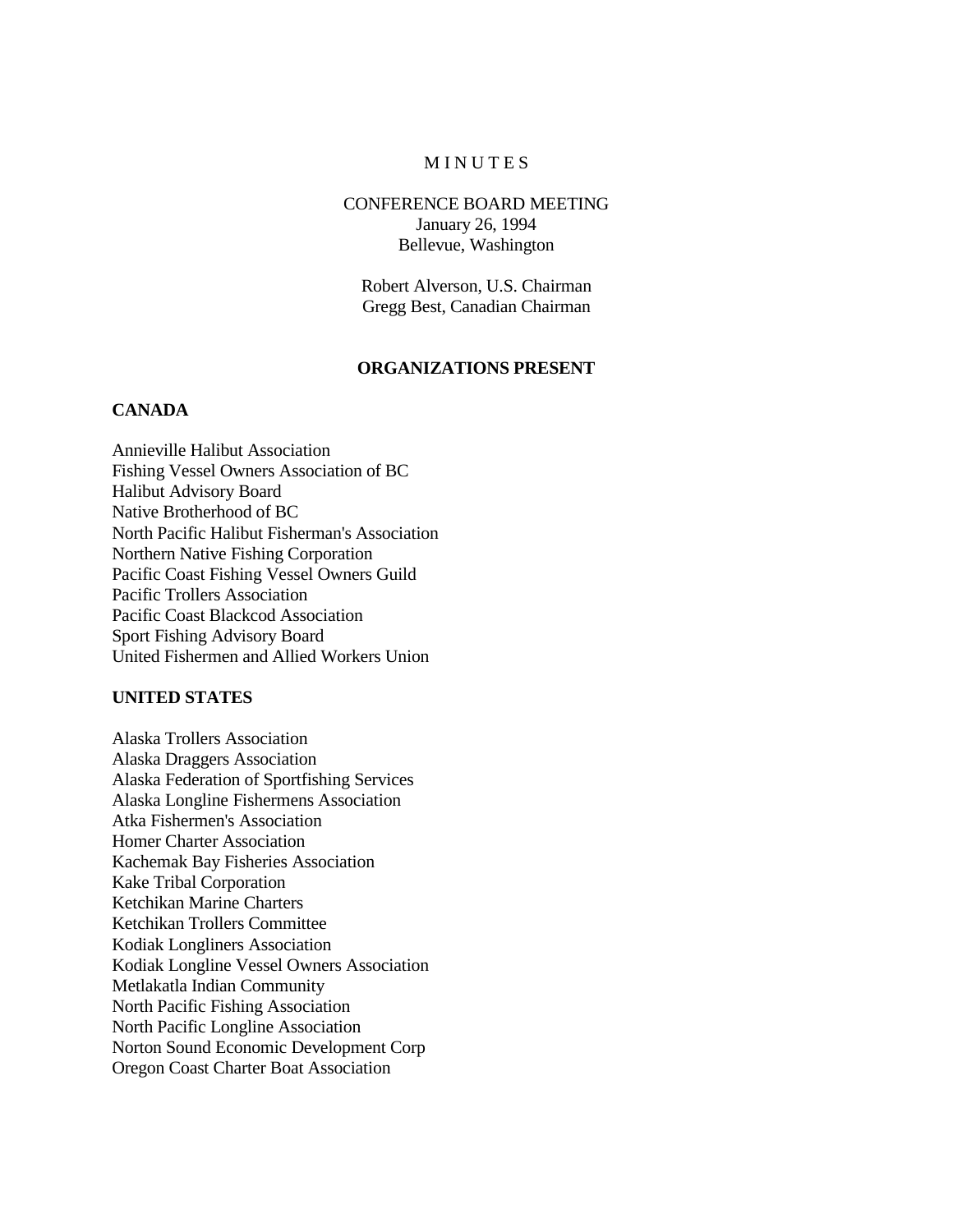### **MINUTES**

### CONFERENCE BOARD MEETING January 26, 1994 Bellevue, Washington

Robert Alverson, U.S. Chairman Gregg Best, Canadian Chairman

### **ORGANIZATIONS PRESENT**

### **CANADA**

Annieville Halibut Association Fishing Vessel Owners Association of BC Halibut Advisory Board Native Brotherhood of BC North Pacific Halibut Fisherman's Association Northern Native Fishing Corporation Pacific Coast Fishing Vessel Owners Guild Pacific Trollers Association Pacific Coast Blackcod Association Sport Fishing Advisory Board United Fishermen and Allied Workers Union

#### **UNITED STATES**

Alaska Trollers Association Alaska Draggers Association Alaska Federation of Sportfishing Services Alaska Longline Fishermens Association Atka Fishermen's Association Homer Charter Association Kachemak Bay Fisheries Association Kake Tribal Corporation Ketchikan Marine Charters Ketchikan Trollers Committee Kodiak Longliners Association Kodiak Longline Vessel Owners Association Metlakatla Indian Community North Pacific Fishing Association North Pacific Longline Association Norton Sound Economic Development Corp Oregon Coast Charter Boat Association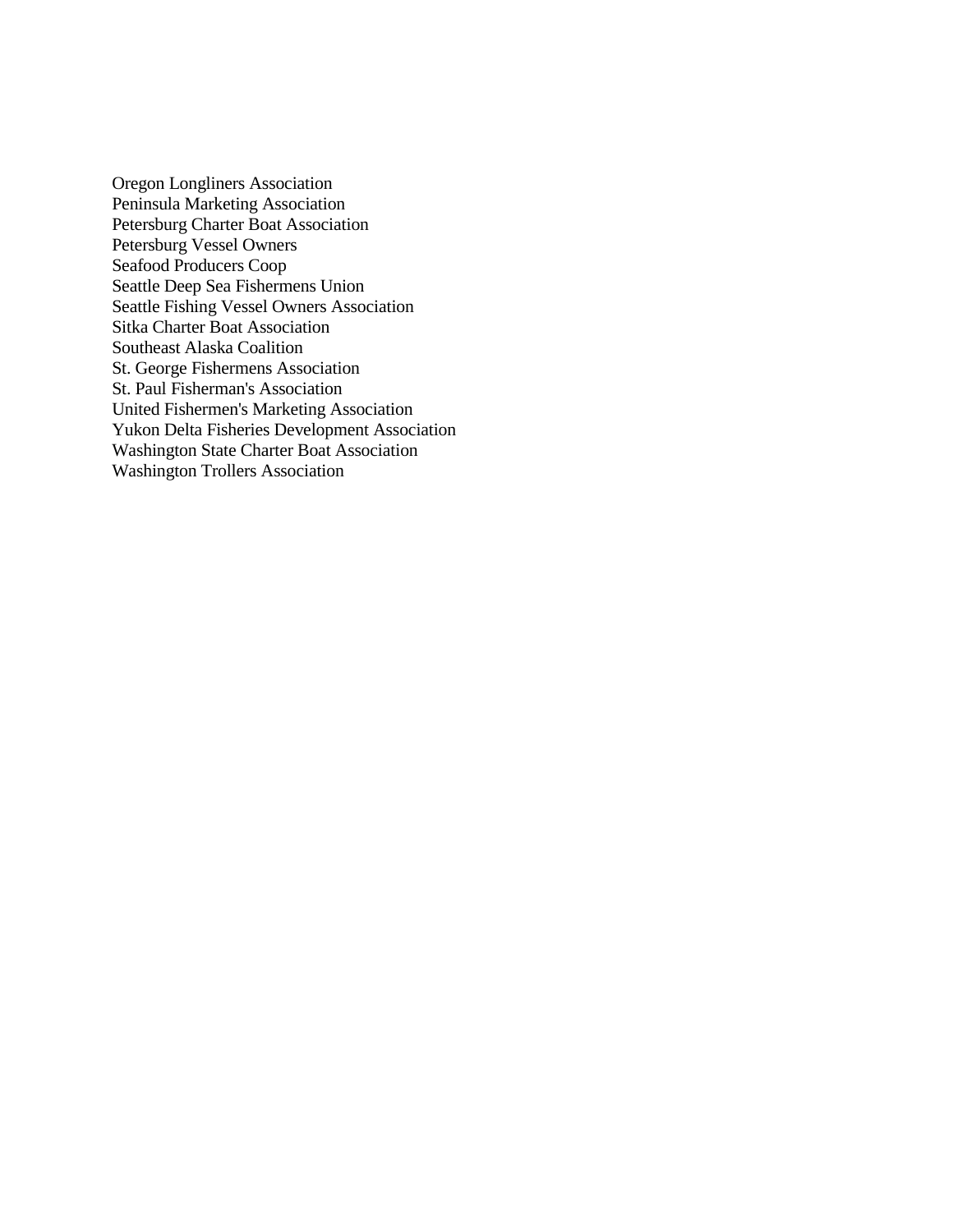Oregon Longliners Association Peninsula Marketing Association Petersburg Charter Boat Association Petersburg Vessel Owners Seafood Producers Coop Seattle Deep Sea Fishermens Union Seattle Fishing Vessel Owners Association Sitka Charter Boat Association Southeast Alaska Coalition St. George Fishermens Association St. Paul Fisherman's Association United Fishermen's Marketing Association Yukon Delta Fisheries Development Association Washington State Charter Boat Association Washington Trollers Association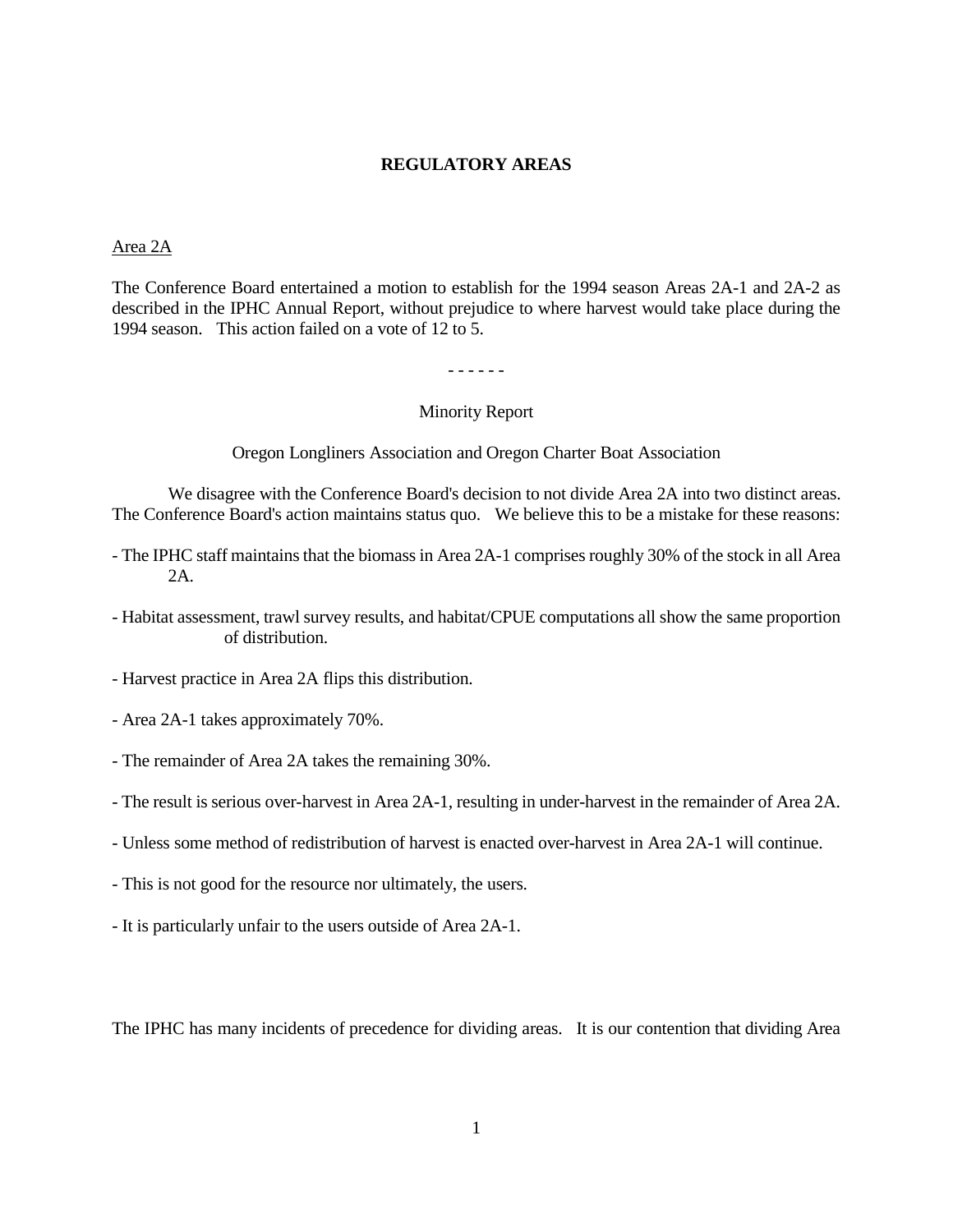### **REGULATORY AREAS**

#### Area 2A

The Conference Board entertained a motion to establish for the 1994 season Areas 2A-1 and 2A-2 as described in the IPHC Annual Report, without prejudice to where harvest would take place during the 1994 season. This action failed on a vote of 12 to 5.

- - - - - -

#### Minority Report

Oregon Longliners Association and Oregon Charter Boat Association

We disagree with the Conference Board's decision to not divide Area 2A into two distinct areas. The Conference Board's action maintains status quo. We believe this to be a mistake for these reasons:

- The IPHC staff maintains that the biomass in Area 2A-1 comprises roughly 30% of the stock in all Area 2A.
- Habitat assessment, trawl survey results, and habitat/CPUE computations all show the same proportion of distribution.
- Harvest practice in Area 2A flips this distribution.
- Area 2A-1 takes approximately 70%.
- The remainder of Area 2A takes the remaining 30%.
- The result is serious over-harvest in Area 2A-1, resulting in under-harvest in the remainder of Area 2A.
- Unless some method of redistribution of harvest is enacted over-harvest in Area 2A-1 will continue.
- This is not good for the resource nor ultimately, the users.
- It is particularly unfair to the users outside of Area 2A-1.

The IPHC has many incidents of precedence for dividing areas. It is our contention that dividing Area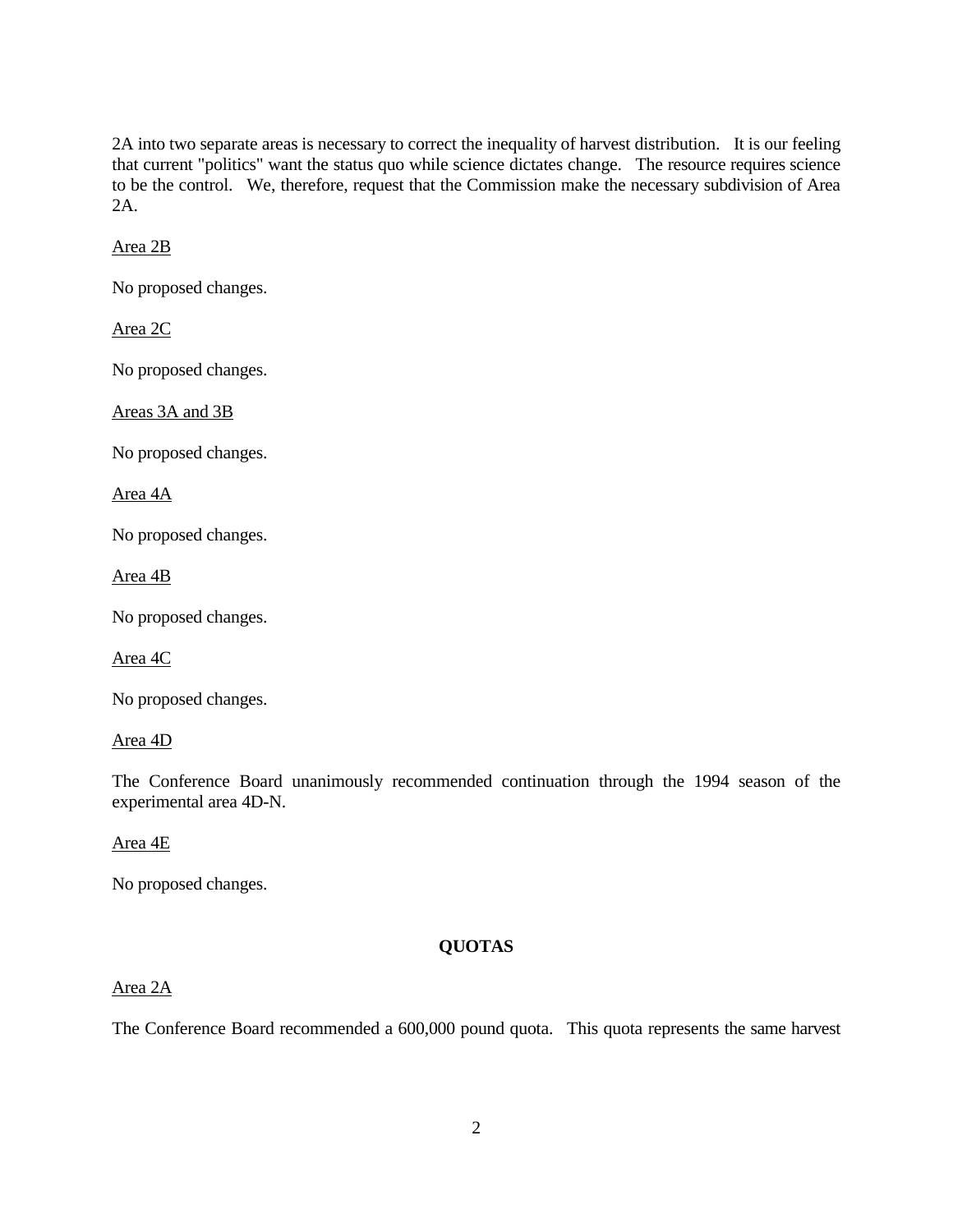2A into two separate areas is necessary to correct the inequality of harvest distribution. It is our feeling that current "politics" want the status quo while science dictates change. The resource requires science to be the control. We, therefore, request that the Commission make the necessary subdivision of Area 2A.

Area 2B

No proposed changes.

Area 2C

No proposed changes.

Areas 3A and 3B

No proposed changes.

Area 4A

No proposed changes.

Area 4B

No proposed changes.

Area 4C

No proposed changes.

Area 4D

The Conference Board unanimously recommended continuation through the 1994 season of the experimental area 4D-N.

Area 4E

No proposed changes.

# **QUOTAS**

## Area 2A

The Conference Board recommended a 600,000 pound quota. This quota represents the same harvest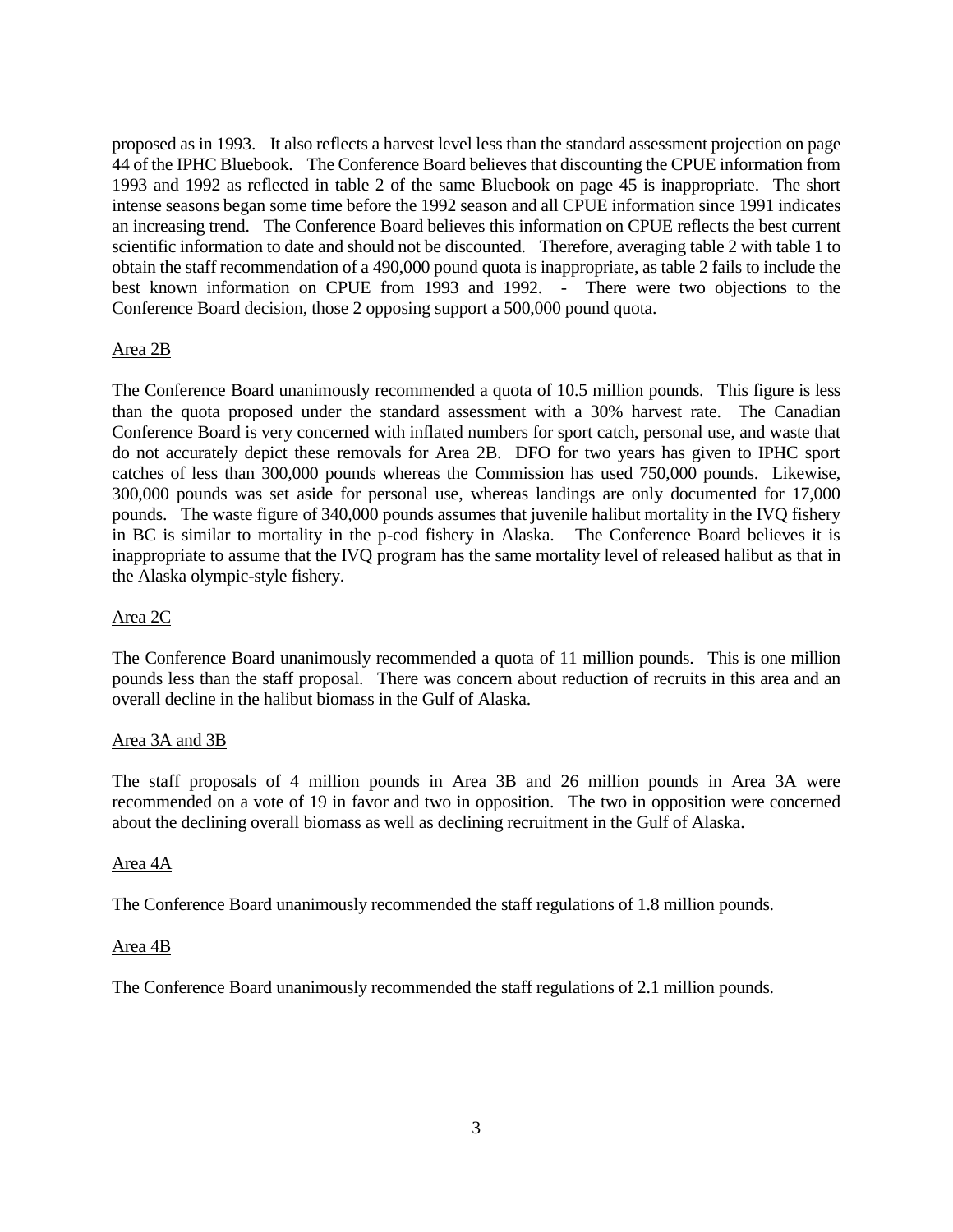proposed as in 1993. It also reflects a harvest level less than the standard assessment projection on page 44 of the IPHC Bluebook. The Conference Board believes that discounting the CPUE information from 1993 and 1992 as reflected in table 2 of the same Bluebook on page 45 is inappropriate. The short intense seasons began some time before the 1992 season and all CPUE information since 1991 indicates an increasing trend. The Conference Board believes this information on CPUE reflects the best current scientific information to date and should not be discounted. Therefore, averaging table 2 with table 1 to obtain the staff recommendation of a 490,000 pound quota is inappropriate, as table 2 fails to include the best known information on CPUE from 1993 and 1992.  $\cdot$  There were two objections to the Conference Board decision, those 2 opposing support a 500,000 pound quota.

### Area 2B

The Conference Board unanimously recommended a quota of 10.5 million pounds. This figure is less than the quota proposed under the standard assessment with a 30% harvest rate. The Canadian Conference Board is very concerned with inflated numbers for sport catch, personal use, and waste that do not accurately depict these removals for Area 2B. DFO for two years has given to IPHC sport catches of less than 300,000 pounds whereas the Commission has used 750,000 pounds. Likewise, 300,000 pounds was set aside for personal use, whereas landings are only documented for 17,000 pounds. The waste figure of 340,000 pounds assumes that juvenile halibut mortality in the IVQ fishery in BC is similar to mortality in the p-cod fishery in Alaska. The Conference Board believes it is inappropriate to assume that the IVQ program has the same mortality level of released halibut as that in the Alaska olympic-style fishery.

### Area 2C

The Conference Board unanimously recommended a quota of 11 million pounds. This is one million pounds less than the staff proposal. There was concern about reduction of recruits in this area and an overall decline in the halibut biomass in the Gulf of Alaska.

### Area 3A and 3B

The staff proposals of 4 million pounds in Area 3B and 26 million pounds in Area 3A were recommended on a vote of 19 in favor and two in opposition. The two in opposition were concerned about the declining overall biomass as well as declining recruitment in the Gulf of Alaska.

### Area 4A

The Conference Board unanimously recommended the staff regulations of 1.8 million pounds.

### Area 4B

The Conference Board unanimously recommended the staff regulations of 2.1 million pounds.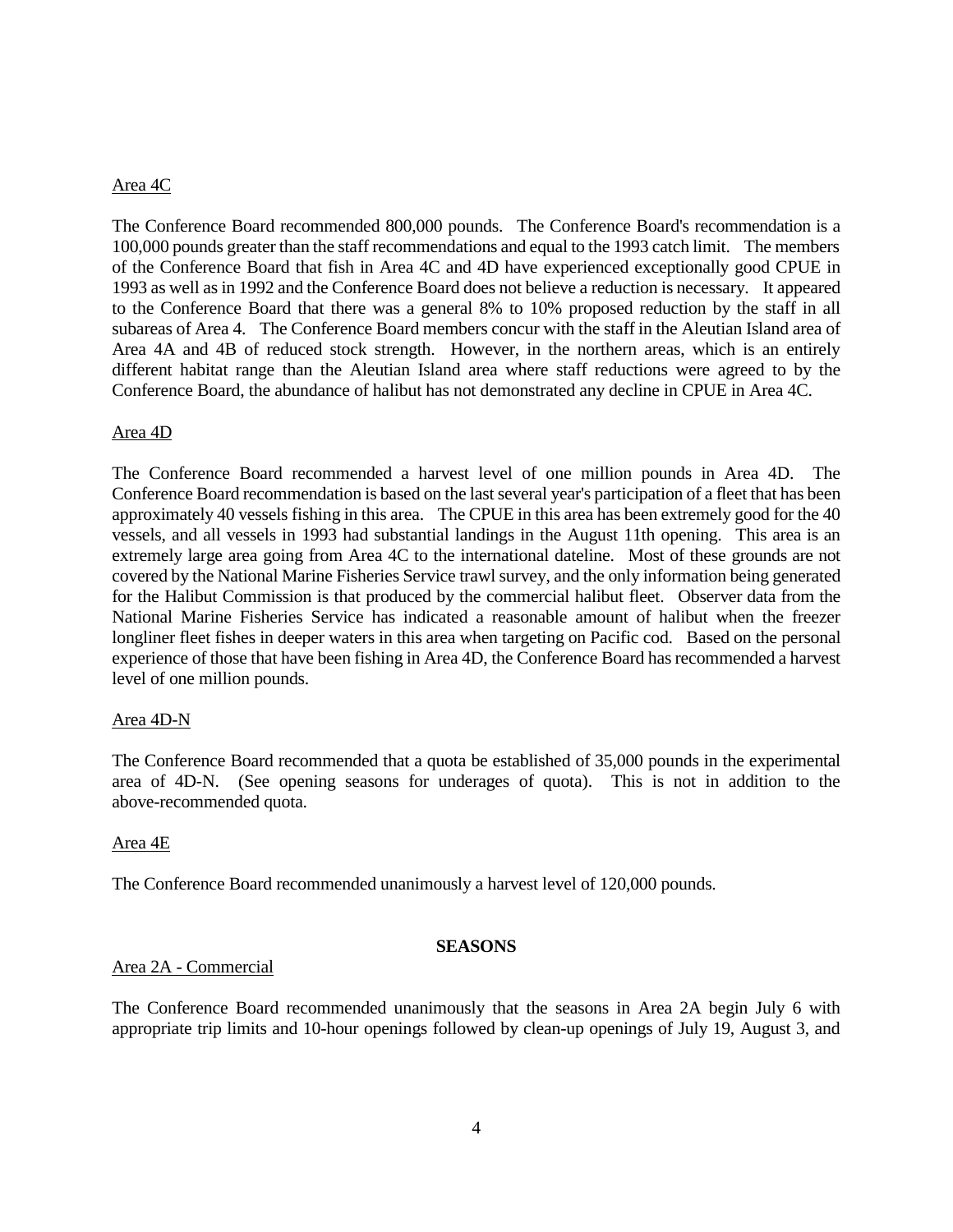### Area 4C

The Conference Board recommended 800,000 pounds. The Conference Board's recommendation is a 100,000 pounds greater than the staff recommendations and equal to the 1993 catch limit. The members of the Conference Board that fish in Area 4C and 4D have experienced exceptionally good CPUE in 1993 as well as in 1992 and the Conference Board does not believe a reduction is necessary. It appeared to the Conference Board that there was a general 8% to 10% proposed reduction by the staff in all subareas of Area 4. The Conference Board members concur with the staff in the Aleutian Island area of Area 4A and 4B of reduced stock strength. However, in the northern areas, which is an entirely different habitat range than the Aleutian Island area where staff reductions were agreed to by the Conference Board, the abundance of halibut has not demonstrated any decline in CPUE in Area 4C.

### Area 4D

The Conference Board recommended a harvest level of one million pounds in Area 4D. The Conference Board recommendation is based on the last several year's participation of a fleet that has been approximately 40 vessels fishing in this area. The CPUE in this area has been extremely good for the 40 vessels, and all vessels in 1993 had substantial landings in the August 11th opening. This area is an extremely large area going from Area 4C to the international dateline. Most of these grounds are not covered by the National Marine Fisheries Service trawl survey, and the only information being generated for the Halibut Commission is that produced by the commercial halibut fleet. Observer data from the National Marine Fisheries Service has indicated a reasonable amount of halibut when the freezer longliner fleet fishes in deeper waters in this area when targeting on Pacific cod. Based on the personal experience of those that have been fishing in Area 4D, the Conference Board has recommended a harvest level of one million pounds.

### Area 4D-N

The Conference Board recommended that a quota be established of 35,000 pounds in the experimental area of 4D-N. (See opening seasons for underages of quota). This is not in addition to the above-recommended quota.

### Area 4E

The Conference Board recommended unanimously a harvest level of 120,000 pounds.

### **SEASONS**

### Area 2A - Commercial

The Conference Board recommended unanimously that the seasons in Area 2A begin July 6 with appropriate trip limits and 10-hour openings followed by clean-up openings of July 19, August 3, and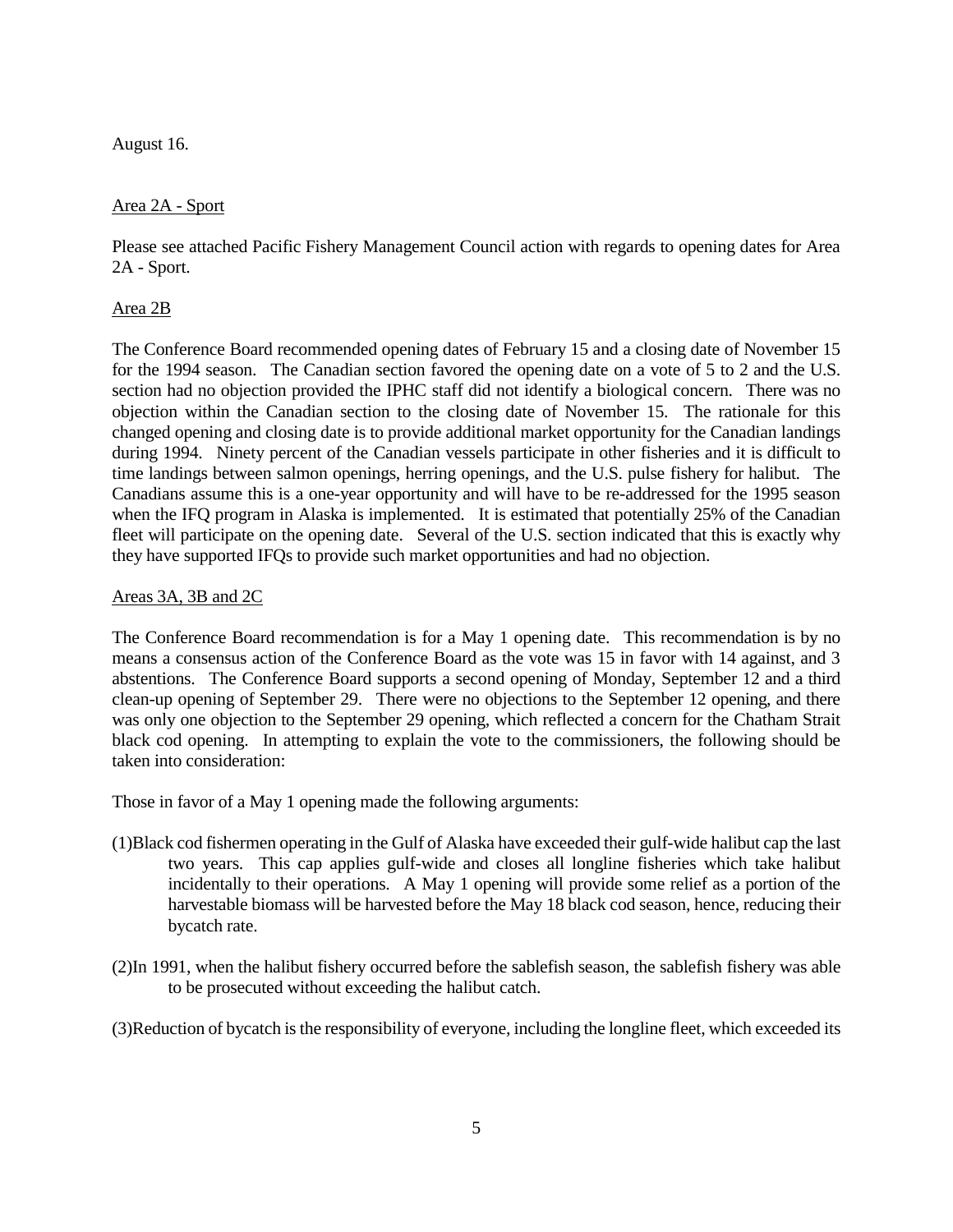August 16.

### Area 2A - Sport

Please see attached Pacific Fishery Management Council action with regards to opening dates for Area 2A - Sport.

## Area 2B

The Conference Board recommended opening dates of February 15 and a closing date of November 15 for the 1994 season. The Canadian section favored the opening date on a vote of 5 to 2 and the U.S. section had no objection provided the IPHC staff did not identify a biological concern. There was no objection within the Canadian section to the closing date of November 15. The rationale for this changed opening and closing date is to provide additional market opportunity for the Canadian landings during 1994. Ninety percent of the Canadian vessels participate in other fisheries and it is difficult to time landings between salmon openings, herring openings, and the U.S. pulse fishery for halibut. The Canadians assume this is a one-year opportunity and will have to be re-addressed for the 1995 season when the IFQ program in Alaska is implemented. It is estimated that potentially 25% of the Canadian fleet will participate on the opening date. Several of the U.S. section indicated that this is exactly why they have supported IFQs to provide such market opportunities and had no objection.

### Areas 3A, 3B and 2C

The Conference Board recommendation is for a May 1 opening date. This recommendation is by no means a consensus action of the Conference Board as the vote was 15 in favor with 14 against, and 3 abstentions. The Conference Board supports a second opening of Monday, September 12 and a third clean-up opening of September 29. There were no objections to the September 12 opening, and there was only one objection to the September 29 opening, which reflected a concern for the Chatham Strait black cod opening. In attempting to explain the vote to the commissioners, the following should be taken into consideration:

Those in favor of a May 1 opening made the following arguments:

- (1)Black cod fishermen operating in the Gulf of Alaska have exceeded their gulf-wide halibut cap the last two years. This cap applies gulf-wide and closes all longline fisheries which take halibut incidentally to their operations. A May 1 opening will provide some relief as a portion of the harvestable biomass will be harvested before the May 18 black cod season, hence, reducing their bycatch rate.
- (2)In 1991, when the halibut fishery occurred before the sablefish season, the sablefish fishery was able to be prosecuted without exceeding the halibut catch.

(3)Reduction of bycatch is the responsibility of everyone, including the longline fleet, which exceeded its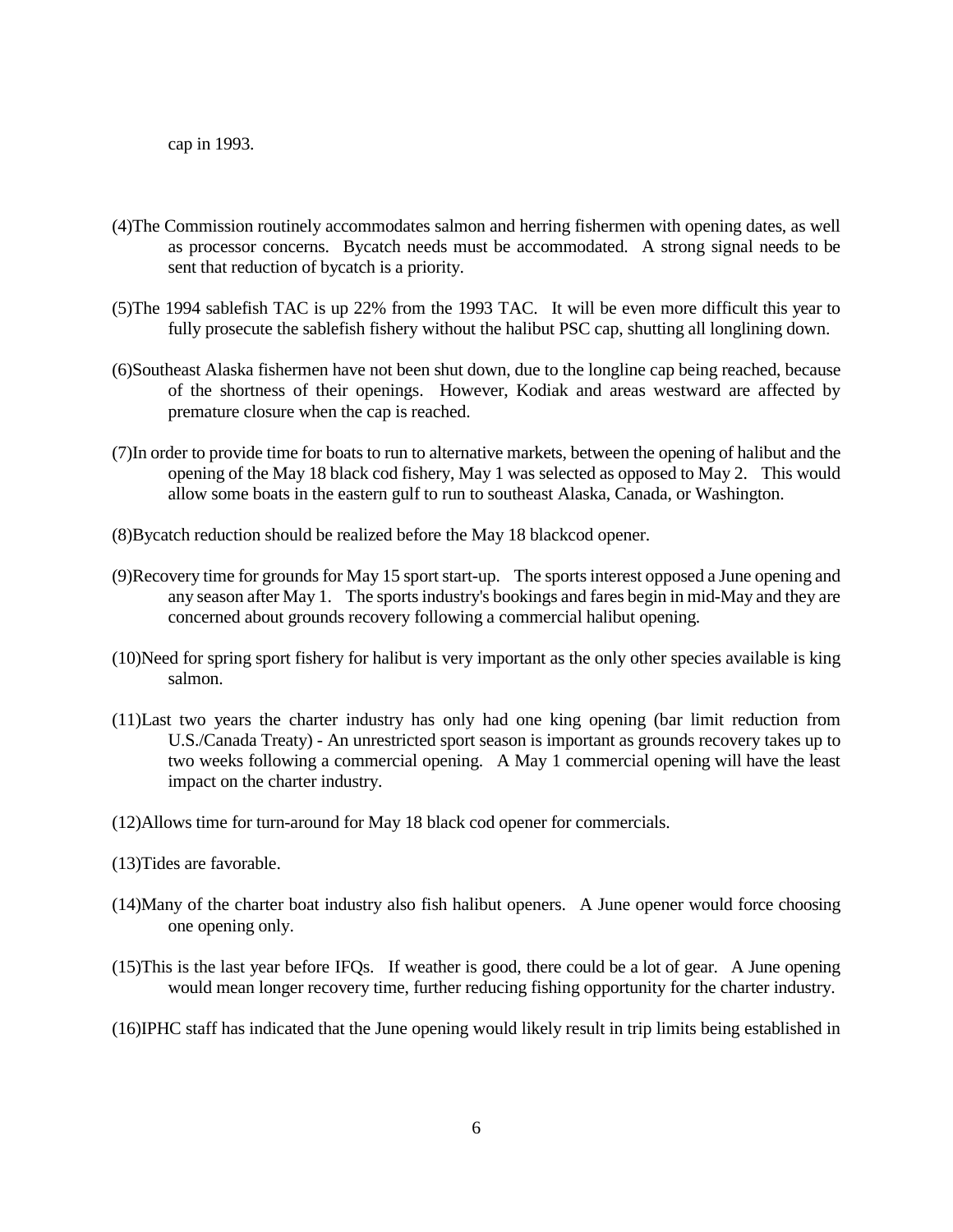cap in 1993.

- (4)The Commission routinely accommodates salmon and herring fishermen with opening dates, as well as processor concerns. Bycatch needs must be accommodated. A strong signal needs to be sent that reduction of bycatch is a priority.
- (5)The 1994 sablefish TAC is up 22% from the 1993 TAC. It will be even more difficult this year to fully prosecute the sablefish fishery without the halibut PSC cap, shutting all longlining down.
- (6)Southeast Alaska fishermen have not been shut down, due to the longline cap being reached, because of the shortness of their openings. However, Kodiak and areas westward are affected by premature closure when the cap is reached.
- (7)In order to provide time for boats to run to alternative markets, between the opening of halibut and the opening of the May 18 black cod fishery, May 1 was selected as opposed to May 2. This would allow some boats in the eastern gulf to run to southeast Alaska, Canada, or Washington.
- (8)Bycatch reduction should be realized before the May 18 blackcod opener.
- (9)Recovery time for grounds for May 15 sport start-up. The sports interest opposed a June opening and any season after May 1. The sports industry's bookings and fares begin in mid-May and they are concerned about grounds recovery following a commercial halibut opening.
- (10)Need for spring sport fishery for halibut is very important as the only other species available is king salmon.
- (11)Last two years the charter industry has only had one king opening (bar limit reduction from U.S./Canada Treaty) - An unrestricted sport season is important as grounds recovery takes up to two weeks following a commercial opening. A May 1 commercial opening will have the least impact on the charter industry.
- (12)Allows time for turn-around for May 18 black cod opener for commercials.
- (13)Tides are favorable.
- (14)Many of the charter boat industry also fish halibut openers. A June opener would force choosing one opening only.
- (15)This is the last year before IFQs. If weather is good, there could be a lot of gear. A June opening would mean longer recovery time, further reducing fishing opportunity for the charter industry.
- (16)IPHC staff has indicated that the June opening would likely result in trip limits being established in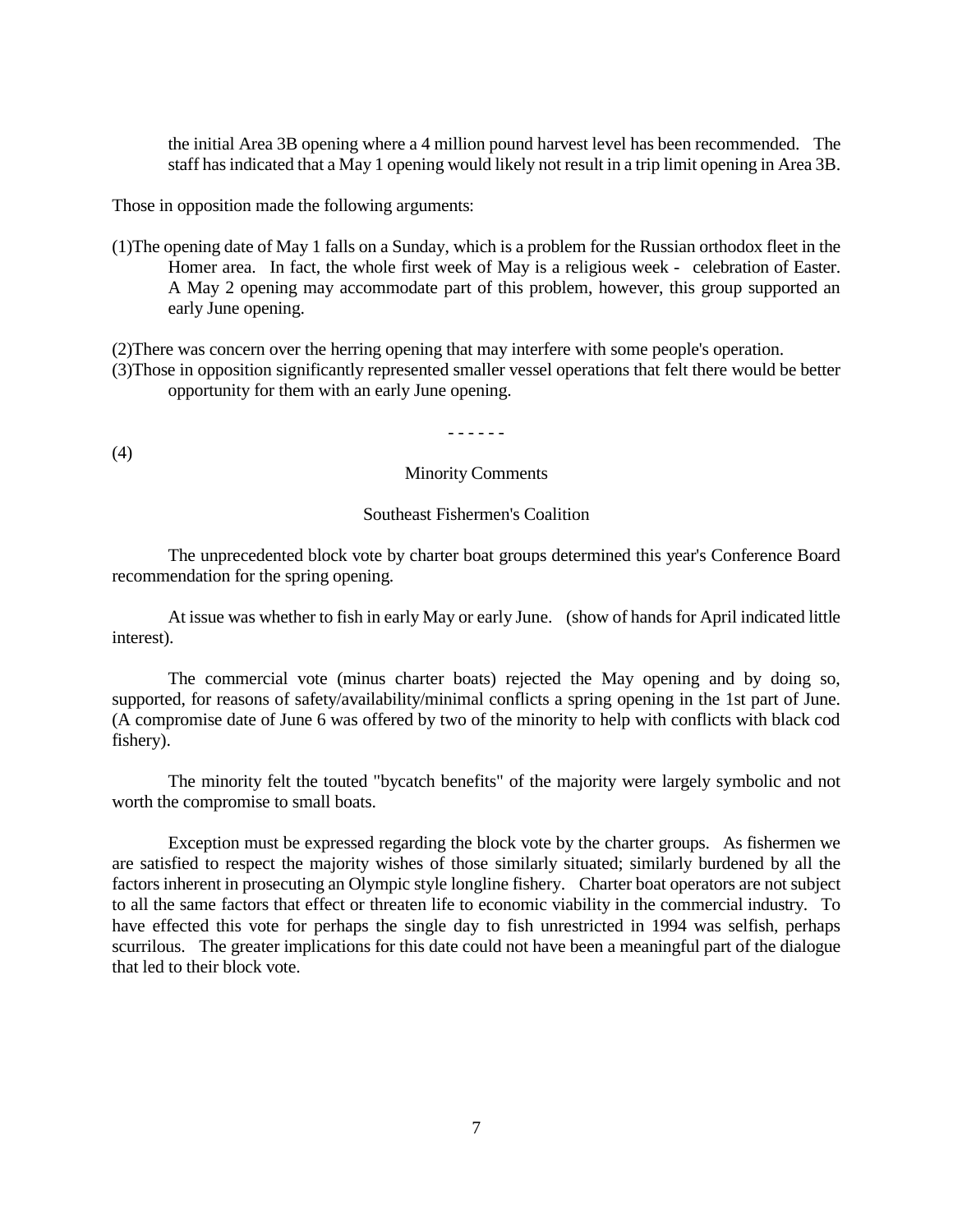the initial Area 3B opening where a 4 million pound harvest level has been recommended. The staff has indicated that a May 1 opening would likely not result in a trip limit opening in Area 3B.

Those in opposition made the following arguments:

(1)The opening date of May 1 falls on a Sunday, which is a problem for the Russian orthodox fleet in the Homer area. In fact, the whole first week of May is a religious week - celebration of Easter. A May 2 opening may accommodate part of this problem, however, this group supported an early June opening.

(2)There was concern over the herring opening that may interfere with some people's operation. (3)Those in opposition significantly represented smaller vessel operations that felt there would be better opportunity for them with an early June opening.

- - - - - -

(4)

Minority Comments

#### Southeast Fishermen's Coalition

The unprecedented block vote by charter boat groups determined this year's Conference Board recommendation for the spring opening.

At issue was whether to fish in early May or early June. (show of hands for April indicated little interest).

The commercial vote (minus charter boats) rejected the May opening and by doing so, supported, for reasons of safety/availability/minimal conflicts a spring opening in the 1st part of June. (A compromise date of June 6 was offered by two of the minority to help with conflicts with black cod fishery).

The minority felt the touted "bycatch benefits" of the majority were largely symbolic and not worth the compromise to small boats.

Exception must be expressed regarding the block vote by the charter groups. As fishermen we are satisfied to respect the majority wishes of those similarly situated; similarly burdened by all the factors inherent in prosecuting an Olympic style longline fishery. Charter boat operators are not subject to all the same factors that effect or threaten life to economic viability in the commercial industry. To have effected this vote for perhaps the single day to fish unrestricted in 1994 was selfish, perhaps scurrilous. The greater implications for this date could not have been a meaningful part of the dialogue that led to their block vote.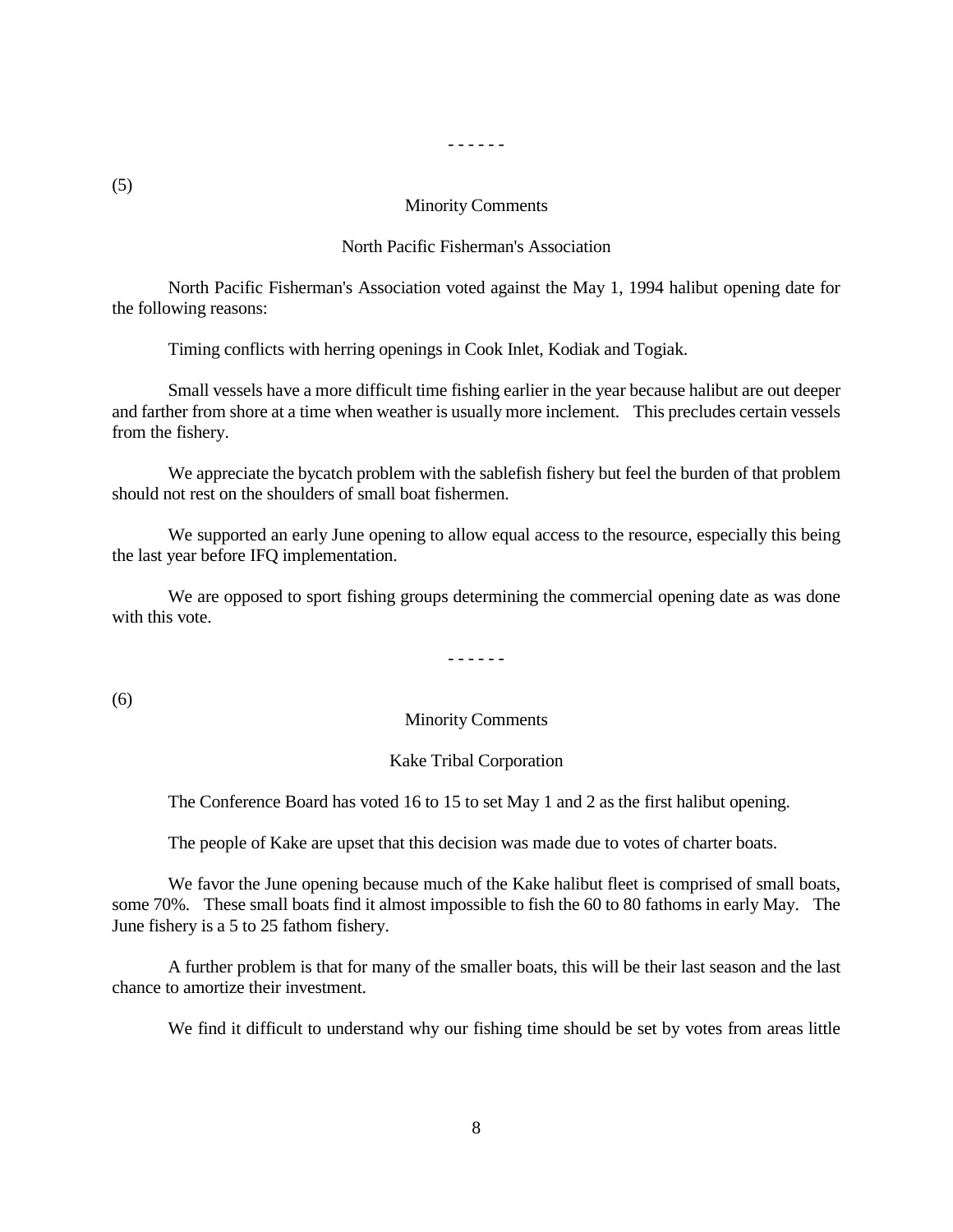- - - - - -

#### Minority Comments

#### North Pacific Fisherman's Association

North Pacific Fisherman's Association voted against the May 1, 1994 halibut opening date for the following reasons:

Timing conflicts with herring openings in Cook Inlet, Kodiak and Togiak.

Small vessels have a more difficult time fishing earlier in the year because halibut are out deeper and farther from shore at a time when weather is usually more inclement. This precludes certain vessels from the fishery.

We appreciate the bycatch problem with the sablefish fishery but feel the burden of that problem should not rest on the shoulders of small boat fishermen.

We supported an early June opening to allow equal access to the resource, especially this being the last year before IFQ implementation.

We are opposed to sport fishing groups determining the commercial opening date as was done with this vote.

- - - - - -

(6)

#### Minority Comments

### Kake Tribal Corporation

The Conference Board has voted 16 to 15 to set May 1 and 2 as the first halibut opening.

The people of Kake are upset that this decision was made due to votes of charter boats.

We favor the June opening because much of the Kake halibut fleet is comprised of small boats, some 70%. These small boats find it almost impossible to fish the 60 to 80 fathoms in early May. The June fishery is a 5 to 25 fathom fishery.

A further problem is that for many of the smaller boats, this will be their last season and the last chance to amortize their investment.

We find it difficult to understand why our fishing time should be set by votes from areas little

(5)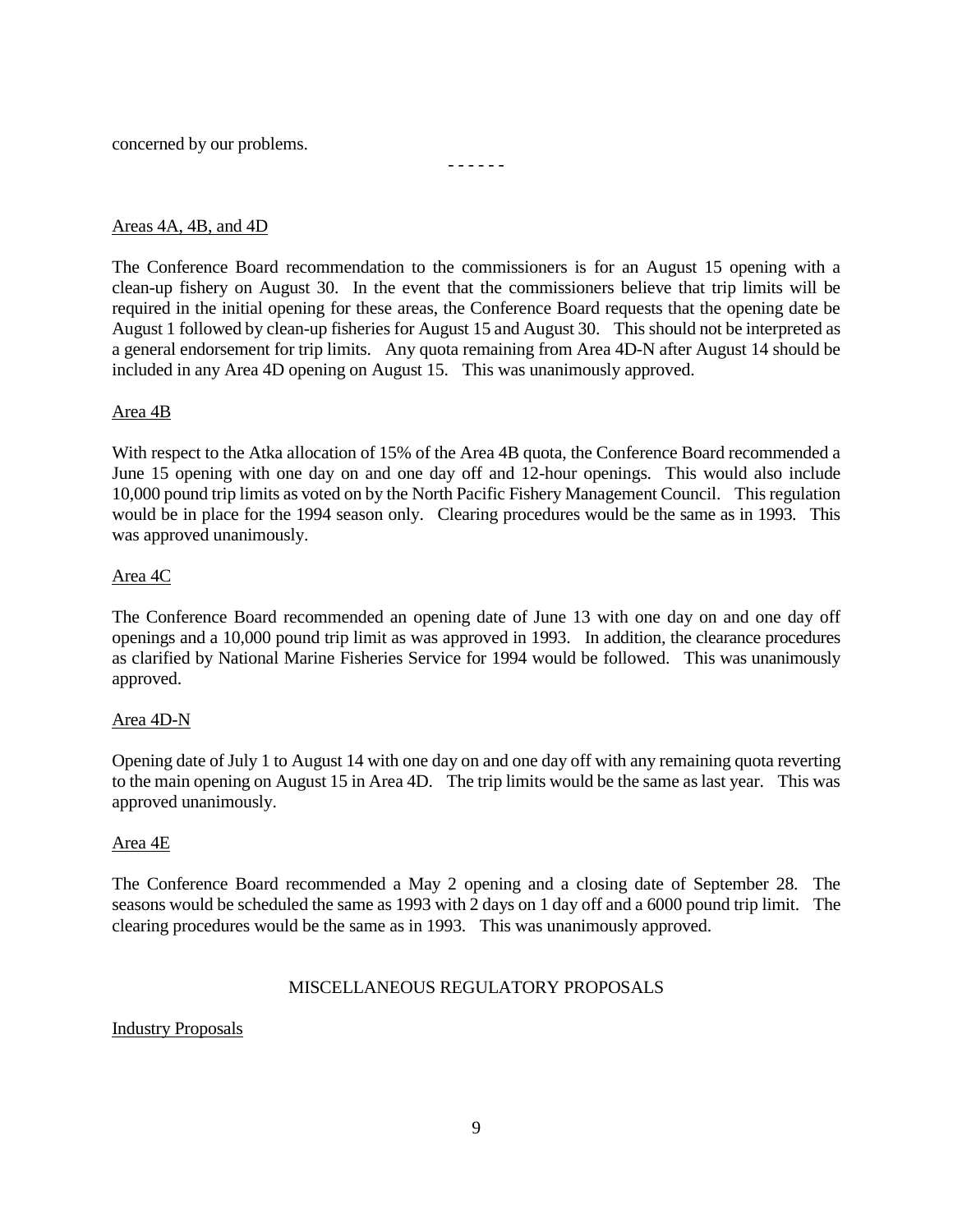concerned by our problems.

## Areas 4A, 4B, and 4D

The Conference Board recommendation to the commissioners is for an August 15 opening with a clean-up fishery on August 30. In the event that the commissioners believe that trip limits will be required in the initial opening for these areas, the Conference Board requests that the opening date be August 1 followed by clean-up fisheries for August 15 and August 30. This should not be interpreted as a general endorsement for trip limits. Any quota remaining from Area 4D-N after August 14 should be included in any Area 4D opening on August 15. This was unanimously approved.

- - - - - -

### Area 4B

With respect to the Atka allocation of 15% of the Area 4B quota, the Conference Board recommended a June 15 opening with one day on and one day off and 12-hour openings. This would also include 10,000 pound trip limits as voted on by the North Pacific Fishery Management Council. This regulation would be in place for the 1994 season only. Clearing procedures would be the same as in 1993. This was approved unanimously.

### Area 4C

The Conference Board recommended an opening date of June 13 with one day on and one day off openings and a 10,000 pound trip limit as was approved in 1993. In addition, the clearance procedures as clarified by National Marine Fisheries Service for 1994 would be followed. This was unanimously approved.

### Area 4D-N

Opening date of July 1 to August 14 with one day on and one day off with any remaining quota reverting to the main opening on August 15 in Area 4D. The trip limits would be the same as last year. This was approved unanimously.

### Area 4E

The Conference Board recommended a May 2 opening and a closing date of September 28. The seasons would be scheduled the same as 1993 with 2 days on 1 day off and a 6000 pound trip limit. The clearing procedures would be the same as in 1993. This was unanimously approved.

### MISCELLANEOUS REGULATORY PROPOSALS

### Industry Proposals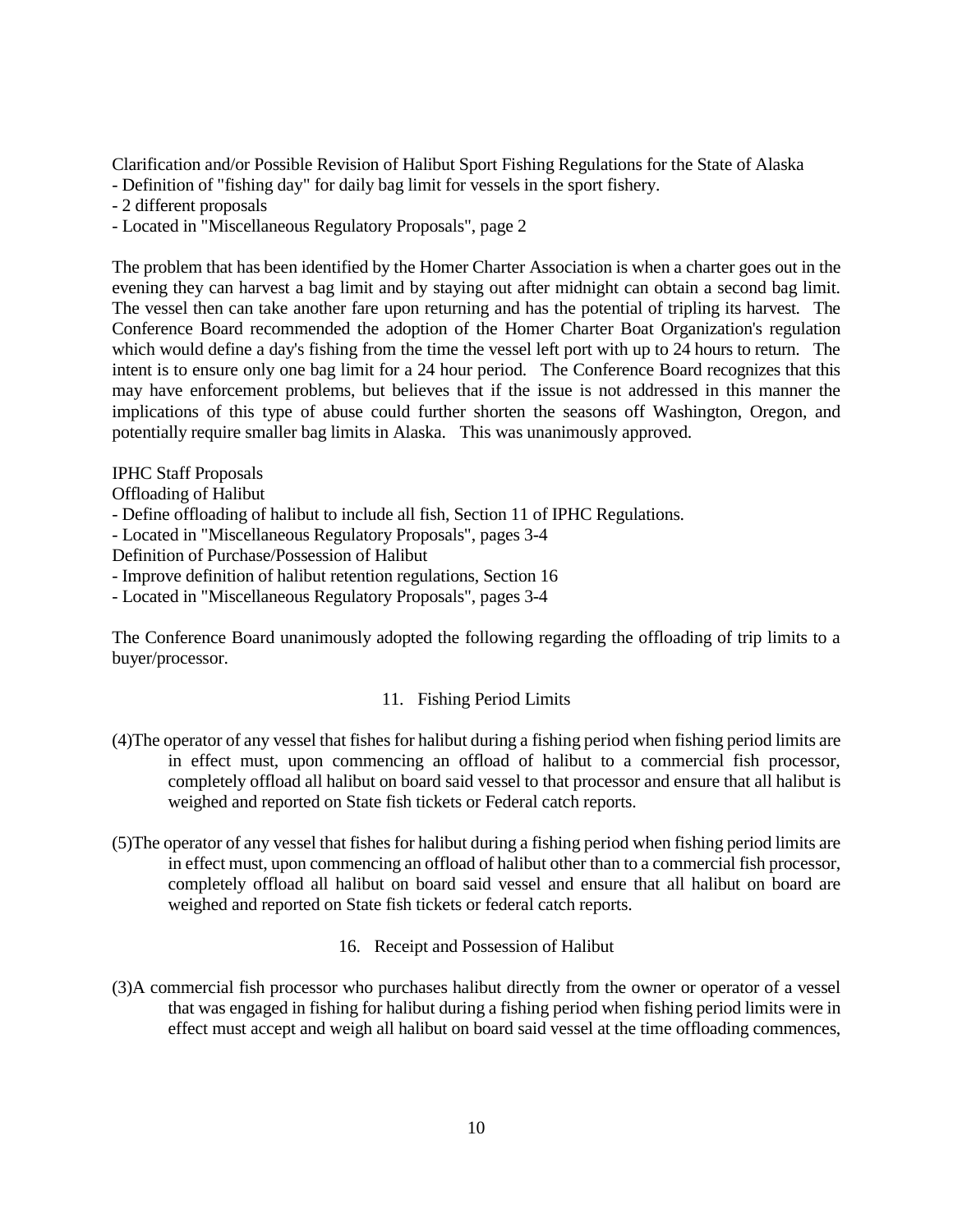Clarification and/or Possible Revision of Halibut Sport Fishing Regulations for the State of Alaska

- Definition of "fishing day" for daily bag limit for vessels in the sport fishery.
- 2 different proposals
- Located in "Miscellaneous Regulatory Proposals", page 2

The problem that has been identified by the Homer Charter Association is when a charter goes out in the evening they can harvest a bag limit and by staying out after midnight can obtain a second bag limit. The vessel then can take another fare upon returning and has the potential of tripling its harvest. The Conference Board recommended the adoption of the Homer Charter Boat Organization's regulation which would define a day's fishing from the time the vessel left port with up to 24 hours to return. The intent is to ensure only one bag limit for a 24 hour period. The Conference Board recognizes that this may have enforcement problems, but believes that if the issue is not addressed in this manner the implications of this type of abuse could further shorten the seasons off Washington, Oregon, and potentially require smaller bag limits in Alaska. This was unanimously approved.

IPHC Staff Proposals

Offloading of Halibut

- Define offloading of halibut to include all fish, Section 11 of IPHC Regulations.
- Located in "Miscellaneous Regulatory Proposals", pages 3-4

Definition of Purchase/Possession of Halibut

- Improve definition of halibut retention regulations, Section 16

- Located in "Miscellaneous Regulatory Proposals", pages 3-4

The Conference Board unanimously adopted the following regarding the offloading of trip limits to a buyer/processor.

### 11. Fishing Period Limits

- (4)The operator of any vessel that fishes for halibut during a fishing period when fishing period limits are in effect must, upon commencing an offload of halibut to a commercial fish processor, completely offload all halibut on board said vessel to that processor and ensure that all halibut is weighed and reported on State fish tickets or Federal catch reports.
- (5)The operator of any vessel that fishes for halibut during a fishing period when fishing period limits are in effect must, upon commencing an offload of halibut other than to a commercial fish processor, completely offload all halibut on board said vessel and ensure that all halibut on board are weighed and reported on State fish tickets or federal catch reports.
	- 16. Receipt and Possession of Halibut
- (3)A commercial fish processor who purchases halibut directly from the owner or operator of a vessel that was engaged in fishing for halibut during a fishing period when fishing period limits were in effect must accept and weigh all halibut on board said vessel at the time offloading commences,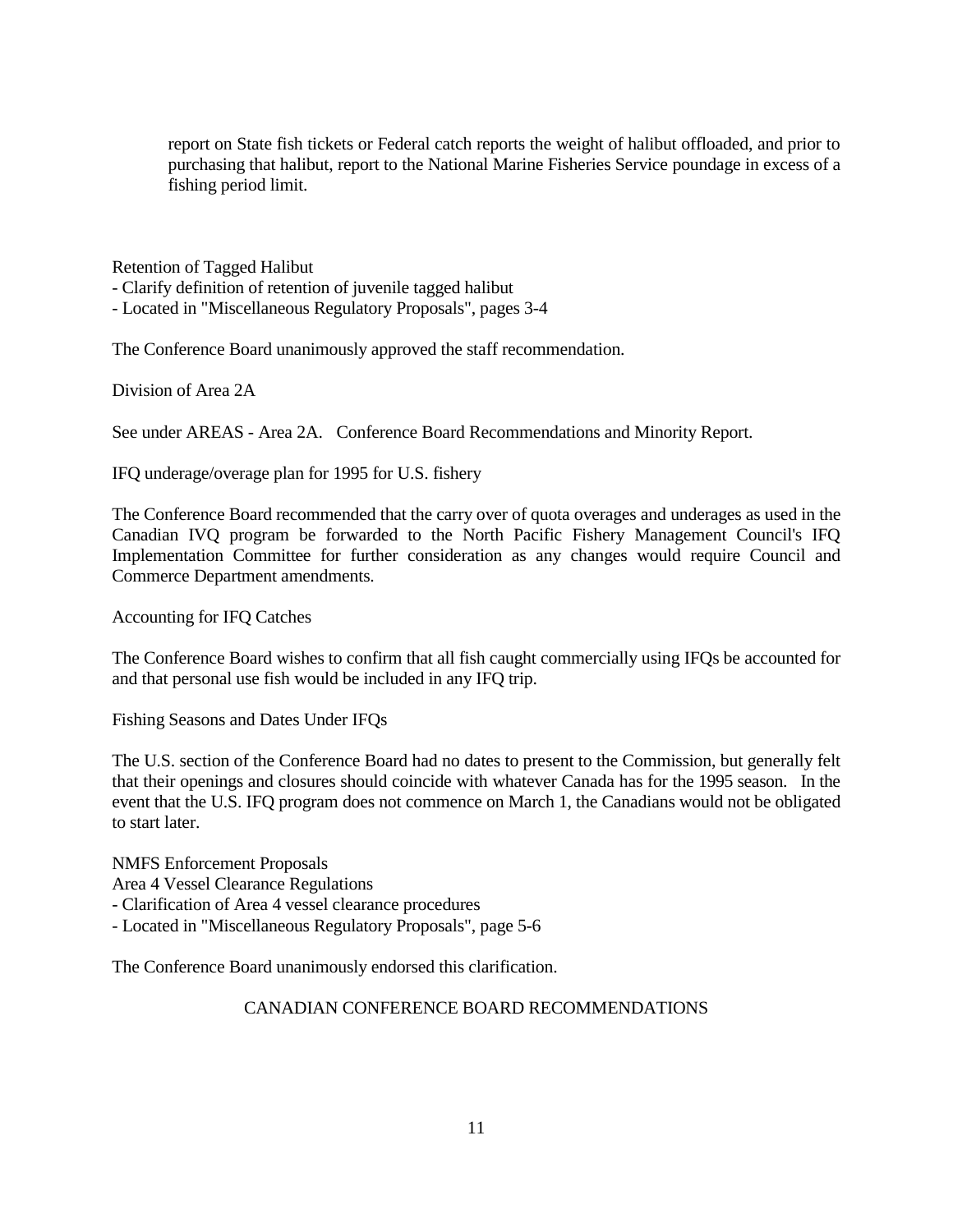report on State fish tickets or Federal catch reports the weight of halibut offloaded, and prior to purchasing that halibut, report to the National Marine Fisheries Service poundage in excess of a fishing period limit.

Retention of Tagged Halibut

- Clarify definition of retention of juvenile tagged halibut

- Located in "Miscellaneous Regulatory Proposals", pages 3-4

The Conference Board unanimously approved the staff recommendation.

Division of Area 2A

See under AREAS - Area 2A. Conference Board Recommendations and Minority Report.

IFQ underage/overage plan for 1995 for U.S. fishery

The Conference Board recommended that the carry over of quota overages and underages as used in the Canadian IVQ program be forwarded to the North Pacific Fishery Management Council's IFQ Implementation Committee for further consideration as any changes would require Council and Commerce Department amendments.

Accounting for IFQ Catches

The Conference Board wishes to confirm that all fish caught commercially using IFQs be accounted for and that personal use fish would be included in any IFQ trip.

Fishing Seasons and Dates Under IFQs

The U.S. section of the Conference Board had no dates to present to the Commission, but generally felt that their openings and closures should coincide with whatever Canada has for the 1995 season. In the event that the U.S. IFQ program does not commence on March 1, the Canadians would not be obligated to start later.

NMFS Enforcement Proposals Area 4 Vessel Clearance Regulations - Clarification of Area 4 vessel clearance procedures

- Located in "Miscellaneous Regulatory Proposals", page 5-6

The Conference Board unanimously endorsed this clarification.

## CANADIAN CONFERENCE BOARD RECOMMENDATIONS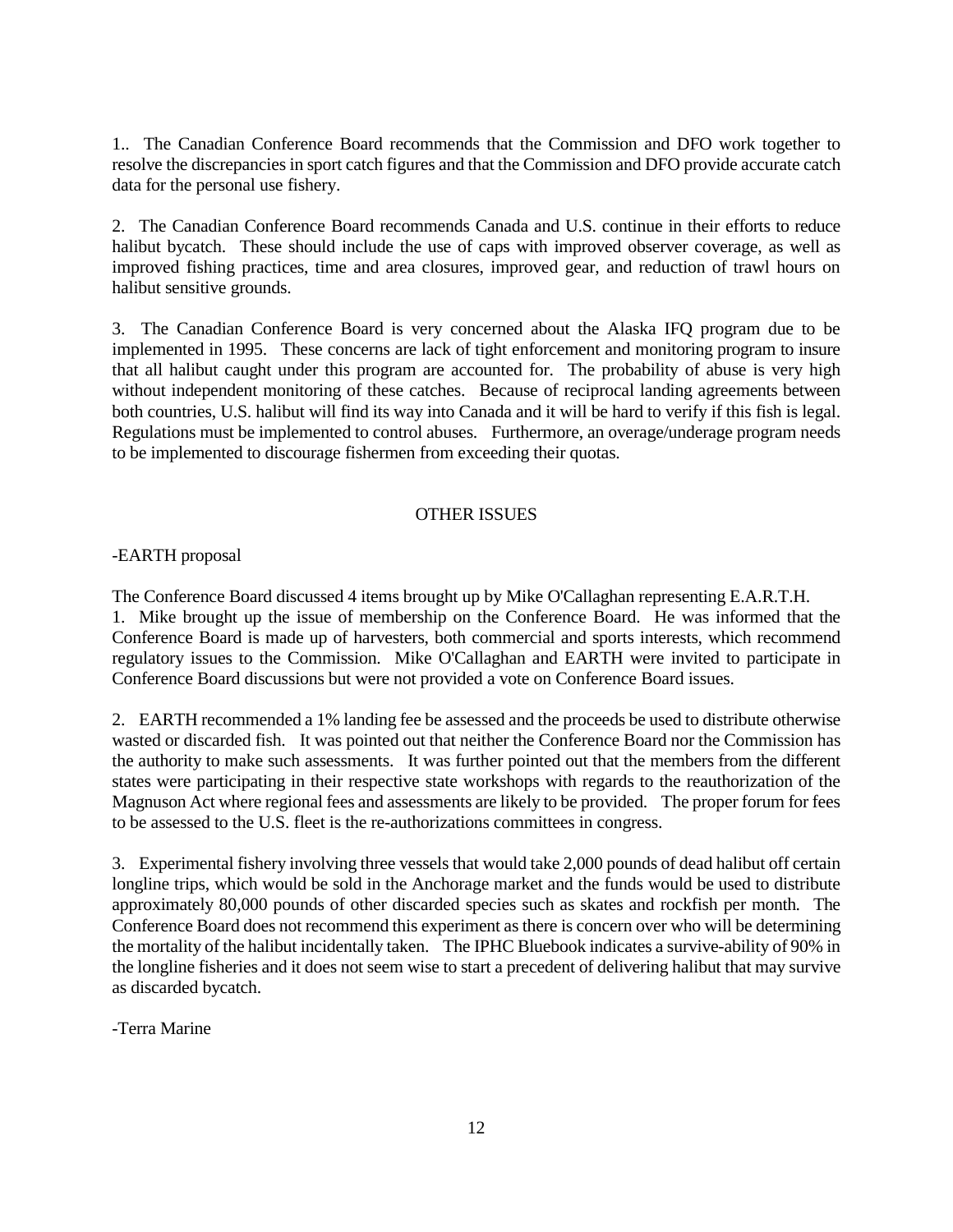1.. The Canadian Conference Board recommends that the Commission and DFO work together to resolve the discrepancies in sport catch figures and that the Commission and DFO provide accurate catch data for the personal use fishery.

2. The Canadian Conference Board recommends Canada and U.S. continue in their efforts to reduce halibut bycatch. These should include the use of caps with improved observer coverage, as well as improved fishing practices, time and area closures, improved gear, and reduction of trawl hours on halibut sensitive grounds.

3. The Canadian Conference Board is very concerned about the Alaska IFQ program due to be implemented in 1995. These concerns are lack of tight enforcement and monitoring program to insure that all halibut caught under this program are accounted for. The probability of abuse is very high without independent monitoring of these catches. Because of reciprocal landing agreements between both countries, U.S. halibut will find its way into Canada and it will be hard to verify if this fish is legal. Regulations must be implemented to control abuses. Furthermore, an overage/underage program needs to be implemented to discourage fishermen from exceeding their quotas.

### OTHER ISSUES

### -EARTH proposal

The Conference Board discussed 4 items brought up by Mike O'Callaghan representing E.A.R.T.H. 1. Mike brought up the issue of membership on the Conference Board. He was informed that the Conference Board is made up of harvesters, both commercial and sports interests, which recommend regulatory issues to the Commission. Mike O'Callaghan and EARTH were invited to participate in Conference Board discussions but were not provided a vote on Conference Board issues.

2. EARTH recommended a 1% landing fee be assessed and the proceeds be used to distribute otherwise wasted or discarded fish. It was pointed out that neither the Conference Board nor the Commission has the authority to make such assessments. It was further pointed out that the members from the different states were participating in their respective state workshops with regards to the reauthorization of the Magnuson Act where regional fees and assessments are likely to be provided. The proper forum for fees to be assessed to the U.S. fleet is the re-authorizations committees in congress.

3. Experimental fishery involving three vessels that would take 2,000 pounds of dead halibut off certain longline trips, which would be sold in the Anchorage market and the funds would be used to distribute approximately 80,000 pounds of other discarded species such as skates and rockfish per month. The Conference Board does not recommend this experiment as there is concern over who will be determining the mortality of the halibut incidentally taken. The IPHC Bluebook indicates a survive-ability of 90% in the longline fisheries and it does not seem wise to start a precedent of delivering halibut that may survive as discarded bycatch.

-Terra Marine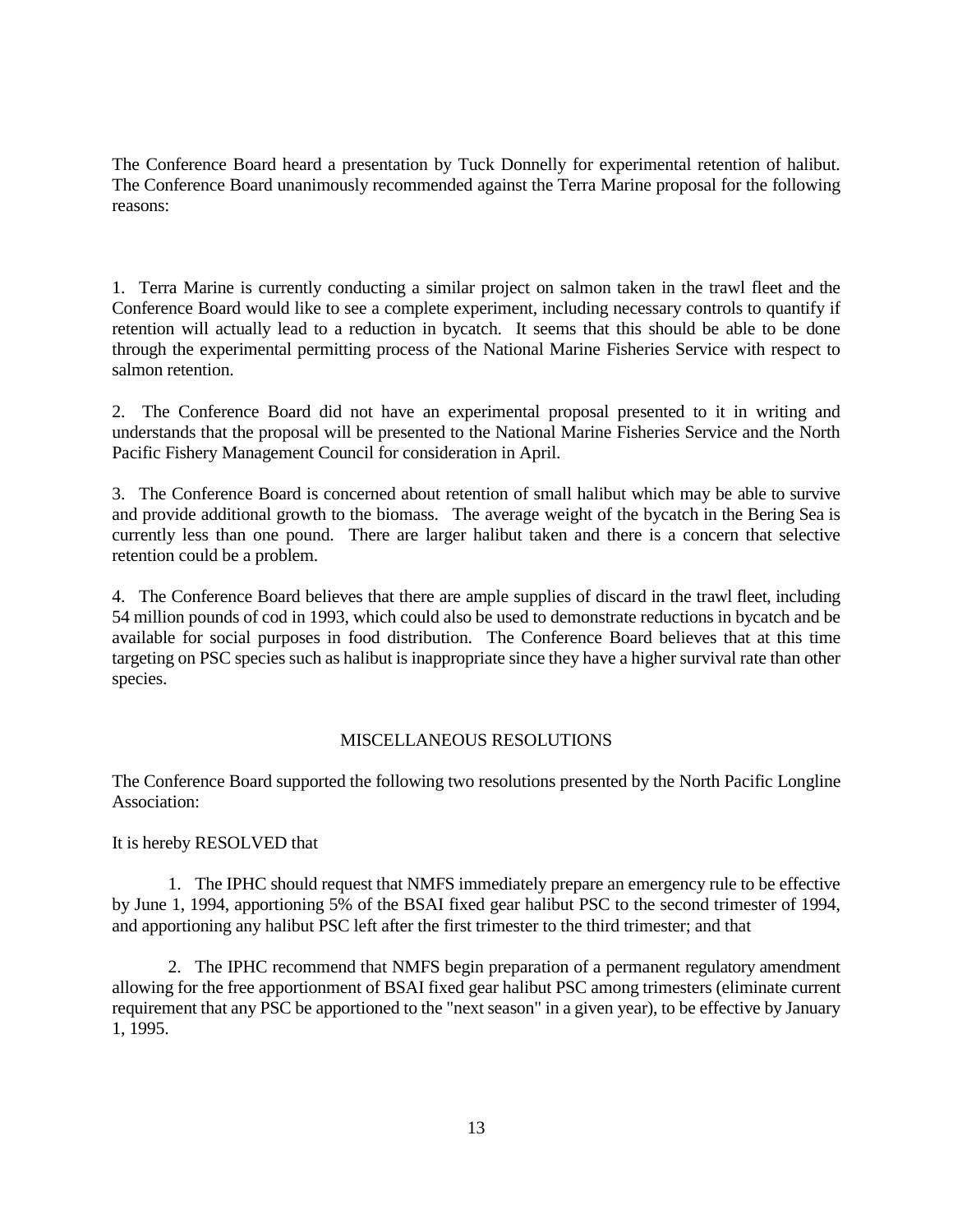The Conference Board heard a presentation by Tuck Donnelly for experimental retention of halibut. The Conference Board unanimously recommended against the Terra Marine proposal for the following reasons:

1. Terra Marine is currently conducting a similar project on salmon taken in the trawl fleet and the Conference Board would like to see a complete experiment, including necessary controls to quantify if retention will actually lead to a reduction in bycatch. It seems that this should be able to be done through the experimental permitting process of the National Marine Fisheries Service with respect to salmon retention.

2. The Conference Board did not have an experimental proposal presented to it in writing and understands that the proposal will be presented to the National Marine Fisheries Service and the North Pacific Fishery Management Council for consideration in April.

3. The Conference Board is concerned about retention of small halibut which may be able to survive and provide additional growth to the biomass. The average weight of the bycatch in the Bering Sea is currently less than one pound. There are larger halibut taken and there is a concern that selective retention could be a problem.

4. The Conference Board believes that there are ample supplies of discard in the trawl fleet, including 54 million pounds of cod in 1993, which could also be used to demonstrate reductions in bycatch and be available for social purposes in food distribution. The Conference Board believes that at this time targeting on PSC species such as halibut is inappropriate since they have a higher survival rate than other species.

## MISCELLANEOUS RESOLUTIONS

The Conference Board supported the following two resolutions presented by the North Pacific Longline Association:

It is hereby RESOLVED that

1. The IPHC should request that NMFS immediately prepare an emergency rule to be effective by June 1, 1994, apportioning 5% of the BSAI fixed gear halibut PSC to the second trimester of 1994, and apportioning any halibut PSC left after the first trimester to the third trimester; and that

2. The IPHC recommend that NMFS begin preparation of a permanent regulatory amendment allowing for the free apportionment of BSAI fixed gear halibut PSC among trimesters (eliminate current requirement that any PSC be apportioned to the "next season" in a given year), to be effective by January 1, 1995.